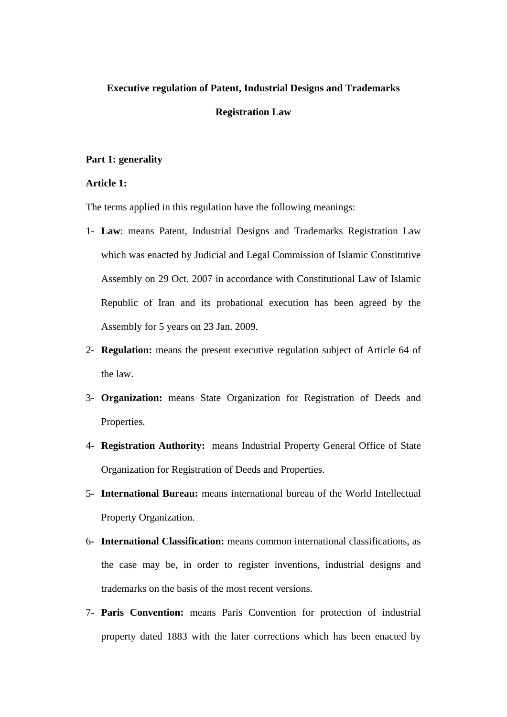## **Executive regulation of Patent, Industrial Designs and Trademarks**

#### **Registration Law**

### **Part 1: generality**

# **Article 1:**

The terms applied in this regulation have the following meanings:

- 1- **Law**: means Patent, Industrial Designs and Trademarks Registration Law which was enacted by Judicial and Legal Commission of Islamic Constitutive Assembly on 29 Oct. 2007 in accordance with Constitutional Law of Islamic Republic of Iran and its probational execution has been agreed by the Assembly for 5 years on 23 Jan. 2009.
- 2- **Regulation:** means the present executive regulation subject of Article 64 of the law.
- 3- **Organization:** means State Organization for Registration of Deeds and Properties.
- 4- **Registration Authority:** means Industrial Property General Office of State Organization for Registration of Deeds and Properties.
- 5- **International Bureau:** means international bureau of the World Intellectual Property Organization.
- 6- **International Classification:** means common international classifications, as the case may be, in order to register inventions, industrial designs and trademarks on the basis of the most recent versions.
- 7- **Paris Convention:** means Paris Convention for protection of industrial property dated 1883 with the later corrections which has been enacted by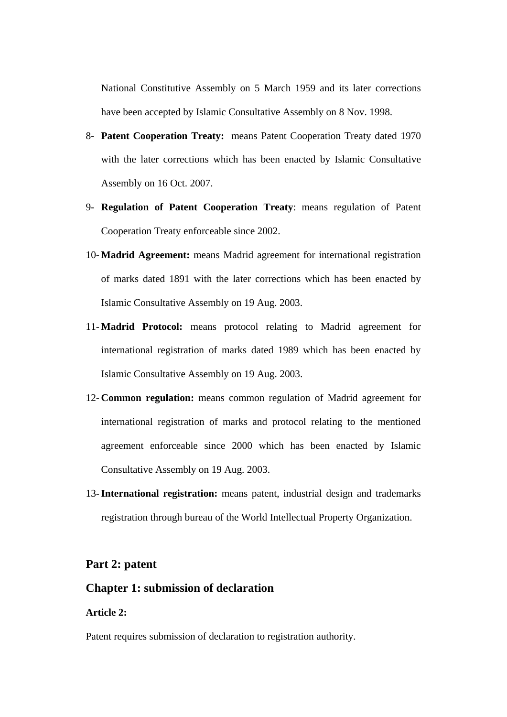National Constitutive Assembly on 5 March 1959 and its later corrections have been accepted by Islamic Consultative Assembly on 8 Nov. 1998.

- 8- **Patent Cooperation Treaty:** means Patent Cooperation Treaty dated 1970 with the later corrections which has been enacted by Islamic Consultative Assembly on 16 Oct. 2007.
- 9- **Regulation of Patent Cooperation Treaty**: means regulation of Patent Cooperation Treaty enforceable since 2002.
- 10- **Madrid Agreement:** means Madrid agreement for international registration of marks dated 1891 with the later corrections which has been enacted by Islamic Consultative Assembly on 19 Aug. 2003.
- 11- **Madrid Protocol:** means protocol relating to Madrid agreement for international registration of marks dated 1989 which has been enacted by Islamic Consultative Assembly on 19 Aug. 2003.
- 12- **Common regulation:** means common regulation of Madrid agreement for international registration of marks and protocol relating to the mentioned agreement enforceable since 2000 which has been enacted by Islamic Consultative Assembly on 19 Aug. 2003.
- 13-**International registration:** means patent, industrial design and trademarks registration through bureau of the World Intellectual Property Organization.

# **Part 2: patent**

# **Chapter 1: submission of declaration**

# **Article 2:**

Patent requires submission of declaration to registration authority.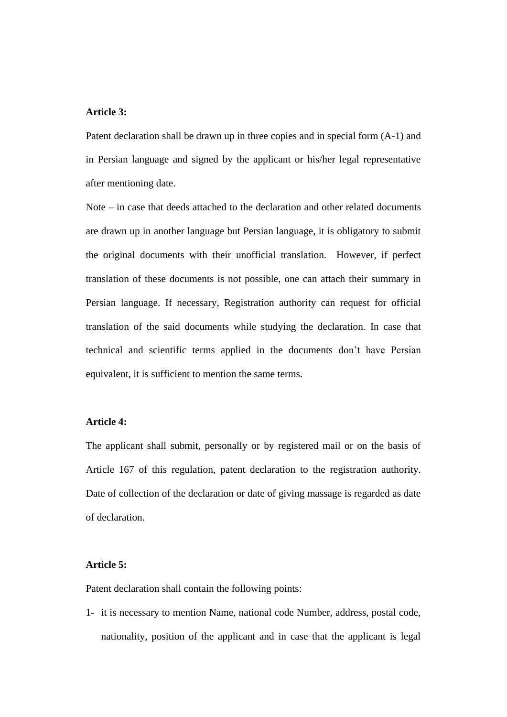### **Article 3:**

Patent declaration shall be drawn up in three copies and in special form (A-1) and in Persian language and signed by the applicant or his/her legal representative after mentioning date.

Note – in case that deeds attached to the declaration and other related documents are drawn up in another language but Persian language, it is obligatory to submit the original documents with their unofficial translation. However, if perfect translation of these documents is not possible, one can attach their summary in Persian language. If necessary, Registration authority can request for official translation of the said documents while studying the declaration. In case that technical and scientific terms applied in the documents don't have Persian equivalent, it is sufficient to mention the same terms.

## **Article 4:**

The applicant shall submit, personally or by registered mail or on the basis of Article 167 of this regulation, patent declaration to the registration authority. Date of collection of the declaration or date of giving massage is regarded as date of declaration.

# **Article 5:**

Patent declaration shall contain the following points:

1- it is necessary to mention Name, national code Number, address, postal code, nationality, position of the applicant and in case that the applicant is legal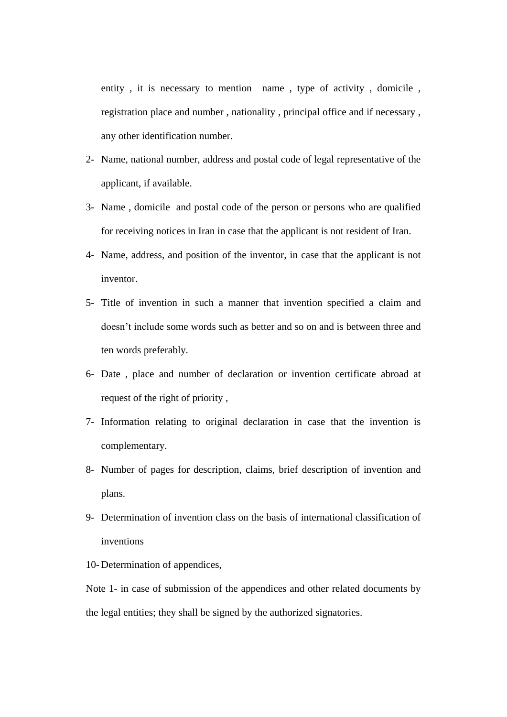entity , it is necessary to mention name , type of activity , domicile , registration place and number , nationality , principal office and if necessary , any other identification number.

- 2- Name, national number, address and postal code of legal representative of the applicant, if available.
- 3- Name , domicile and postal code of the person or persons who are qualified for receiving notices in Iran in case that the applicant is not resident of Iran.
- 4- Name, address, and position of the inventor, in case that the applicant is not inventor.
- 5- Title of invention in such a manner that invention specified a claim and doesn't include some words such as better and so on and is between three and ten words preferably.
- 6- Date , place and number of declaration or invention certificate abroad at request of the right of priority ,
- 7- Information relating to original declaration in case that the invention is complementary.
- 8- Number of pages for description, claims, brief description of invention and plans.
- 9- Determination of invention class on the basis of international classification of inventions
- 10- Determination of appendices,

Note 1- in case of submission of the appendices and other related documents by the legal entities; they shall be signed by the authorized signatories.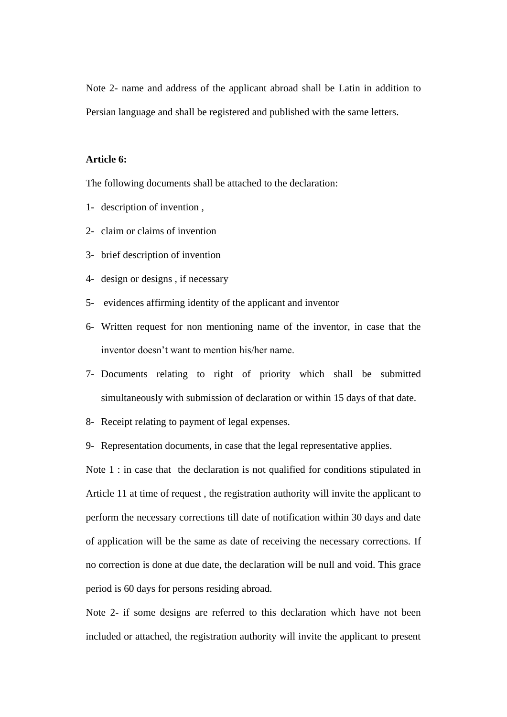Note 2- name and address of the applicant abroad shall be Latin in addition to Persian language and shall be registered and published with the same letters.

# **Article 6:**

The following documents shall be attached to the declaration:

- 1- description of invention ,
- 2- claim or claims of invention
- 3- brief description of invention
- 4- design or designs , if necessary
- 5- evidences affirming identity of the applicant and inventor
- 6- Written request for non mentioning name of the inventor, in case that the inventor doesn't want to mention his/her name.
- 7- Documents relating to right of priority which shall be submitted simultaneously with submission of declaration or within 15 days of that date.
- 8- Receipt relating to payment of legal expenses.
- 9- Representation documents, in case that the legal representative applies.

Note 1 : in case that the declaration is not qualified for conditions stipulated in Article 11 at time of request , the registration authority will invite the applicant to perform the necessary corrections till date of notification within 30 days and date of application will be the same as date of receiving the necessary corrections. If no correction is done at due date, the declaration will be null and void. This grace period is 60 days for persons residing abroad.

Note 2- if some designs are referred to this declaration which have not been included or attached, the registration authority will invite the applicant to present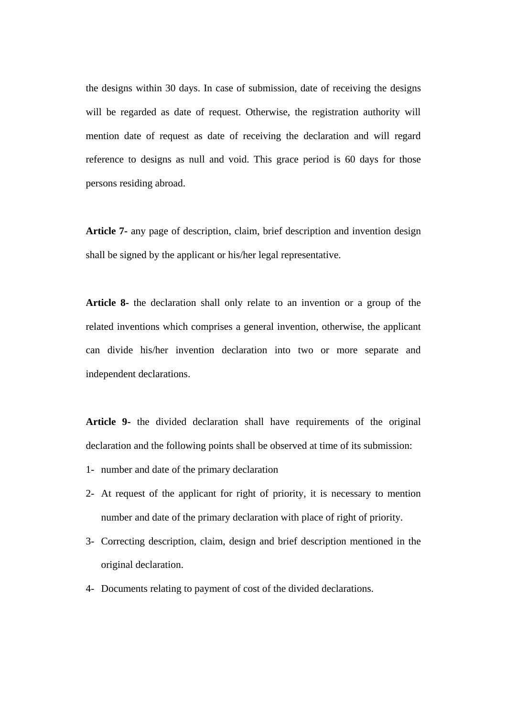the designs within 30 days. In case of submission, date of receiving the designs will be regarded as date of request. Otherwise, the registration authority will mention date of request as date of receiving the declaration and will regard reference to designs as null and void. This grace period is 60 days for those persons residing abroad.

**Article 7-** any page of description, claim, brief description and invention design shall be signed by the applicant or his/her legal representative.

**Article 8-** the declaration shall only relate to an invention or a group of the related inventions which comprises a general invention, otherwise, the applicant can divide his/her invention declaration into two or more separate and independent declarations.

**Article 9-** the divided declaration shall have requirements of the original declaration and the following points shall be observed at time of its submission:

- 1- number and date of the primary declaration
- 2- At request of the applicant for right of priority, it is necessary to mention number and date of the primary declaration with place of right of priority.
- 3- Correcting description, claim, design and brief description mentioned in the original declaration.
- 4- Documents relating to payment of cost of the divided declarations.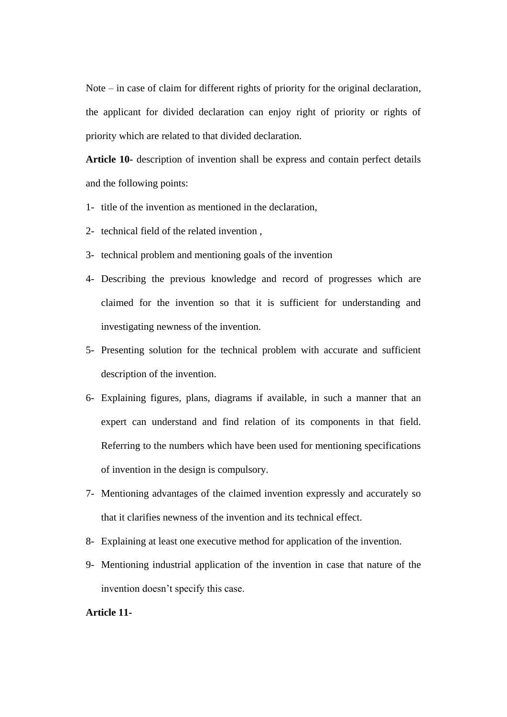Note – in case of claim for different rights of priority for the original declaration, the applicant for divided declaration can enjoy right of priority or rights of priority which are related to that divided declaration.

**Article 10-** description of invention shall be express and contain perfect details and the following points:

- 1- title of the invention as mentioned in the declaration,
- 2- technical field of the related invention ,
- 3- technical problem and mentioning goals of the invention
- 4- Describing the previous knowledge and record of progresses which are claimed for the invention so that it is sufficient for understanding and investigating newness of the invention.
- 5- Presenting solution for the technical problem with accurate and sufficient description of the invention.
- 6- Explaining figures, plans, diagrams if available, in such a manner that an expert can understand and find relation of its components in that field. Referring to the numbers which have been used for mentioning specifications of invention in the design is compulsory.
- 7- Mentioning advantages of the claimed invention expressly and accurately so that it clarifies newness of the invention and its technical effect.
- 8- Explaining at least one executive method for application of the invention.
- 9- Mentioning industrial application of the invention in case that nature of the invention doesn't specify this case.

# **Article 11-**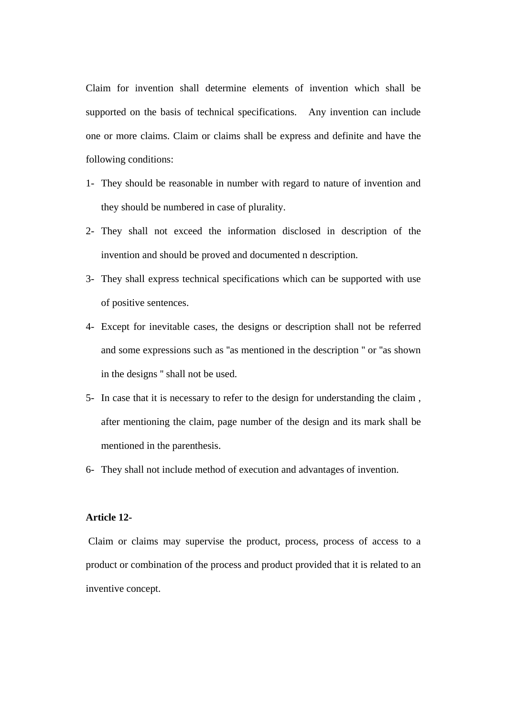Claim for invention shall determine elements of invention which shall be supported on the basis of technical specifications. Any invention can include one or more claims. Claim or claims shall be express and definite and have the following conditions:

- 1- They should be reasonable in number with regard to nature of invention and they should be numbered in case of plurality.
- 2- They shall not exceed the information disclosed in description of the invention and should be proved and documented n description.
- 3- They shall express technical specifications which can be supported with use of positive sentences.
- 4- Except for inevitable cases, the designs or description shall not be referred and some expressions such as ''as mentioned in the description '' or ''as shown in the designs '' shall not be used.
- 5- In case that it is necessary to refer to the design for understanding the claim , after mentioning the claim, page number of the design and its mark shall be mentioned in the parenthesis.
- 6- They shall not include method of execution and advantages of invention.

# **Article 12-**

Claim or claims may supervise the product, process, process of access to a product or combination of the process and product provided that it is related to an inventive concept.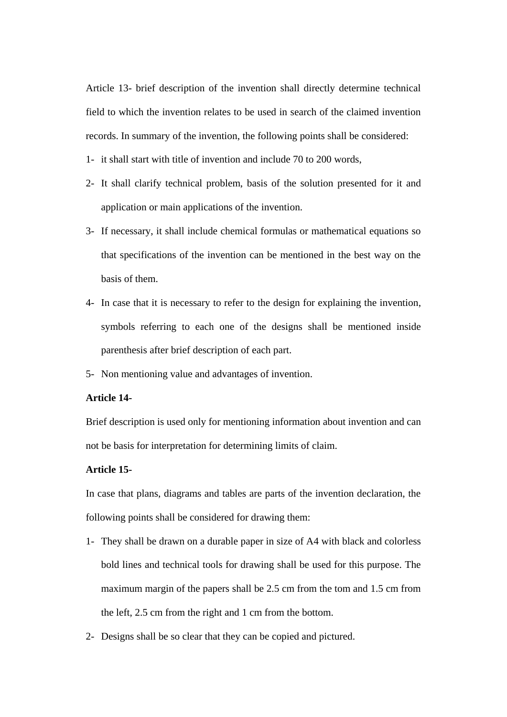Article 13- brief description of the invention shall directly determine technical field to which the invention relates to be used in search of the claimed invention records. In summary of the invention, the following points shall be considered:

- 1- it shall start with title of invention and include 70 to 200 words,
- 2- It shall clarify technical problem, basis of the solution presented for it and application or main applications of the invention.
- 3- If necessary, it shall include chemical formulas or mathematical equations so that specifications of the invention can be mentioned in the best way on the basis of them.
- 4- In case that it is necessary to refer to the design for explaining the invention, symbols referring to each one of the designs shall be mentioned inside parenthesis after brief description of each part.
- 5- Non mentioning value and advantages of invention.

## **Article 14-**

Brief description is used only for mentioning information about invention and can not be basis for interpretation for determining limits of claim.

#### **Article 15-**

In case that plans, diagrams and tables are parts of the invention declaration, the following points shall be considered for drawing them:

- 1- They shall be drawn on a durable paper in size of A4 with black and colorless bold lines and technical tools for drawing shall be used for this purpose. The maximum margin of the papers shall be 2.5 cm from the tom and 1.5 cm from the left, 2.5 cm from the right and 1 cm from the bottom.
- 2- Designs shall be so clear that they can be copied and pictured.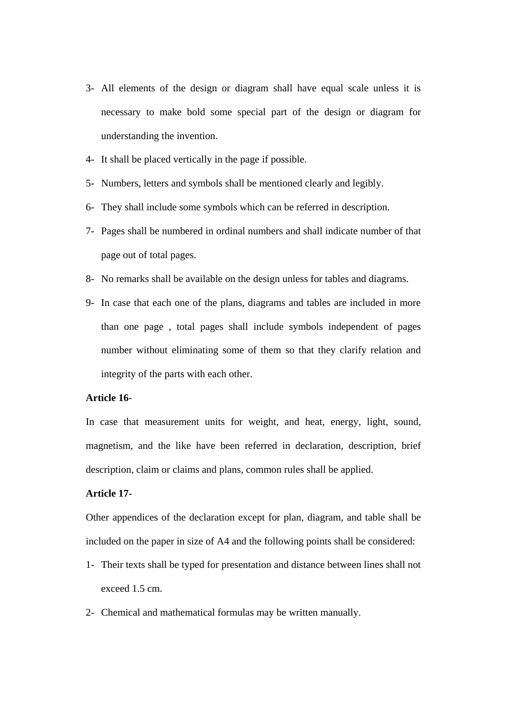- 3- All elements of the design or diagram shall have equal scale unless it is necessary to make bold some special part of the design or diagram for understanding the invention.
- 4- It shall be placed vertically in the page if possible.
- 5- Numbers, letters and symbols shall be mentioned clearly and legibly.
- 6- They shall include some symbols which can be referred in description.
- 7- Pages shall be numbered in ordinal numbers and shall indicate number of that page out of total pages.
- 8- No remarks shall be available on the design unless for tables and diagrams.
- 9- In case that each one of the plans, diagrams and tables are included in more than one page , total pages shall include symbols independent of pages number without eliminating some of them so that they clarify relation and integrity of the parts with each other.

## **Article 16**-

In case that measurement units for weight, and heat, energy, light, sound, magnetism, and the like have been referred in declaration, description, brief description, claim or claims and plans, common rules shall be applied.

# **Article 17-**

Other appendices of the declaration except for plan, diagram, and table shall be included on the paper in size of A4 and the following points shall be considered:

- 1- Their texts shall be typed for presentation and distance between lines shall not exceed 1.5 cm.
- 2- Chemical and mathematical formulas may be written manually.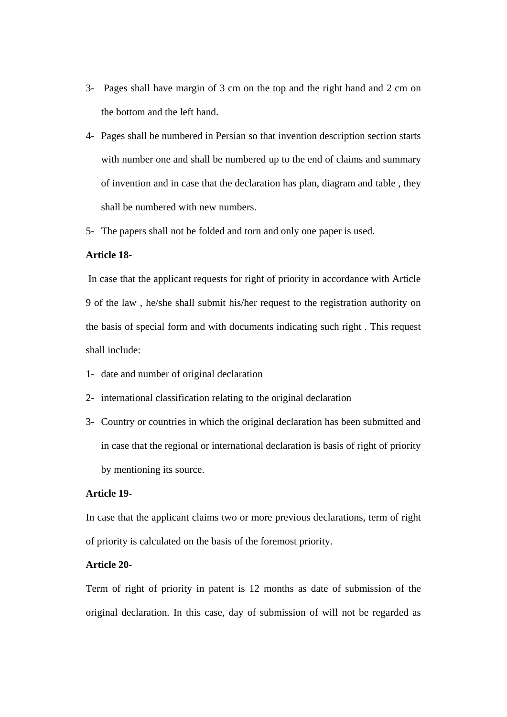- 3- Pages shall have margin of 3 cm on the top and the right hand and 2 cm on the bottom and the left hand.
- 4- Pages shall be numbered in Persian so that invention description section starts with number one and shall be numbered up to the end of claims and summary of invention and in case that the declaration has plan, diagram and table , they shall be numbered with new numbers.
- 5- The papers shall not be folded and torn and only one paper is used.

#### **Article 18-**

In case that the applicant requests for right of priority in accordance with Article 9 of the law , he/she shall submit his/her request to the registration authority on the basis of special form and with documents indicating such right . This request shall include:

- 1- date and number of original declaration
- 2- international classification relating to the original declaration
- 3- Country or countries in which the original declaration has been submitted and in case that the regional or international declaration is basis of right of priority by mentioning its source.

# **Article 19**-

In case that the applicant claims two or more previous declarations, term of right of priority is calculated on the basis of the foremost priority.

# **Article 20**-

Term of right of priority in patent is 12 months as date of submission of the original declaration. In this case, day of submission of will not be regarded as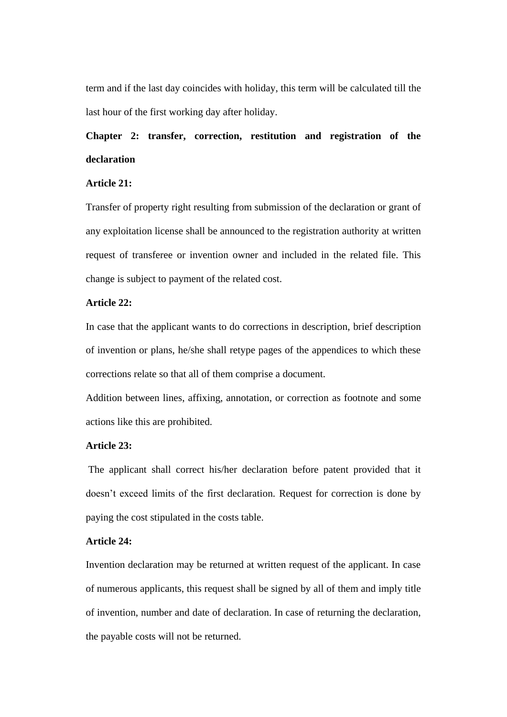term and if the last day coincides with holiday, this term will be calculated till the last hour of the first working day after holiday.

# **Chapter 2: transfer, correction, restitution and registration of the declaration**

# **Article 21:**

Transfer of property right resulting from submission of the declaration or grant of any exploitation license shall be announced to the registration authority at written request of transferee or invention owner and included in the related file. This change is subject to payment of the related cost.

# **Article 22:**

In case that the applicant wants to do corrections in description, brief description of invention or plans, he/she shall retype pages of the appendices to which these corrections relate so that all of them comprise a document.

Addition between lines, affixing, annotation, or correction as footnote and some actions like this are prohibited.

# **Article 23:**

The applicant shall correct his/her declaration before patent provided that it doesn't exceed limits of the first declaration. Request for correction is done by paying the cost stipulated in the costs table.

## **Article 24:**

Invention declaration may be returned at written request of the applicant. In case of numerous applicants, this request shall be signed by all of them and imply title of invention, number and date of declaration. In case of returning the declaration, the payable costs will not be returned.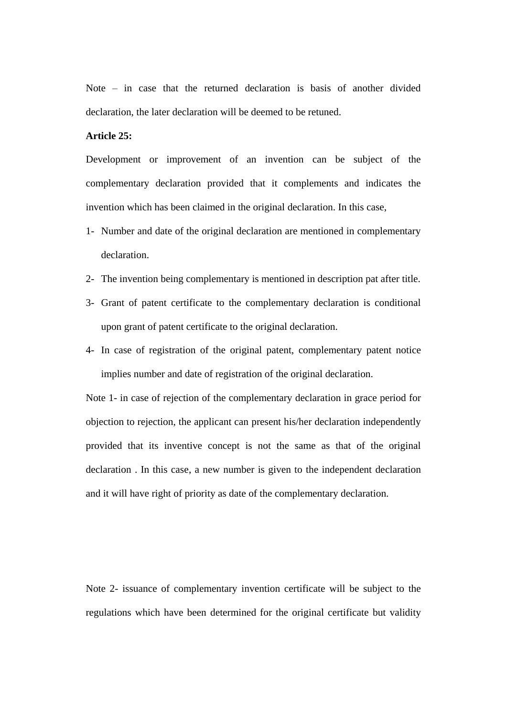Note – in case that the returned declaration is basis of another divided declaration, the later declaration will be deemed to be retuned.

#### **Article 25:**

Development or improvement of an invention can be subject of the complementary declaration provided that it complements and indicates the invention which has been claimed in the original declaration. In this case,

- 1- Number and date of the original declaration are mentioned in complementary declaration.
- 2- The invention being complementary is mentioned in description pat after title.
- 3- Grant of patent certificate to the complementary declaration is conditional upon grant of patent certificate to the original declaration.
- 4- In case of registration of the original patent, complementary patent notice implies number and date of registration of the original declaration.

Note 1- in case of rejection of the complementary declaration in grace period for objection to rejection, the applicant can present his/her declaration independently provided that its inventive concept is not the same as that of the original declaration . In this case, a new number is given to the independent declaration and it will have right of priority as date of the complementary declaration.

Note 2- issuance of complementary invention certificate will be subject to the regulations which have been determined for the original certificate but validity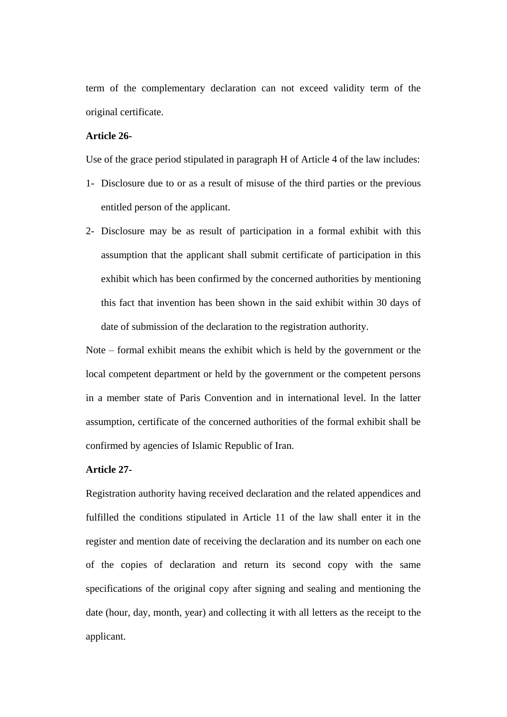term of the complementary declaration can not exceed validity term of the original certificate.

## **Article 26-**

Use of the grace period stipulated in paragraph H of Article 4 of the law includes:

- 1- Disclosure due to or as a result of misuse of the third parties or the previous entitled person of the applicant.
- 2- Disclosure may be as result of participation in a formal exhibit with this assumption that the applicant shall submit certificate of participation in this exhibit which has been confirmed by the concerned authorities by mentioning this fact that invention has been shown in the said exhibit within 30 days of date of submission of the declaration to the registration authority.

Note – formal exhibit means the exhibit which is held by the government or the local competent department or held by the government or the competent persons in a member state of Paris Convention and in international level. In the latter assumption, certificate of the concerned authorities of the formal exhibit shall be confirmed by agencies of Islamic Republic of Iran.

#### **Article 27-**

Registration authority having received declaration and the related appendices and fulfilled the conditions stipulated in Article 11 of the law shall enter it in the register and mention date of receiving the declaration and its number on each one of the copies of declaration and return its second copy with the same specifications of the original copy after signing and sealing and mentioning the date (hour, day, month, year) and collecting it with all letters as the receipt to the applicant.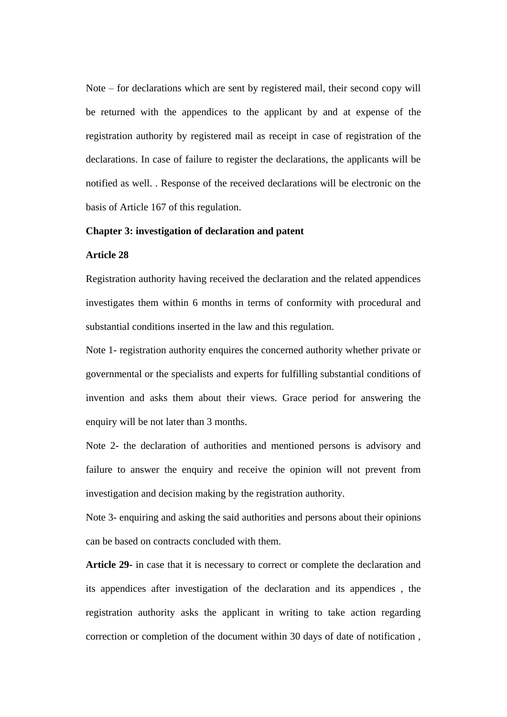Note – for declarations which are sent by registered mail, their second copy will be returned with the appendices to the applicant by and at expense of the registration authority by registered mail as receipt in case of registration of the declarations. In case of failure to register the declarations, the applicants will be notified as well. . Response of the received declarations will be electronic on the basis of Article 167 of this regulation.

#### **Chapter 3: investigation of declaration and patent**

#### **Article 28**

Registration authority having received the declaration and the related appendices investigates them within 6 months in terms of conformity with procedural and substantial conditions inserted in the law and this regulation.

Note 1- registration authority enquires the concerned authority whether private or governmental or the specialists and experts for fulfilling substantial conditions of invention and asks them about their views. Grace period for answering the enquiry will be not later than 3 months.

Note 2- the declaration of authorities and mentioned persons is advisory and failure to answer the enquiry and receive the opinion will not prevent from investigation and decision making by the registration authority.

Note 3- enquiring and asking the said authorities and persons about their opinions can be based on contracts concluded with them.

**Article 29-** in case that it is necessary to correct or complete the declaration and its appendices after investigation of the declaration and its appendices , the registration authority asks the applicant in writing to take action regarding correction or completion of the document within 30 days of date of notification ,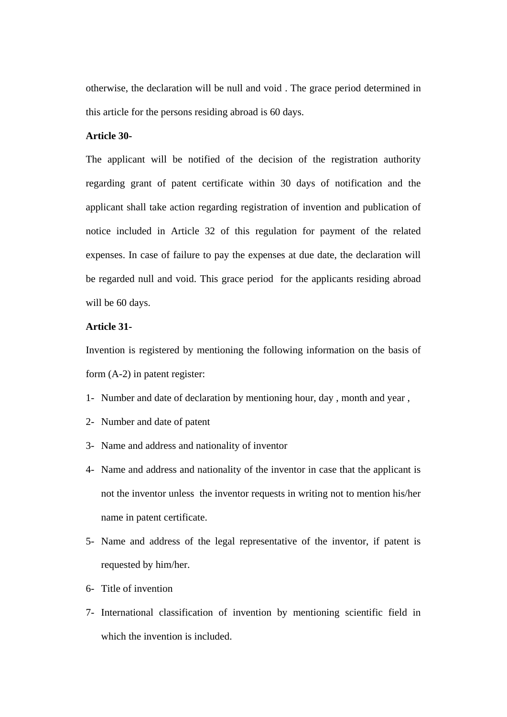otherwise, the declaration will be null and void . The grace period determined in this article for the persons residing abroad is 60 days.

# **Article 30-**

The applicant will be notified of the decision of the registration authority regarding grant of patent certificate within 30 days of notification and the applicant shall take action regarding registration of invention and publication of notice included in Article 32 of this regulation for payment of the related expenses. In case of failure to pay the expenses at due date, the declaration will be regarded null and void. This grace period for the applicants residing abroad will be 60 days.

# **Article 31-**

Invention is registered by mentioning the following information on the basis of form (A-2) in patent register:

- 1- Number and date of declaration by mentioning hour, day , month and year ,
- 2- Number and date of patent
- 3- Name and address and nationality of inventor
- 4- Name and address and nationality of the inventor in case that the applicant is not the inventor unless the inventor requests in writing not to mention his/her name in patent certificate.
- 5- Name and address of the legal representative of the inventor, if patent is requested by him/her.
- 6- Title of invention
- 7- International classification of invention by mentioning scientific field in which the invention is included.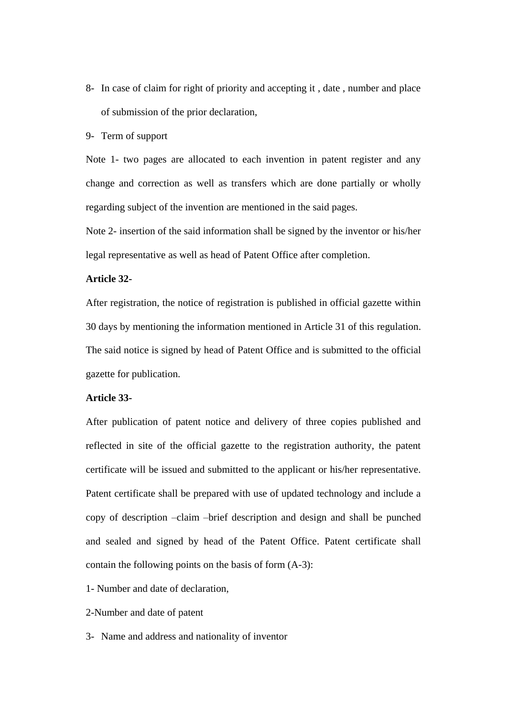8- In case of claim for right of priority and accepting it , date , number and place of submission of the prior declaration,

9- Term of support

Note 1- two pages are allocated to each invention in patent register and any change and correction as well as transfers which are done partially or wholly regarding subject of the invention are mentioned in the said pages.

Note 2- insertion of the said information shall be signed by the inventor or his/her legal representative as well as head of Patent Office after completion.

# **Article 32-**

After registration, the notice of registration is published in official gazette within 30 days by mentioning the information mentioned in Article 31 of this regulation. The said notice is signed by head of Patent Office and is submitted to the official gazette for publication.

#### **Article 33-**

After publication of patent notice and delivery of three copies published and reflected in site of the official gazette to the registration authority, the patent certificate will be issued and submitted to the applicant or his/her representative. Patent certificate shall be prepared with use of updated technology and include a copy of description –claim –brief description and design and shall be punched and sealed and signed by head of the Patent Office. Patent certificate shall contain the following points on the basis of form (A-3):

- 1- Number and date of declaration,
- 2-Number and date of patent
- 3- Name and address and nationality of inventor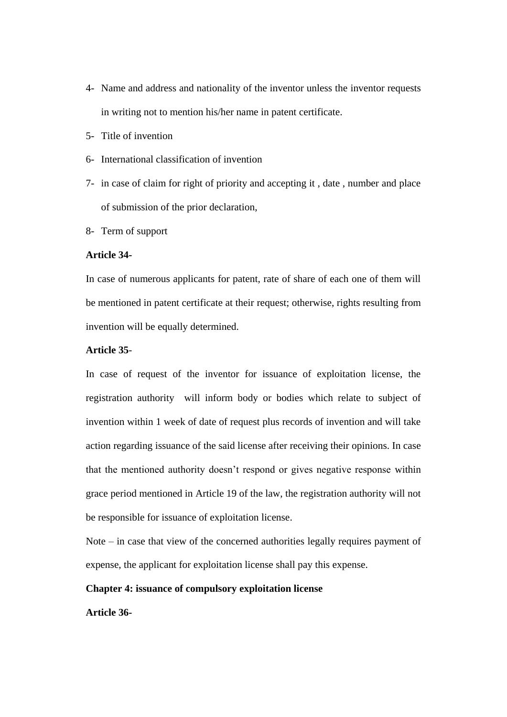- 4- Name and address and nationality of the inventor unless the inventor requests in writing not to mention his/her name in patent certificate.
- 5- Title of invention
- 6- International classification of invention
- 7- in case of claim for right of priority and accepting it , date , number and place of submission of the prior declaration,
- 8- Term of support

#### **Article 34-**

In case of numerous applicants for patent, rate of share of each one of them will be mentioned in patent certificate at their request; otherwise, rights resulting from invention will be equally determined.

## **Article 35**-

In case of request of the inventor for issuance of exploitation license, the registration authority will inform body or bodies which relate to subject of invention within 1 week of date of request plus records of invention and will take action regarding issuance of the said license after receiving their opinions. In case that the mentioned authority doesn't respond or gives negative response within grace period mentioned in Article 19 of the law, the registration authority will not be responsible for issuance of exploitation license.

Note – in case that view of the concerned authorities legally requires payment of expense, the applicant for exploitation license shall pay this expense.

#### **Chapter 4: issuance of compulsory exploitation license**

**Article 36-**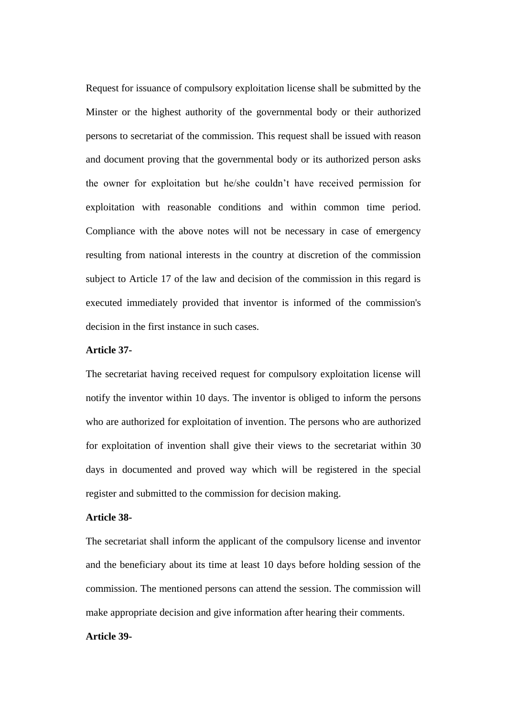Request for issuance of compulsory exploitation license shall be submitted by the Minster or the highest authority of the governmental body or their authorized persons to secretariat of the commission. This request shall be issued with reason and document proving that the governmental body or its authorized person asks the owner for exploitation but he/she couldn't have received permission for exploitation with reasonable conditions and within common time period. Compliance with the above notes will not be necessary in case of emergency resulting from national interests in the country at discretion of the commission subject to Article 17 of the law and decision of the commission in this regard is executed immediately provided that inventor is informed of the commission's decision in the first instance in such cases.

# **Article 37-**

The secretariat having received request for compulsory exploitation license will notify the inventor within 10 days. The inventor is obliged to inform the persons who are authorized for exploitation of invention. The persons who are authorized for exploitation of invention shall give their views to the secretariat within 30 days in documented and proved way which will be registered in the special register and submitted to the commission for decision making.

# **Article 38-**

The secretariat shall inform the applicant of the compulsory license and inventor and the beneficiary about its time at least 10 days before holding session of the commission. The mentioned persons can attend the session. The commission will make appropriate decision and give information after hearing their comments.

#### **Article 39-**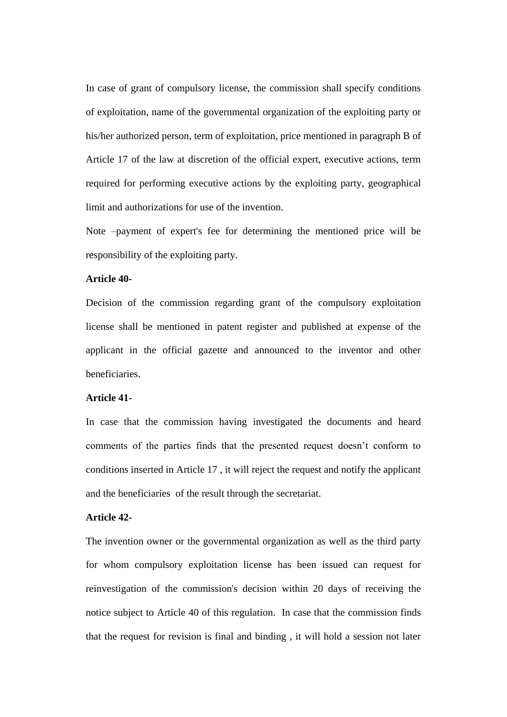In case of grant of compulsory license, the commission shall specify conditions of exploitation, name of the governmental organization of the exploiting party or his/her authorized person, term of exploitation, price mentioned in paragraph B of Article 17 of the law at discretion of the official expert, executive actions, term required for performing executive actions by the exploiting party, geographical limit and authorizations for use of the invention.

Note –payment of expert's fee for determining the mentioned price will be responsibility of the exploiting party.

# **Article 40-**

Decision of the commission regarding grant of the compulsory exploitation license shall be mentioned in patent register and published at expense of the applicant in the official gazette and announced to the inventor and other beneficiaries.

#### **Article 41-**

In case that the commission having investigated the documents and heard comments of the parties finds that the presented request doesn't conform to conditions inserted in Article 17 , it will reject the request and notify the applicant and the beneficiaries of the result through the secretariat.

## **Article 42-**

The invention owner or the governmental organization as well as the third party for whom compulsory exploitation license has been issued can request for reinvestigation of the commission's decision within 20 days of receiving the notice subject to Article 40 of this regulation. In case that the commission finds that the request for revision is final and binding , it will hold a session not later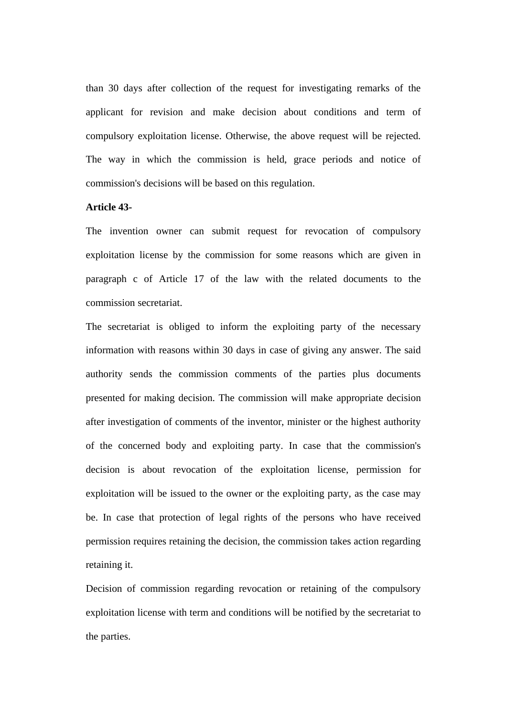than 30 days after collection of the request for investigating remarks of the applicant for revision and make decision about conditions and term of compulsory exploitation license. Otherwise, the above request will be rejected. The way in which the commission is held, grace periods and notice of commission's decisions will be based on this regulation.

#### **Article 43-**

The invention owner can submit request for revocation of compulsory exploitation license by the commission for some reasons which are given in paragraph c of Article 17 of the law with the related documents to the commission secretariat.

The secretariat is obliged to inform the exploiting party of the necessary information with reasons within 30 days in case of giving any answer. The said authority sends the commission comments of the parties plus documents presented for making decision. The commission will make appropriate decision after investigation of comments of the inventor, minister or the highest authority of the concerned body and exploiting party. In case that the commission's decision is about revocation of the exploitation license, permission for exploitation will be issued to the owner or the exploiting party, as the case may be. In case that protection of legal rights of the persons who have received permission requires retaining the decision, the commission takes action regarding retaining it.

Decision of commission regarding revocation or retaining of the compulsory exploitation license with term and conditions will be notified by the secretariat to the parties.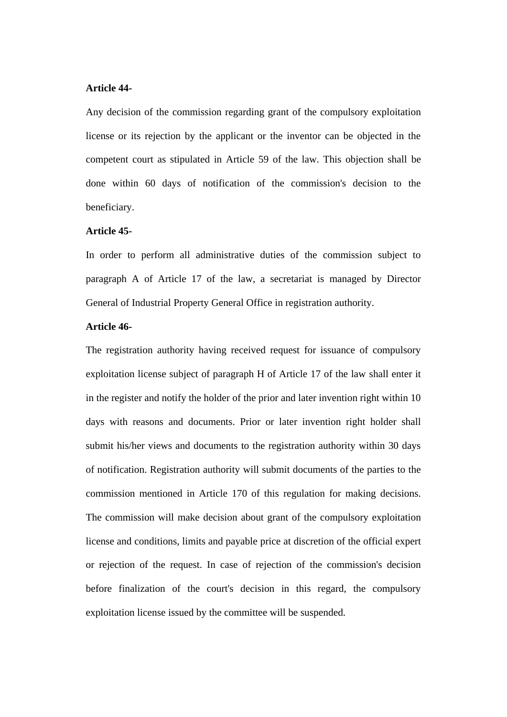#### **Article 44-**

Any decision of the commission regarding grant of the compulsory exploitation license or its rejection by the applicant or the inventor can be objected in the competent court as stipulated in Article 59 of the law. This objection shall be done within 60 days of notification of the commission's decision to the beneficiary.

## **Article 45-**

In order to perform all administrative duties of the commission subject to paragraph A of Article 17 of the law, a secretariat is managed by Director General of Industrial Property General Office in registration authority.

#### **Article 46-**

The registration authority having received request for issuance of compulsory exploitation license subject of paragraph H of Article 17 of the law shall enter it in the register and notify the holder of the prior and later invention right within 10 days with reasons and documents. Prior or later invention right holder shall submit his/her views and documents to the registration authority within 30 days of notification. Registration authority will submit documents of the parties to the commission mentioned in Article 170 of this regulation for making decisions. The commission will make decision about grant of the compulsory exploitation license and conditions, limits and payable price at discretion of the official expert or rejection of the request. In case of rejection of the commission's decision before finalization of the court's decision in this regard, the compulsory exploitation license issued by the committee will be suspended.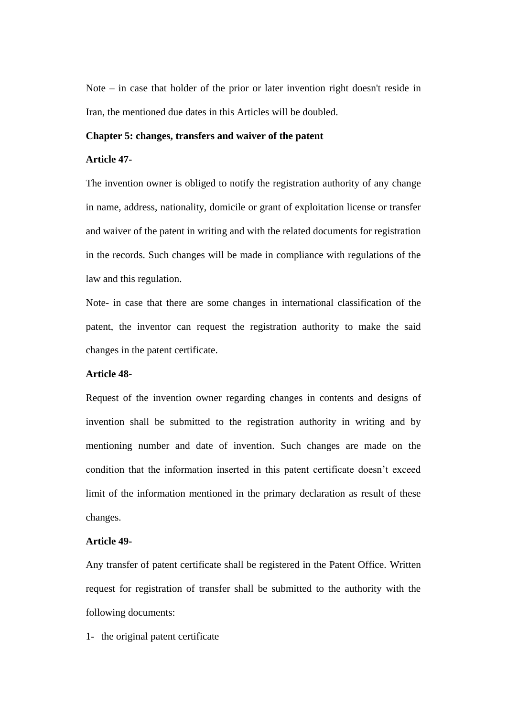Note – in case that holder of the prior or later invention right doesn't reside in Iran, the mentioned due dates in this Articles will be doubled.

#### **Chapter 5: changes, transfers and waiver of the patent**

#### **Article 47-**

The invention owner is obliged to notify the registration authority of any change in name, address, nationality, domicile or grant of exploitation license or transfer and waiver of the patent in writing and with the related documents for registration in the records. Such changes will be made in compliance with regulations of the law and this regulation.

Note- in case that there are some changes in international classification of the patent, the inventor can request the registration authority to make the said changes in the patent certificate.

### **Article 48-**

Request of the invention owner regarding changes in contents and designs of invention shall be submitted to the registration authority in writing and by mentioning number and date of invention. Such changes are made on the condition that the information inserted in this patent certificate doesn't exceed limit of the information mentioned in the primary declaration as result of these changes.

#### **Article 49-**

Any transfer of patent certificate shall be registered in the Patent Office. Written request for registration of transfer shall be submitted to the authority with the following documents:

1- the original patent certificate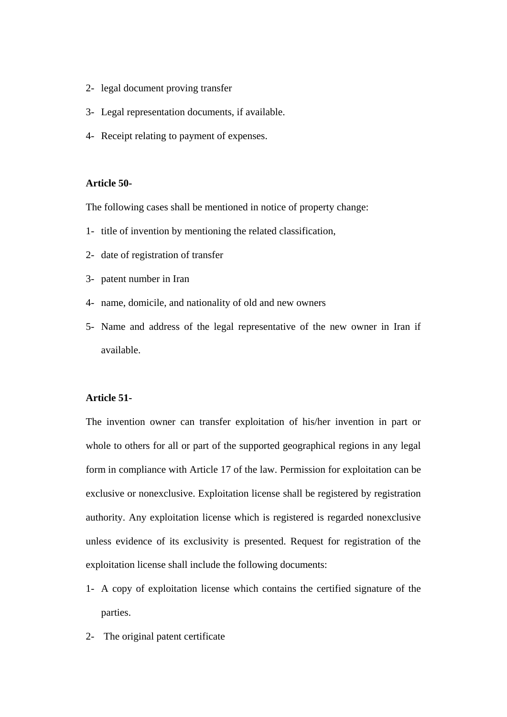- 2- legal document proving transfer
- 3- Legal representation documents, if available.
- 4- Receipt relating to payment of expenses.

### **Article 50-**

The following cases shall be mentioned in notice of property change:

- 1- title of invention by mentioning the related classification,
- 2- date of registration of transfer
- 3- patent number in Iran
- 4- name, domicile, and nationality of old and new owners
- 5- Name and address of the legal representative of the new owner in Iran if available.

#### **Article 51-**

The invention owner can transfer exploitation of his/her invention in part or whole to others for all or part of the supported geographical regions in any legal form in compliance with Article 17 of the law. Permission for exploitation can be exclusive or nonexclusive. Exploitation license shall be registered by registration authority. Any exploitation license which is registered is regarded nonexclusive unless evidence of its exclusivity is presented. Request for registration of the exploitation license shall include the following documents:

- 1- A copy of exploitation license which contains the certified signature of the parties.
- 2- The original patent certificate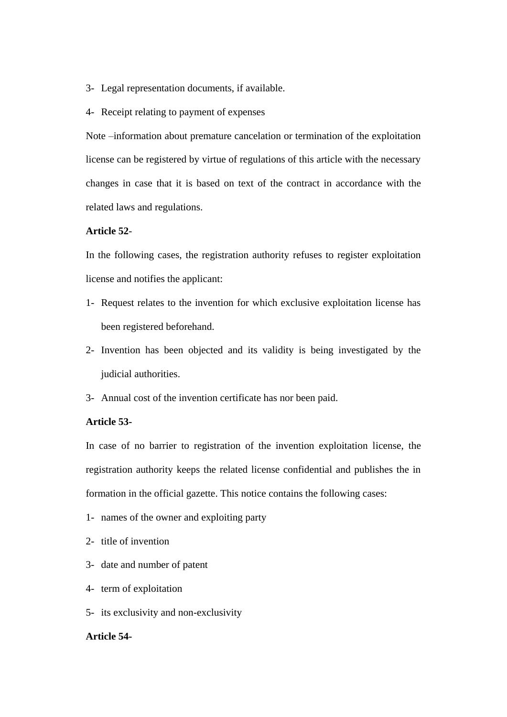- 3- Legal representation documents, if available.
- 4- Receipt relating to payment of expenses

Note –information about premature cancelation or termination of the exploitation license can be registered by virtue of regulations of this article with the necessary changes in case that it is based on text of the contract in accordance with the related laws and regulations.

# **Article 52**-

In the following cases, the registration authority refuses to register exploitation license and notifies the applicant:

- 1- Request relates to the invention for which exclusive exploitation license has been registered beforehand.
- 2- Invention has been objected and its validity is being investigated by the judicial authorities.
- 3- Annual cost of the invention certificate has nor been paid.

## **Article 53-**

In case of no barrier to registration of the invention exploitation license, the registration authority keeps the related license confidential and publishes the in formation in the official gazette. This notice contains the following cases:

- 1- names of the owner and exploiting party
- 2- title of invention
- 3- date and number of patent
- 4- term of exploitation
- 5- its exclusivity and non-exclusivity

#### **Article 54-**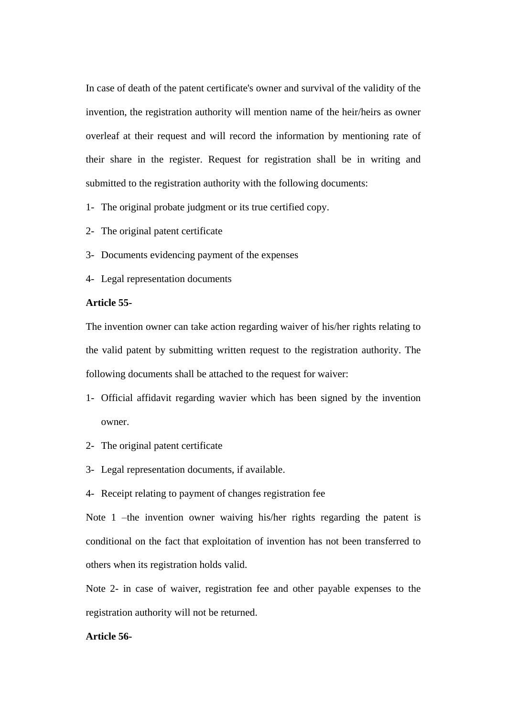In case of death of the patent certificate's owner and survival of the validity of the invention, the registration authority will mention name of the heir/heirs as owner overleaf at their request and will record the information by mentioning rate of their share in the register. Request for registration shall be in writing and submitted to the registration authority with the following documents:

1- The original probate judgment or its true certified copy.

2- The original patent certificate

- 3- Documents evidencing payment of the expenses
- 4- Legal representation documents

## **Article 55-**

The invention owner can take action regarding waiver of his/her rights relating to the valid patent by submitting written request to the registration authority. The following documents shall be attached to the request for waiver:

- 1- Official affidavit regarding wavier which has been signed by the invention owner.
- 2- The original patent certificate
- 3- Legal representation documents, if available.
- 4- Receipt relating to payment of changes registration fee

Note 1 –the invention owner waiving his/her rights regarding the patent is conditional on the fact that exploitation of invention has not been transferred to others when its registration holds valid.

Note 2- in case of waiver, registration fee and other payable expenses to the registration authority will not be returned.

#### **Article 56-**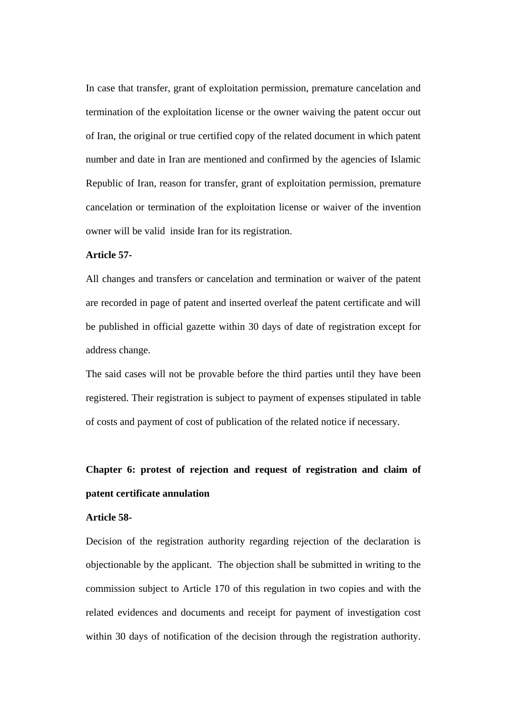In case that transfer, grant of exploitation permission, premature cancelation and termination of the exploitation license or the owner waiving the patent occur out of Iran, the original or true certified copy of the related document in which patent number and date in Iran are mentioned and confirmed by the agencies of Islamic Republic of Iran, reason for transfer, grant of exploitation permission, premature cancelation or termination of the exploitation license or waiver of the invention owner will be valid inside Iran for its registration.

#### **Article 57-**

All changes and transfers or cancelation and termination or waiver of the patent are recorded in page of patent and inserted overleaf the patent certificate and will be published in official gazette within 30 days of date of registration except for address change.

The said cases will not be provable before the third parties until they have been registered. Their registration is subject to payment of expenses stipulated in table of costs and payment of cost of publication of the related notice if necessary.

# **Chapter 6: protest of rejection and request of registration and claim of patent certificate annulation**

## **Article 58-**

Decision of the registration authority regarding rejection of the declaration is objectionable by the applicant. The objection shall be submitted in writing to the commission subject to Article 170 of this regulation in two copies and with the related evidences and documents and receipt for payment of investigation cost within 30 days of notification of the decision through the registration authority.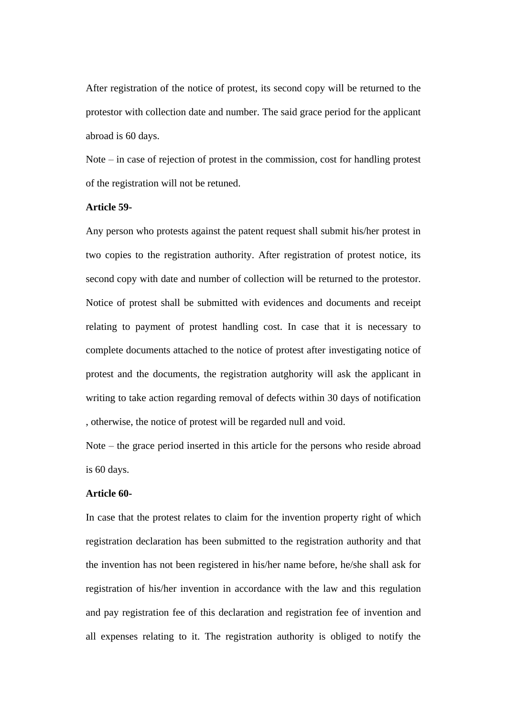After registration of the notice of protest, its second copy will be returned to the protestor with collection date and number. The said grace period for the applicant abroad is 60 days.

Note – in case of rejection of protest in the commission, cost for handling protest of the registration will not be retuned.

#### **Article 59-**

Any person who protests against the patent request shall submit his/her protest in two copies to the registration authority. After registration of protest notice, its second copy with date and number of collection will be returned to the protestor. Notice of protest shall be submitted with evidences and documents and receipt relating to payment of protest handling cost. In case that it is necessary to complete documents attached to the notice of protest after investigating notice of protest and the documents, the registration autghority will ask the applicant in writing to take action regarding removal of defects within 30 days of notification , otherwise, the notice of protest will be regarded null and void.

Note – the grace period inserted in this article for the persons who reside abroad is 60 days.

### **Article 60-**

In case that the protest relates to claim for the invention property right of which registration declaration has been submitted to the registration authority and that the invention has not been registered in his/her name before, he/she shall ask for registration of his/her invention in accordance with the law and this regulation and pay registration fee of this declaration and registration fee of invention and all expenses relating to it. The registration authority is obliged to notify the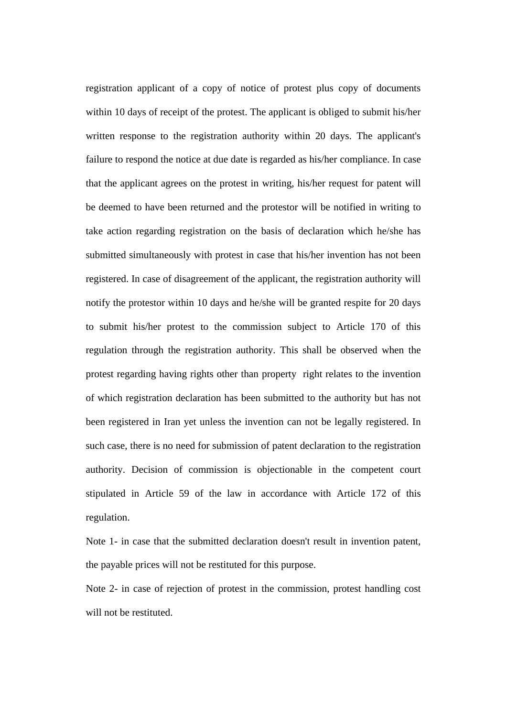registration applicant of a copy of notice of protest plus copy of documents within 10 days of receipt of the protest. The applicant is obliged to submit his/her written response to the registration authority within 20 days. The applicant's failure to respond the notice at due date is regarded as his/her compliance. In case that the applicant agrees on the protest in writing, his/her request for patent will be deemed to have been returned and the protestor will be notified in writing to take action regarding registration on the basis of declaration which he/she has submitted simultaneously with protest in case that his/her invention has not been registered. In case of disagreement of the applicant, the registration authority will notify the protestor within 10 days and he/she will be granted respite for 20 days to submit his/her protest to the commission subject to Article 170 of this regulation through the registration authority. This shall be observed when the protest regarding having rights other than property right relates to the invention of which registration declaration has been submitted to the authority but has not been registered in Iran yet unless the invention can not be legally registered. In such case, there is no need for submission of patent declaration to the registration authority. Decision of commission is objectionable in the competent court stipulated in Article 59 of the law in accordance with Article 172 of this regulation.

Note 1- in case that the submitted declaration doesn't result in invention patent, the payable prices will not be restituted for this purpose.

Note 2- in case of rejection of protest in the commission, protest handling cost will not be restituted.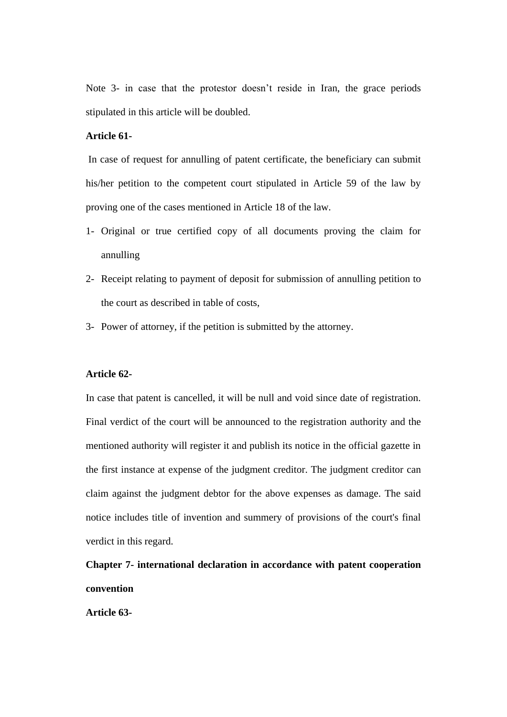Note 3- in case that the protestor doesn't reside in Iran, the grace periods stipulated in this article will be doubled.

# **Article 61-**

In case of request for annulling of patent certificate, the beneficiary can submit his/her petition to the competent court stipulated in Article 59 of the law by proving one of the cases mentioned in Article 18 of the law.

- 1- Original or true certified copy of all documents proving the claim for annulling
- 2- Receipt relating to payment of deposit for submission of annulling petition to the court as described in table of costs,
- 3- Power of attorney, if the petition is submitted by the attorney.

#### **Article 62-**

In case that patent is cancelled, it will be null and void since date of registration. Final verdict of the court will be announced to the registration authority and the mentioned authority will register it and publish its notice in the official gazette in the first instance at expense of the judgment creditor. The judgment creditor can claim against the judgment debtor for the above expenses as damage. The said notice includes title of invention and summery of provisions of the court's final verdict in this regard.

**Chapter 7- international declaration in accordance with patent cooperation convention**

**Article 63-**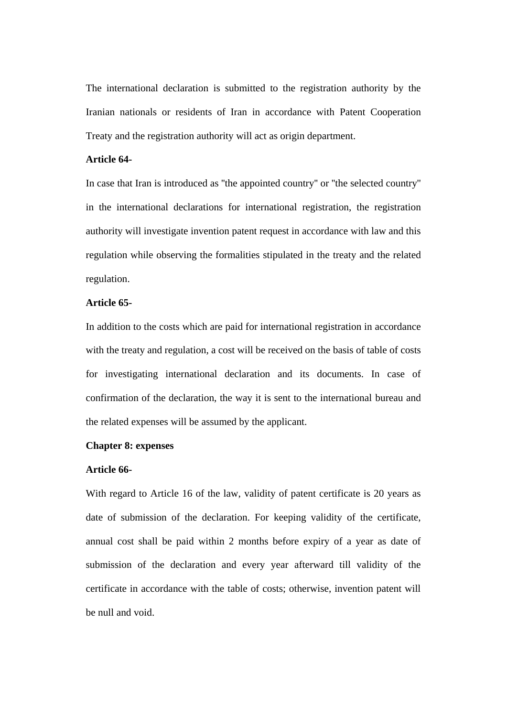The international declaration is submitted to the registration authority by the Iranian nationals or residents of Iran in accordance with Patent Cooperation Treaty and the registration authority will act as origin department.

#### **Article 64-**

In case that Iran is introduced as ''the appointed country'' or ''the selected country'' in the international declarations for international registration, the registration authority will investigate invention patent request in accordance with law and this regulation while observing the formalities stipulated in the treaty and the related regulation.

## **Article 65-**

In addition to the costs which are paid for international registration in accordance with the treaty and regulation, a cost will be received on the basis of table of costs for investigating international declaration and its documents. In case of confirmation of the declaration, the way it is sent to the international bureau and the related expenses will be assumed by the applicant.

### **Chapter 8: expenses**

## **Article 66-**

With regard to Article 16 of the law, validity of patent certificate is 20 years as date of submission of the declaration. For keeping validity of the certificate, annual cost shall be paid within 2 months before expiry of a year as date of submission of the declaration and every year afterward till validity of the certificate in accordance with the table of costs; otherwise, invention patent will be null and void.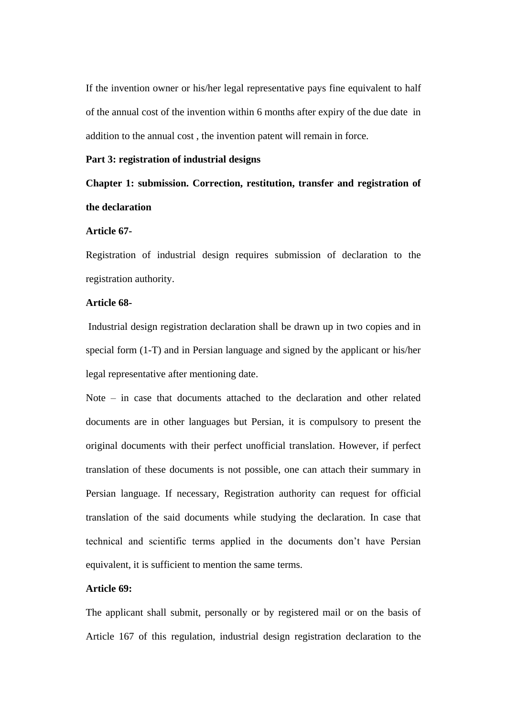If the invention owner or his/her legal representative pays fine equivalent to half of the annual cost of the invention within 6 months after expiry of the due date in addition to the annual cost , the invention patent will remain in force.

#### **Part 3: registration of industrial designs**

# **Chapter 1: submission. Correction, restitution, transfer and registration of the declaration**

### **Article 67-**

Registration of industrial design requires submission of declaration to the registration authority.

## **Article 68-**

Industrial design registration declaration shall be drawn up in two copies and in special form (1-T) and in Persian language and signed by the applicant or his/her legal representative after mentioning date.

Note – in case that documents attached to the declaration and other related documents are in other languages but Persian, it is compulsory to present the original documents with their perfect unofficial translation. However, if perfect translation of these documents is not possible, one can attach their summary in Persian language. If necessary, Registration authority can request for official translation of the said documents while studying the declaration. In case that technical and scientific terms applied in the documents don't have Persian equivalent, it is sufficient to mention the same terms.

#### **Article 69:**

The applicant shall submit, personally or by registered mail or on the basis of Article 167 of this regulation, industrial design registration declaration to the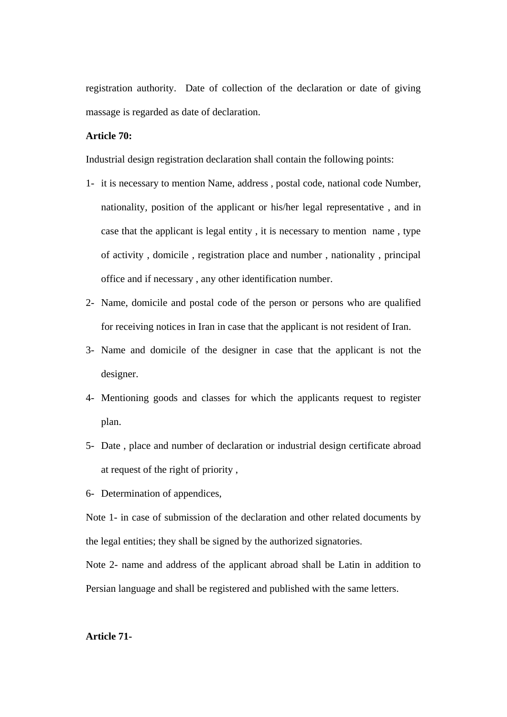registration authority. Date of collection of the declaration or date of giving massage is regarded as date of declaration.

# **Article 70:**

Industrial design registration declaration shall contain the following points:

- 1- it is necessary to mention Name, address , postal code, national code Number, nationality, position of the applicant or his/her legal representative , and in case that the applicant is legal entity , it is necessary to mention name , type of activity , domicile , registration place and number , nationality , principal office and if necessary , any other identification number.
- 2- Name, domicile and postal code of the person or persons who are qualified for receiving notices in Iran in case that the applicant is not resident of Iran.
- 3- Name and domicile of the designer in case that the applicant is not the designer.
- 4- Mentioning goods and classes for which the applicants request to register plan.
- 5- Date , place and number of declaration or industrial design certificate abroad at request of the right of priority ,
- 6- Determination of appendices,

Note 1- in case of submission of the declaration and other related documents by the legal entities; they shall be signed by the authorized signatories.

Note 2- name and address of the applicant abroad shall be Latin in addition to Persian language and shall be registered and published with the same letters.

#### **Article 71-**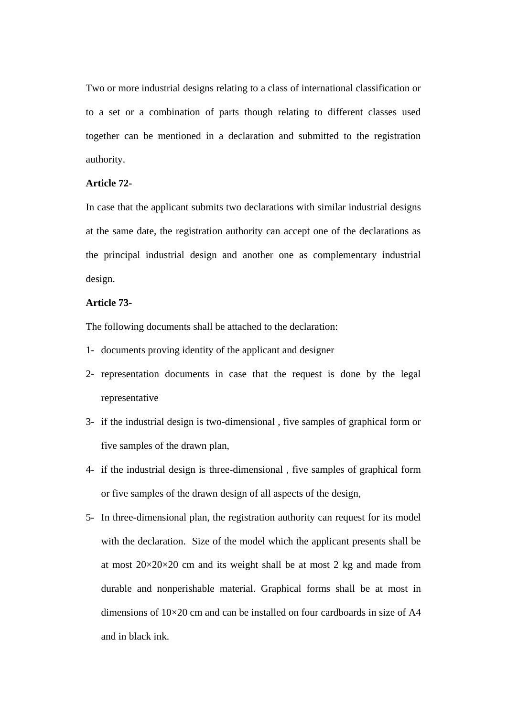Two or more industrial designs relating to a class of international classification or to a set or a combination of parts though relating to different classes used together can be mentioned in a declaration and submitted to the registration authority.

# **Article 72-**

In case that the applicant submits two declarations with similar industrial designs at the same date, the registration authority can accept one of the declarations as the principal industrial design and another one as complementary industrial design.

## **Article 73-**

The following documents shall be attached to the declaration:

- 1- documents proving identity of the applicant and designer
- 2- representation documents in case that the request is done by the legal representative
- 3- if the industrial design is two-dimensional , five samples of graphical form or five samples of the drawn plan,
- 4- if the industrial design is three-dimensional , five samples of graphical form or five samples of the drawn design of all aspects of the design,
- 5- In three-dimensional plan, the registration authority can request for its model with the declaration. Size of the model which the applicant presents shall be at most  $20 \times 20 \times 20$  cm and its weight shall be at most 2 kg and made from durable and nonperishable material. Graphical forms shall be at most in dimensions of  $10\times20$  cm and can be installed on four cardboards in size of A4 and in black ink.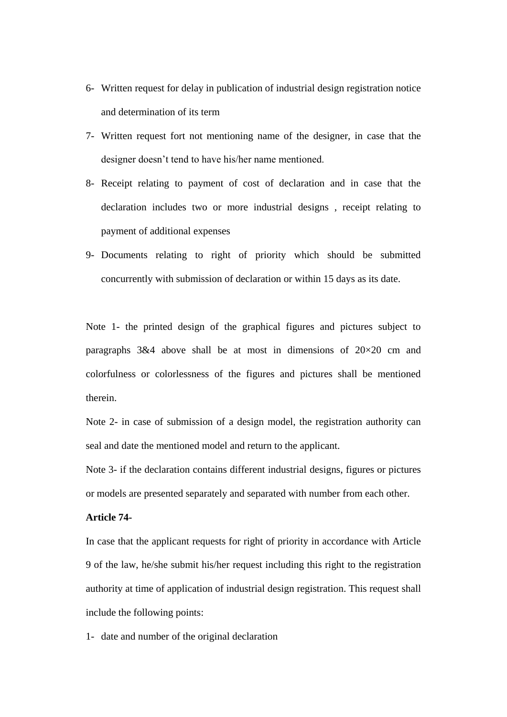- 6- Written request for delay in publication of industrial design registration notice and determination of its term
- 7- Written request fort not mentioning name of the designer, in case that the designer doesn't tend to have his/her name mentioned.
- 8- Receipt relating to payment of cost of declaration and in case that the declaration includes two or more industrial designs , receipt relating to payment of additional expenses
- 9- Documents relating to right of priority which should be submitted concurrently with submission of declaration or within 15 days as its date.

Note 1- the printed design of the graphical figures and pictures subject to paragraphs  $3\&4$  above shall be at most in dimensions of  $20\times20$  cm and colorfulness or colorlessness of the figures and pictures shall be mentioned therein.

Note 2- in case of submission of a design model, the registration authority can seal and date the mentioned model and return to the applicant.

Note 3- if the declaration contains different industrial designs, figures or pictures or models are presented separately and separated with number from each other.

# **Article 74-**

In case that the applicant requests for right of priority in accordance with Article 9 of the law, he/she submit his/her request including this right to the registration authority at time of application of industrial design registration. This request shall include the following points:

1- date and number of the original declaration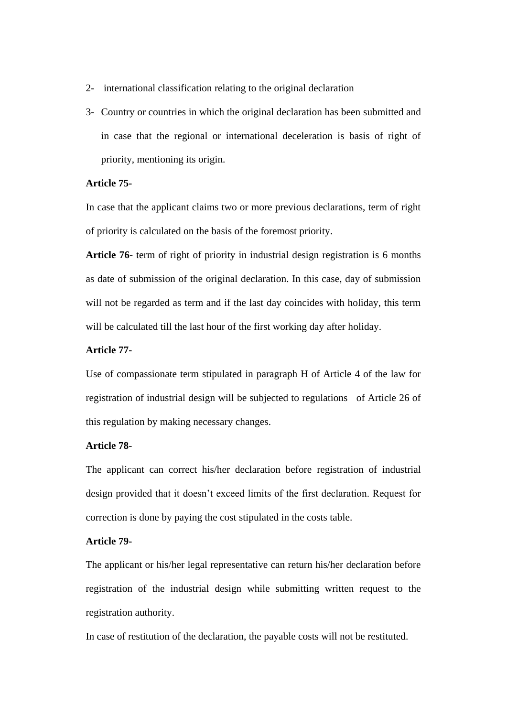- 2- international classification relating to the original declaration
- 3- Country or countries in which the original declaration has been submitted and in case that the regional or international deceleration is basis of right of priority, mentioning its origin.

# **Article 75-**

In case that the applicant claims two or more previous declarations, term of right of priority is calculated on the basis of the foremost priority.

**Article 76**- term of right of priority in industrial design registration is 6 months as date of submission of the original declaration. In this case, day of submission will not be regarded as term and if the last day coincides with holiday, this term will be calculated till the last hour of the first working day after holiday.

# **Article 77-**

Use of compassionate term stipulated in paragraph H of Article 4 of the law for registration of industrial design will be subjected to regulations of Article 26 of this regulation by making necessary changes.

## **Article 78**-

The applicant can correct his/her declaration before registration of industrial design provided that it doesn't exceed limits of the first declaration. Request for correction is done by paying the cost stipulated in the costs table.

# **Article 79-**

The applicant or his/her legal representative can return his/her declaration before registration of the industrial design while submitting written request to the registration authority.

In case of restitution of the declaration, the payable costs will not be restituted.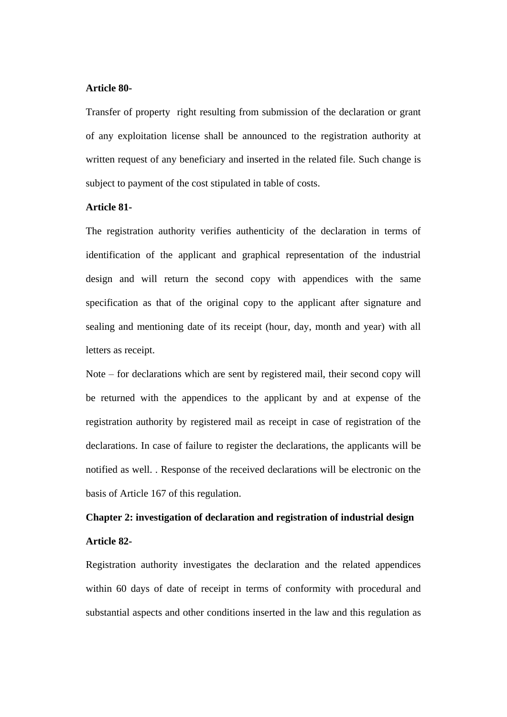#### **Article 80-**

Transfer of property right resulting from submission of the declaration or grant of any exploitation license shall be announced to the registration authority at written request of any beneficiary and inserted in the related file. Such change is subject to payment of the cost stipulated in table of costs.

## **Article 81-**

The registration authority verifies authenticity of the declaration in terms of identification of the applicant and graphical representation of the industrial design and will return the second copy with appendices with the same specification as that of the original copy to the applicant after signature and sealing and mentioning date of its receipt (hour, day, month and year) with all letters as receipt.

Note – for declarations which are sent by registered mail, their second copy will be returned with the appendices to the applicant by and at expense of the registration authority by registered mail as receipt in case of registration of the declarations. In case of failure to register the declarations, the applicants will be notified as well. . Response of the received declarations will be electronic on the basis of Article 167 of this regulation.

# **Chapter 2: investigation of declaration and registration of industrial design Article 82-**

Registration authority investigates the declaration and the related appendices within 60 days of date of receipt in terms of conformity with procedural and substantial aspects and other conditions inserted in the law and this regulation as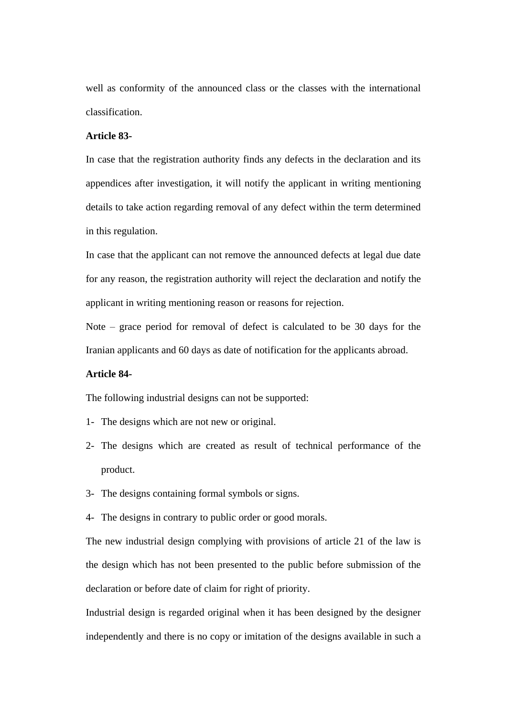well as conformity of the announced class or the classes with the international classification.

# **Article 83-**

In case that the registration authority finds any defects in the declaration and its appendices after investigation, it will notify the applicant in writing mentioning details to take action regarding removal of any defect within the term determined in this regulation.

In case that the applicant can not remove the announced defects at legal due date for any reason, the registration authority will reject the declaration and notify the applicant in writing mentioning reason or reasons for rejection.

Note – grace period for removal of defect is calculated to be 30 days for the Iranian applicants and 60 days as date of notification for the applicants abroad.

# **Article 84-**

The following industrial designs can not be supported:

- 1- The designs which are not new or original.
- 2- The designs which are created as result of technical performance of the product.
- 3- The designs containing formal symbols or signs.
- 4- The designs in contrary to public order or good morals.

The new industrial design complying with provisions of article 21 of the law is the design which has not been presented to the public before submission of the declaration or before date of claim for right of priority.

Industrial design is regarded original when it has been designed by the designer independently and there is no copy or imitation of the designs available in such a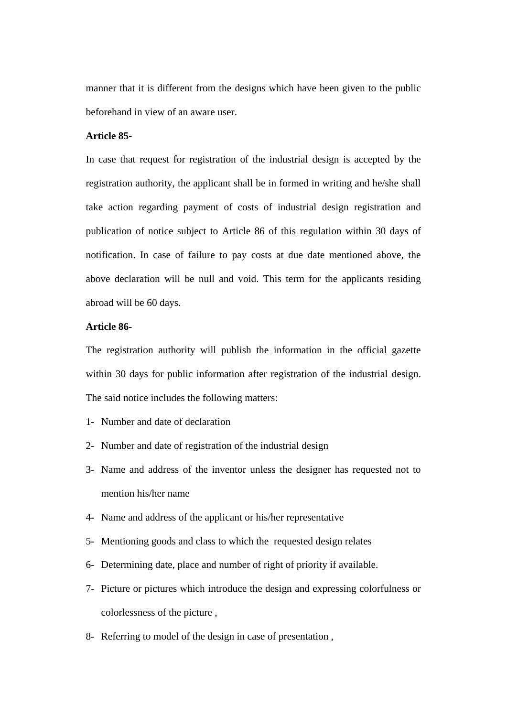manner that it is different from the designs which have been given to the public beforehand in view of an aware user.

# **Article 85-**

In case that request for registration of the industrial design is accepted by the registration authority, the applicant shall be in formed in writing and he/she shall take action regarding payment of costs of industrial design registration and publication of notice subject to Article 86 of this regulation within 30 days of notification. In case of failure to pay costs at due date mentioned above, the above declaration will be null and void. This term for the applicants residing abroad will be 60 days.

## **Article 86-**

The registration authority will publish the information in the official gazette within 30 days for public information after registration of the industrial design. The said notice includes the following matters:

- 1- Number and date of declaration
- 2- Number and date of registration of the industrial design
- 3- Name and address of the inventor unless the designer has requested not to mention his/her name
- 4- Name and address of the applicant or his/her representative
- 5- Mentioning goods and class to which the requested design relates
- 6- Determining date, place and number of right of priority if available.
- 7- Picture or pictures which introduce the design and expressing colorfulness or colorlessness of the picture ,
- 8- Referring to model of the design in case of presentation ,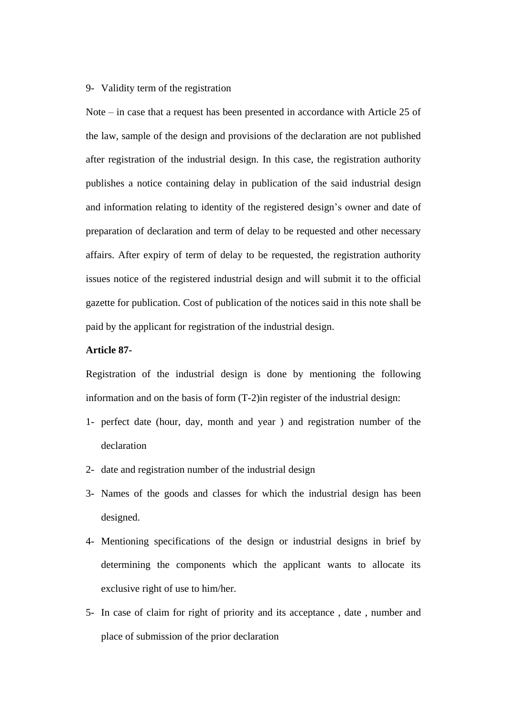## 9- Validity term of the registration

Note – in case that a request has been presented in accordance with Article 25 of the law, sample of the design and provisions of the declaration are not published after registration of the industrial design. In this case, the registration authority publishes a notice containing delay in publication of the said industrial design and information relating to identity of the registered design's owner and date of preparation of declaration and term of delay to be requested and other necessary affairs. After expiry of term of delay to be requested, the registration authority issues notice of the registered industrial design and will submit it to the official gazette for publication. Cost of publication of the notices said in this note shall be paid by the applicant for registration of the industrial design.

# **Article 87-**

Registration of the industrial design is done by mentioning the following information and on the basis of form (T-2)in register of the industrial design:

- 1- perfect date (hour, day, month and year ) and registration number of the declaration
- 2- date and registration number of the industrial design
- 3- Names of the goods and classes for which the industrial design has been designed.
- 4- Mentioning specifications of the design or industrial designs in brief by determining the components which the applicant wants to allocate its exclusive right of use to him/her.
- 5- In case of claim for right of priority and its acceptance , date , number and place of submission of the prior declaration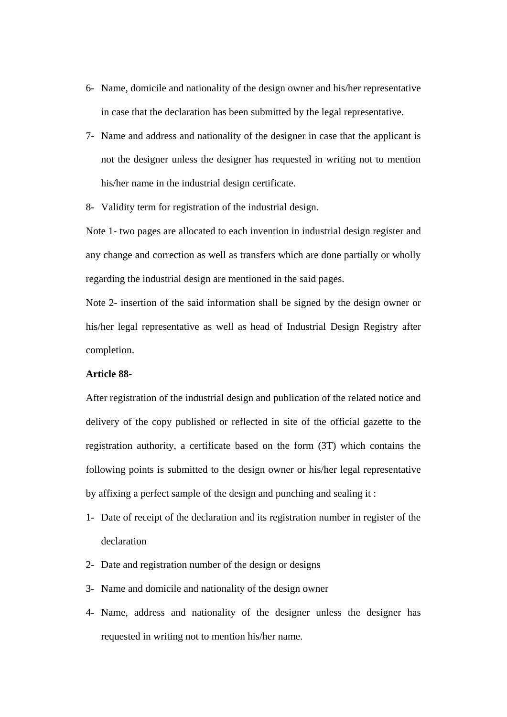- 6- Name, domicile and nationality of the design owner and his/her representative in case that the declaration has been submitted by the legal representative.
- 7- Name and address and nationality of the designer in case that the applicant is not the designer unless the designer has requested in writing not to mention his/her name in the industrial design certificate.

8- Validity term for registration of the industrial design.

Note 1- two pages are allocated to each invention in industrial design register and any change and correction as well as transfers which are done partially or wholly regarding the industrial design are mentioned in the said pages.

Note 2- insertion of the said information shall be signed by the design owner or his/her legal representative as well as head of Industrial Design Registry after completion.

#### **Article 88-**

After registration of the industrial design and publication of the related notice and delivery of the copy published or reflected in site of the official gazette to the registration authority, a certificate based on the form (3T) which contains the following points is submitted to the design owner or his/her legal representative by affixing a perfect sample of the design and punching and sealing it :

- 1- Date of receipt of the declaration and its registration number in register of the declaration
- 2- Date and registration number of the design or designs
- 3- Name and domicile and nationality of the design owner
- 4- Name, address and nationality of the designer unless the designer has requested in writing not to mention his/her name.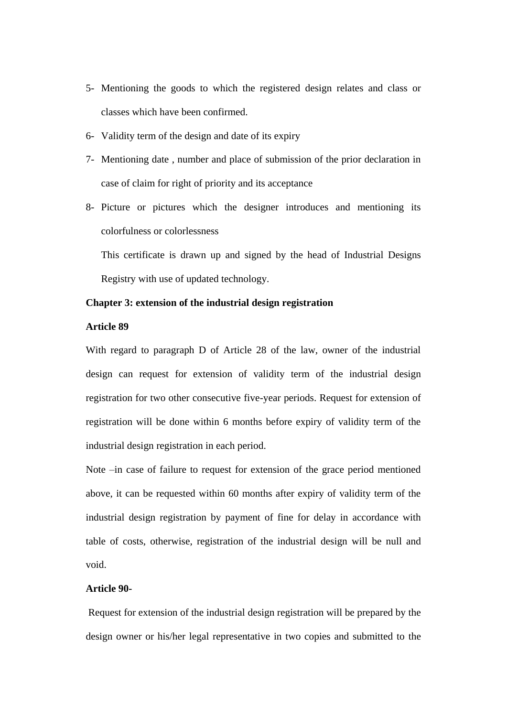- 5- Mentioning the goods to which the registered design relates and class or classes which have been confirmed.
- 6- Validity term of the design and date of its expiry
- 7- Mentioning date , number and place of submission of the prior declaration in case of claim for right of priority and its acceptance
- 8- Picture or pictures which the designer introduces and mentioning its colorfulness or colorlessness

This certificate is drawn up and signed by the head of Industrial Designs Registry with use of updated technology.

## **Chapter 3: extension of the industrial design registration**

# **Article 89**

With regard to paragraph D of Article 28 of the law, owner of the industrial design can request for extension of validity term of the industrial design registration for two other consecutive five-year periods. Request for extension of registration will be done within 6 months before expiry of validity term of the industrial design registration in each period.

Note –in case of failure to request for extension of the grace period mentioned above, it can be requested within 60 months after expiry of validity term of the industrial design registration by payment of fine for delay in accordance with table of costs, otherwise, registration of the industrial design will be null and void.

#### **Article 90-**

Request for extension of the industrial design registration will be prepared by the design owner or his/her legal representative in two copies and submitted to the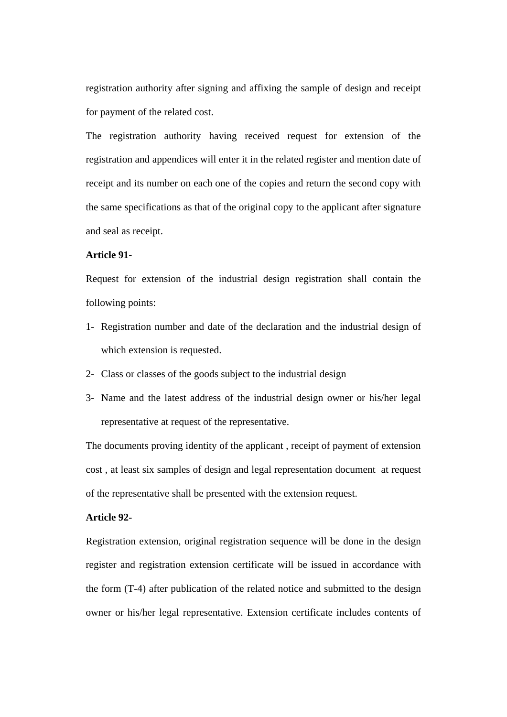registration authority after signing and affixing the sample of design and receipt for payment of the related cost.

The registration authority having received request for extension of the registration and appendices will enter it in the related register and mention date of receipt and its number on each one of the copies and return the second copy with the same specifications as that of the original copy to the applicant after signature and seal as receipt.

## **Article 91-**

Request for extension of the industrial design registration shall contain the following points:

- 1- Registration number and date of the declaration and the industrial design of which extension is requested.
- 2- Class or classes of the goods subject to the industrial design
- 3- Name and the latest address of the industrial design owner or his/her legal representative at request of the representative.

The documents proving identity of the applicant , receipt of payment of extension cost , at least six samples of design and legal representation document at request of the representative shall be presented with the extension request.

# **Article 92-**

Registration extension, original registration sequence will be done in the design register and registration extension certificate will be issued in accordance with the form (T-4) after publication of the related notice and submitted to the design owner or his/her legal representative. Extension certificate includes contents of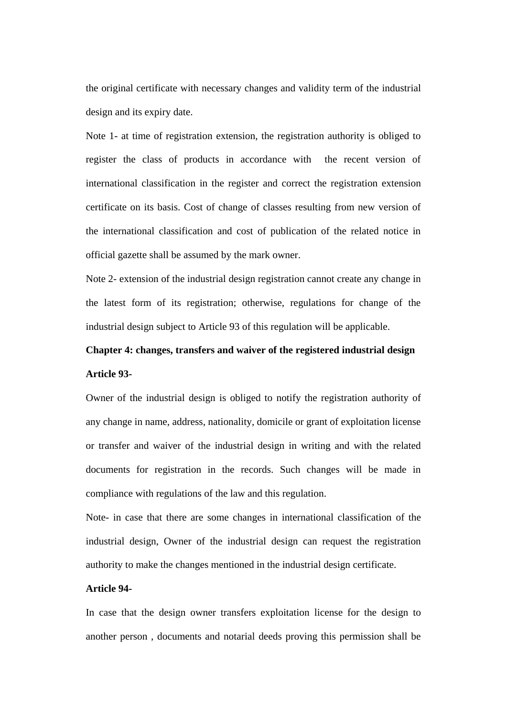the original certificate with necessary changes and validity term of the industrial design and its expiry date.

Note 1- at time of registration extension, the registration authority is obliged to register the class of products in accordance with the recent version of international classification in the register and correct the registration extension certificate on its basis. Cost of change of classes resulting from new version of the international classification and cost of publication of the related notice in official gazette shall be assumed by the mark owner.

Note 2- extension of the industrial design registration cannot create any change in the latest form of its registration; otherwise, regulations for change of the industrial design subject to Article 93 of this regulation will be applicable.

# **Chapter 4: changes, transfers and waiver of the registered industrial design Article 93-**

Owner of the industrial design is obliged to notify the registration authority of any change in name, address, nationality, domicile or grant of exploitation license or transfer and waiver of the industrial design in writing and with the related documents for registration in the records. Such changes will be made in compliance with regulations of the law and this regulation.

Note- in case that there are some changes in international classification of the industrial design, Owner of the industrial design can request the registration authority to make the changes mentioned in the industrial design certificate.

# **Article 94-**

In case that the design owner transfers exploitation license for the design to another person , documents and notarial deeds proving this permission shall be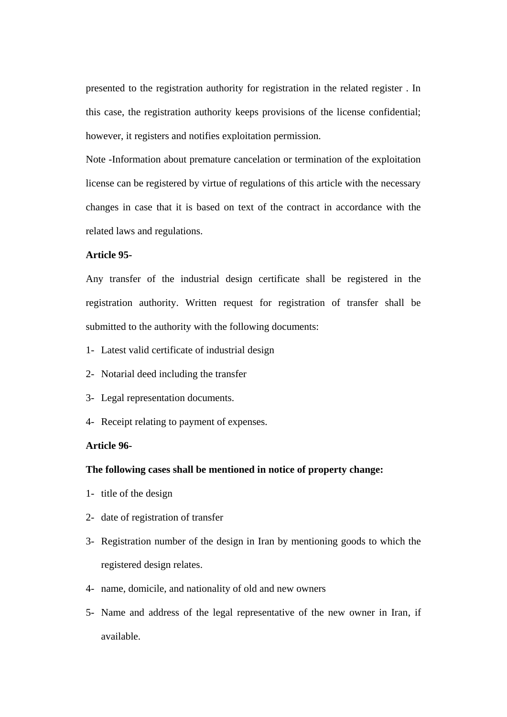presented to the registration authority for registration in the related register . In this case, the registration authority keeps provisions of the license confidential; however, it registers and notifies exploitation permission.

Note -Information about premature cancelation or termination of the exploitation license can be registered by virtue of regulations of this article with the necessary changes in case that it is based on text of the contract in accordance with the related laws and regulations.

## **Article 95-**

Any transfer of the industrial design certificate shall be registered in the registration authority. Written request for registration of transfer shall be submitted to the authority with the following documents:

- 1- Latest valid certificate of industrial design
- 2- Notarial deed including the transfer
- 3- Legal representation documents.
- 4- Receipt relating to payment of expenses.

# **Article 96-**

## **The following cases shall be mentioned in notice of property change:**

- 1- title of the design
- 2- date of registration of transfer
- 3- Registration number of the design in Iran by mentioning goods to which the registered design relates.
- 4- name, domicile, and nationality of old and new owners
- 5- Name and address of the legal representative of the new owner in Iran, if available.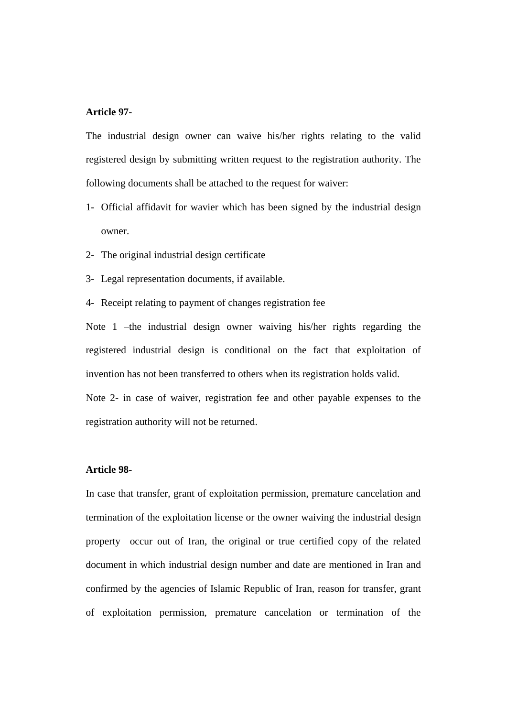## **Article 97-**

The industrial design owner can waive his/her rights relating to the valid registered design by submitting written request to the registration authority. The following documents shall be attached to the request for waiver:

- 1- Official affidavit for wavier which has been signed by the industrial design owner.
- 2- The original industrial design certificate
- 3- Legal representation documents, if available.
- 4- Receipt relating to payment of changes registration fee

Note 1 –the industrial design owner waiving his/her rights regarding the registered industrial design is conditional on the fact that exploitation of invention has not been transferred to others when its registration holds valid. Note 2- in case of waiver, registration fee and other payable expenses to the

registration authority will not be returned.

#### **Article 98-**

In case that transfer, grant of exploitation permission, premature cancelation and termination of the exploitation license or the owner waiving the industrial design property occur out of Iran, the original or true certified copy of the related document in which industrial design number and date are mentioned in Iran and confirmed by the agencies of Islamic Republic of Iran, reason for transfer, grant of exploitation permission, premature cancelation or termination of the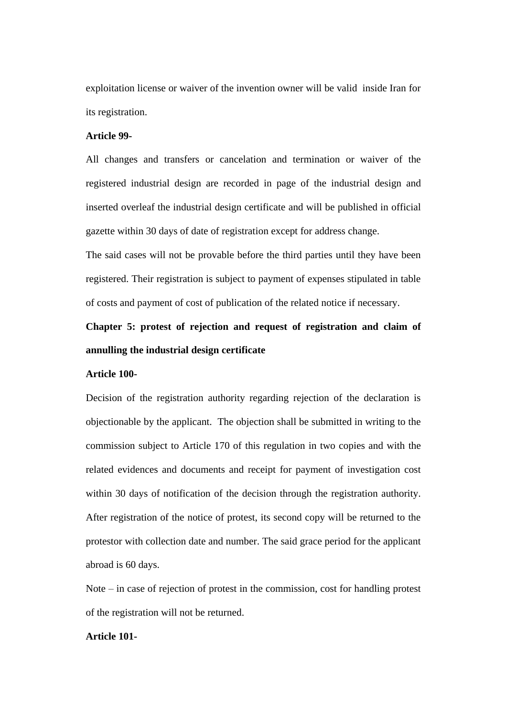exploitation license or waiver of the invention owner will be valid inside Iran for its registration.

## **Article 99-**

All changes and transfers or cancelation and termination or waiver of the registered industrial design are recorded in page of the industrial design and inserted overleaf the industrial design certificate and will be published in official gazette within 30 days of date of registration except for address change.

The said cases will not be provable before the third parties until they have been registered. Their registration is subject to payment of expenses stipulated in table of costs and payment of cost of publication of the related notice if necessary.

# **Chapter 5: protest of rejection and request of registration and claim of annulling the industrial design certificate**

#### **Article 100-**

Decision of the registration authority regarding rejection of the declaration is objectionable by the applicant. The objection shall be submitted in writing to the commission subject to Article 170 of this regulation in two copies and with the related evidences and documents and receipt for payment of investigation cost within 30 days of notification of the decision through the registration authority. After registration of the notice of protest, its second copy will be returned to the protestor with collection date and number. The said grace period for the applicant abroad is 60 days.

Note – in case of rejection of protest in the commission, cost for handling protest of the registration will not be returned.

# **Article 101-**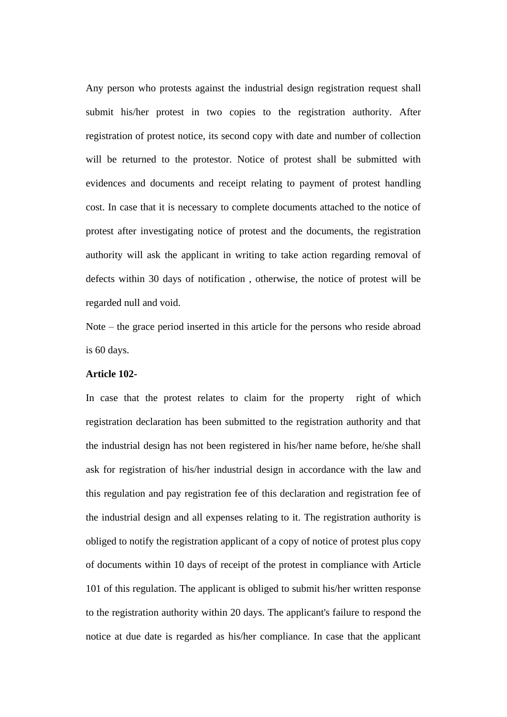Any person who protests against the industrial design registration request shall submit his/her protest in two copies to the registration authority. After registration of protest notice, its second copy with date and number of collection will be returned to the protestor. Notice of protest shall be submitted with evidences and documents and receipt relating to payment of protest handling cost. In case that it is necessary to complete documents attached to the notice of protest after investigating notice of protest and the documents, the registration authority will ask the applicant in writing to take action regarding removal of defects within 30 days of notification , otherwise, the notice of protest will be regarded null and void.

Note – the grace period inserted in this article for the persons who reside abroad is 60 days.

#### **Article 102-**

In case that the protest relates to claim for the property right of which registration declaration has been submitted to the registration authority and that the industrial design has not been registered in his/her name before, he/she shall ask for registration of his/her industrial design in accordance with the law and this regulation and pay registration fee of this declaration and registration fee of the industrial design and all expenses relating to it. The registration authority is obliged to notify the registration applicant of a copy of notice of protest plus copy of documents within 10 days of receipt of the protest in compliance with Article 101 of this regulation. The applicant is obliged to submit his/her written response to the registration authority within 20 days. The applicant's failure to respond the notice at due date is regarded as his/her compliance. In case that the applicant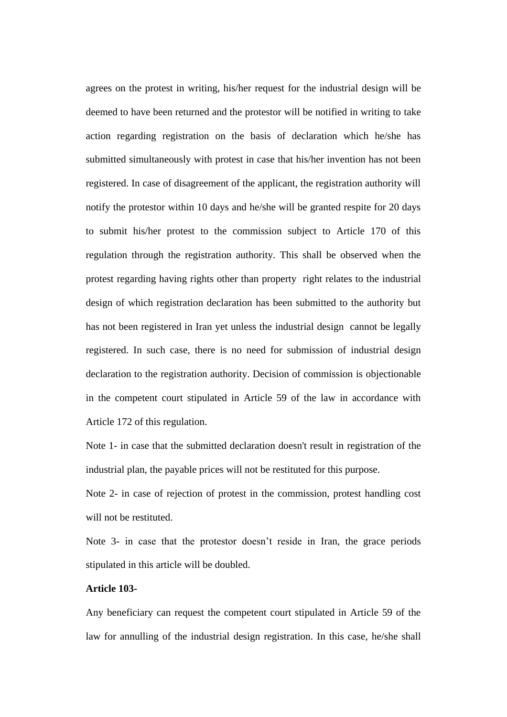agrees on the protest in writing, his/her request for the industrial design will be deemed to have been returned and the protestor will be notified in writing to take action regarding registration on the basis of declaration which he/she has submitted simultaneously with protest in case that his/her invention has not been registered. In case of disagreement of the applicant, the registration authority will notify the protestor within 10 days and he/she will be granted respite for 20 days to submit his/her protest to the commission subject to Article 170 of this regulation through the registration authority. This shall be observed when the protest regarding having rights other than property right relates to the industrial design of which registration declaration has been submitted to the authority but has not been registered in Iran yet unless the industrial design cannot be legally registered. In such case, there is no need for submission of industrial design declaration to the registration authority. Decision of commission is objectionable in the competent court stipulated in Article 59 of the law in accordance with Article 172 of this regulation.

Note 1- in case that the submitted declaration doesn't result in registration of the industrial plan, the payable prices will not be restituted for this purpose.

Note 2- in case of rejection of protest in the commission, protest handling cost will not be restituted.

Note 3- in case that the protestor doesn't reside in Iran, the grace periods stipulated in this article will be doubled.

# **Article 103-**

Any beneficiary can request the competent court stipulated in Article 59 of the law for annulling of the industrial design registration. In this case, he/she shall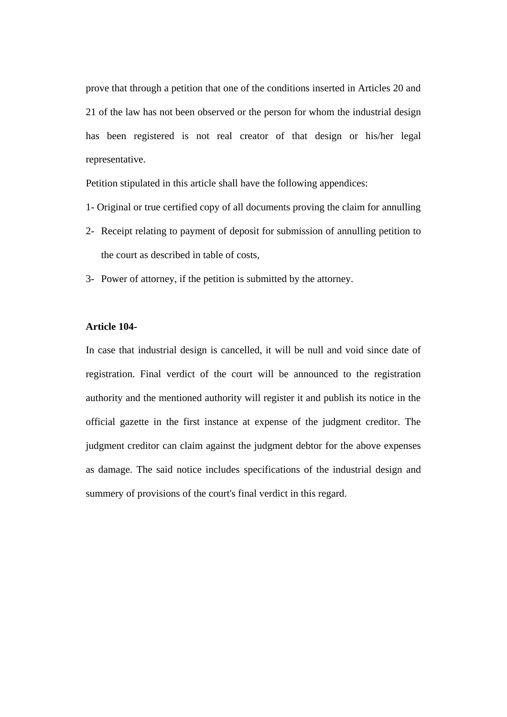prove that through a petition that one of the conditions inserted in Articles 20 and 21 of the law has not been observed or the person for whom the industrial design has been registered is not real creator of that design or his/her legal representative.

Petition stipulated in this article shall have the following appendices:

- 1- Original or true certified copy of all documents proving the claim for annulling
- 2- Receipt relating to payment of deposit for submission of annulling petition to the court as described in table of costs,
- 3- Power of attorney, if the petition is submitted by the attorney.

# **Article 104-**

In case that industrial design is cancelled, it will be null and void since date of registration. Final verdict of the court will be announced to the registration authority and the mentioned authority will register it and publish its notice in the official gazette in the first instance at expense of the judgment creditor. The judgment creditor can claim against the judgment debtor for the above expenses as damage. The said notice includes specifications of the industrial design and summery of provisions of the court's final verdict in this regard.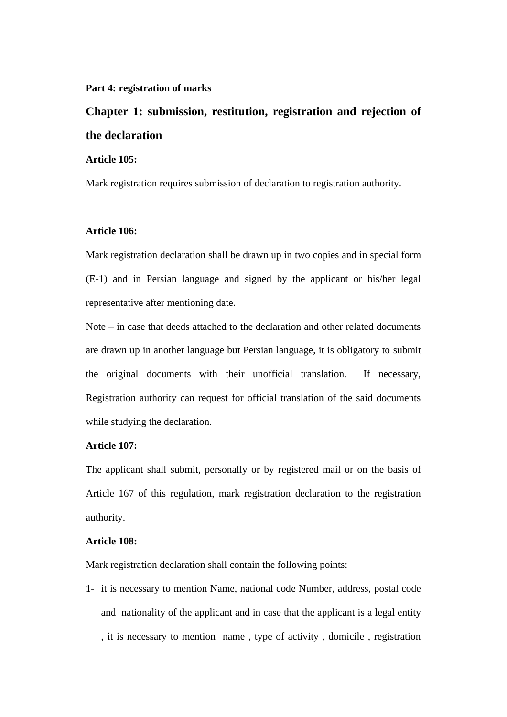#### **Part 4: registration of marks**

# **Chapter 1: submission, restitution, registration and rejection of the declaration**

# **Article 105:**

Mark registration requires submission of declaration to registration authority.

# **Article 106:**

Mark registration declaration shall be drawn up in two copies and in special form (E-1) and in Persian language and signed by the applicant or his/her legal representative after mentioning date.

Note  $-$  in case that deeds attached to the declaration and other related documents are drawn up in another language but Persian language, it is obligatory to submit the original documents with their unofficial translation. If necessary, Registration authority can request for official translation of the said documents while studying the declaration.

# **Article 107:**

The applicant shall submit, personally or by registered mail or on the basis of Article 167 of this regulation, mark registration declaration to the registration authority.

## **Article 108:**

Mark registration declaration shall contain the following points:

1- it is necessary to mention Name, national code Number, address, postal code and nationality of the applicant and in case that the applicant is a legal entity , it is necessary to mention name , type of activity , domicile , registration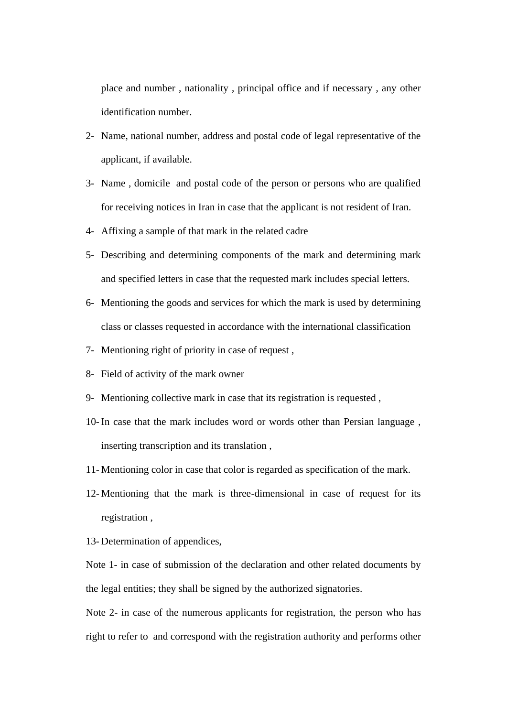place and number , nationality , principal office and if necessary , any other identification number.

- 2- Name, national number, address and postal code of legal representative of the applicant, if available.
- 3- Name , domicile and postal code of the person or persons who are qualified for receiving notices in Iran in case that the applicant is not resident of Iran.
- 4- Affixing a sample of that mark in the related cadre
- 5- Describing and determining components of the mark and determining mark and specified letters in case that the requested mark includes special letters.
- 6- Mentioning the goods and services for which the mark is used by determining class or classes requested in accordance with the international classification
- 7- Mentioning right of priority in case of request ,
- 8- Field of activity of the mark owner
- 9- Mentioning collective mark in case that its registration is requested ,
- 10- In case that the mark includes word or words other than Persian language , inserting transcription and its translation ,
- 11- Mentioning color in case that color is regarded as specification of the mark.
- 12- Mentioning that the mark is three-dimensional in case of request for its registration ,
- 13- Determination of appendices,

Note 1- in case of submission of the declaration and other related documents by the legal entities; they shall be signed by the authorized signatories.

Note 2- in case of the numerous applicants for registration, the person who has right to refer to and correspond with the registration authority and performs other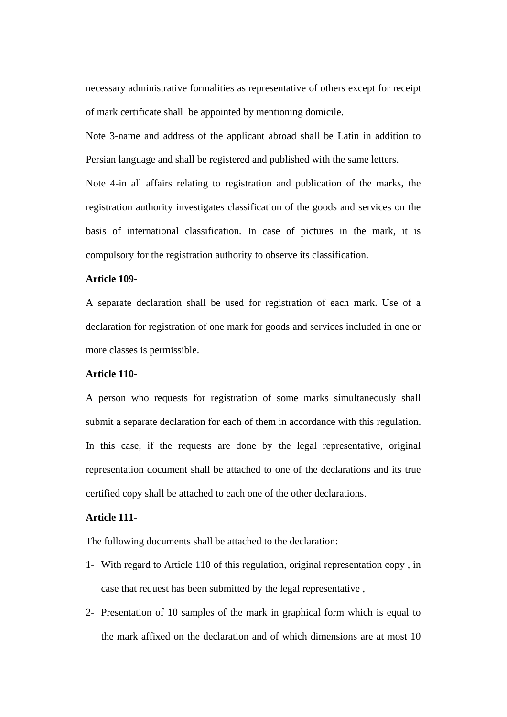necessary administrative formalities as representative of others except for receipt of mark certificate shall be appointed by mentioning domicile.

Note 3-name and address of the applicant abroad shall be Latin in addition to Persian language and shall be registered and published with the same letters.

Note 4-in all affairs relating to registration and publication of the marks, the registration authority investigates classification of the goods and services on the basis of international classification. In case of pictures in the mark, it is compulsory for the registration authority to observe its classification.

# **Article 109-**

A separate declaration shall be used for registration of each mark. Use of a declaration for registration of one mark for goods and services included in one or more classes is permissible.

#### **Article 110-**

A person who requests for registration of some marks simultaneously shall submit a separate declaration for each of them in accordance with this regulation. In this case, if the requests are done by the legal representative, original representation document shall be attached to one of the declarations and its true certified copy shall be attached to each one of the other declarations.

# **Article 111-**

The following documents shall be attached to the declaration:

- 1- With regard to Article 110 of this regulation, original representation copy , in case that request has been submitted by the legal representative ,
- 2- Presentation of 10 samples of the mark in graphical form which is equal to the mark affixed on the declaration and of which dimensions are at most 10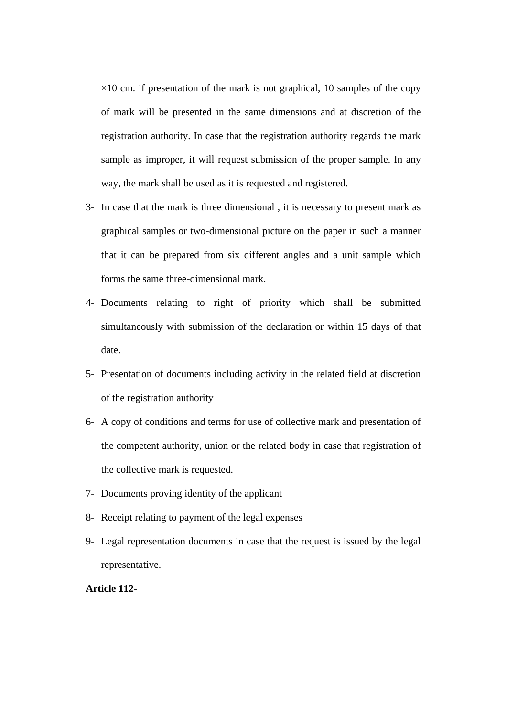$\times$ 10 cm. if presentation of the mark is not graphical, 10 samples of the copy of mark will be presented in the same dimensions and at discretion of the registration authority. In case that the registration authority regards the mark sample as improper, it will request submission of the proper sample. In any way, the mark shall be used as it is requested and registered.

- 3- In case that the mark is three dimensional , it is necessary to present mark as graphical samples or two-dimensional picture on the paper in such a manner that it can be prepared from six different angles and a unit sample which forms the same three-dimensional mark.
- 4- Documents relating to right of priority which shall be submitted simultaneously with submission of the declaration or within 15 days of that date.
- 5- Presentation of documents including activity in the related field at discretion of the registration authority
- 6- A copy of conditions and terms for use of collective mark and presentation of the competent authority, union or the related body in case that registration of the collective mark is requested.
- 7- Documents proving identity of the applicant
- 8- Receipt relating to payment of the legal expenses
- 9- Legal representation documents in case that the request is issued by the legal representative.

# **Article 112-**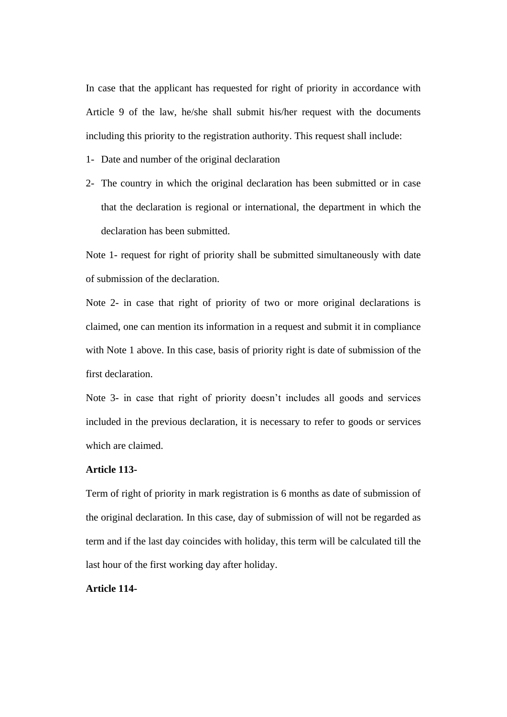In case that the applicant has requested for right of priority in accordance with Article 9 of the law, he/she shall submit his/her request with the documents including this priority to the registration authority. This request shall include:

- 1- Date and number of the original declaration
- 2- The country in which the original declaration has been submitted or in case that the declaration is regional or international, the department in which the declaration has been submitted.

Note 1- request for right of priority shall be submitted simultaneously with date of submission of the declaration.

Note 2- in case that right of priority of two or more original declarations is claimed, one can mention its information in a request and submit it in compliance with Note 1 above. In this case, basis of priority right is date of submission of the first declaration.

Note 3- in case that right of priority doesn't includes all goods and services included in the previous declaration, it is necessary to refer to goods or services which are claimed.

# **Article 113-**

Term of right of priority in mark registration is 6 months as date of submission of the original declaration. In this case, day of submission of will not be regarded as term and if the last day coincides with holiday, this term will be calculated till the last hour of the first working day after holiday.

## **Article 114-**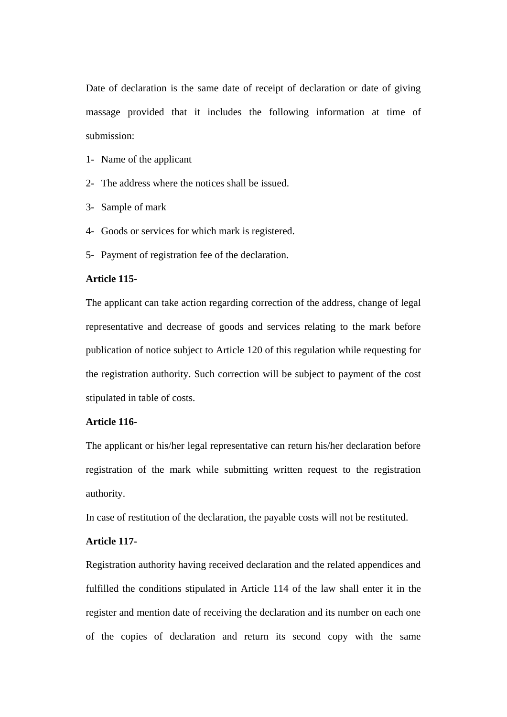Date of declaration is the same date of receipt of declaration or date of giving massage provided that it includes the following information at time of submission:

- 1- Name of the applicant
- 2- The address where the notices shall be issued.
- 3- Sample of mark
- 4- Goods or services for which mark is registered.
- 5- Payment of registration fee of the declaration.

# **Article 115-**

The applicant can take action regarding correction of the address, change of legal representative and decrease of goods and services relating to the mark before publication of notice subject to Article 120 of this regulation while requesting for the registration authority. Such correction will be subject to payment of the cost stipulated in table of costs.

#### **Article 116-**

The applicant or his/her legal representative can return his/her declaration before registration of the mark while submitting written request to the registration authority.

In case of restitution of the declaration, the payable costs will not be restituted.

# **Article 117-**

Registration authority having received declaration and the related appendices and fulfilled the conditions stipulated in Article 114 of the law shall enter it in the register and mention date of receiving the declaration and its number on each one of the copies of declaration and return its second copy with the same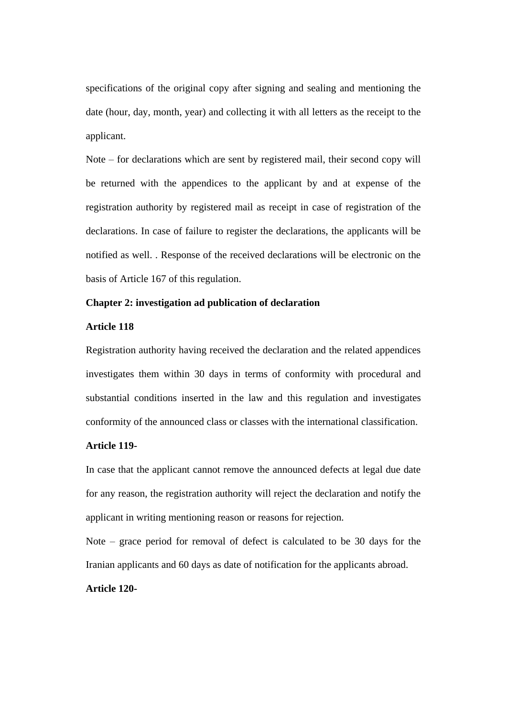specifications of the original copy after signing and sealing and mentioning the date (hour, day, month, year) and collecting it with all letters as the receipt to the applicant.

Note – for declarations which are sent by registered mail, their second copy will be returned with the appendices to the applicant by and at expense of the registration authority by registered mail as receipt in case of registration of the declarations. In case of failure to register the declarations, the applicants will be notified as well. . Response of the received declarations will be electronic on the basis of Article 167 of this regulation.

# **Chapter 2: investigation ad publication of declaration**

## **Article 118**

Registration authority having received the declaration and the related appendices investigates them within 30 days in terms of conformity with procedural and substantial conditions inserted in the law and this regulation and investigates conformity of the announced class or classes with the international classification.

# **Article 119-**

In case that the applicant cannot remove the announced defects at legal due date for any reason, the registration authority will reject the declaration and notify the applicant in writing mentioning reason or reasons for rejection.

Note – grace period for removal of defect is calculated to be 30 days for the Iranian applicants and 60 days as date of notification for the applicants abroad.

## **Article 120-**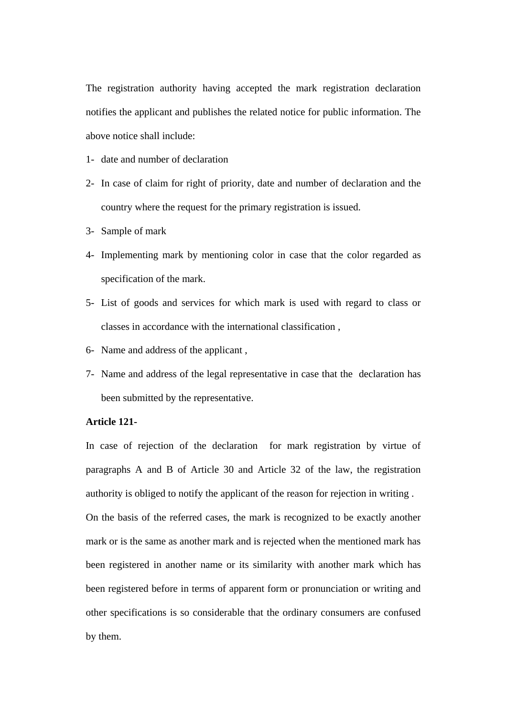The registration authority having accepted the mark registration declaration notifies the applicant and publishes the related notice for public information. The above notice shall include:

- 1- date and number of declaration
- 2- In case of claim for right of priority, date and number of declaration and the country where the request for the primary registration is issued.
- 3- Sample of mark
- 4- Implementing mark by mentioning color in case that the color regarded as specification of the mark.
- 5- List of goods and services for which mark is used with regard to class or classes in accordance with the international classification ,
- 6- Name and address of the applicant ,
- 7- Name and address of the legal representative in case that the declaration has been submitted by the representative.

#### **Article 121-**

In case of rejection of the declaration for mark registration by virtue of paragraphs A and B of Article 30 and Article 32 of the law, the registration authority is obliged to notify the applicant of the reason for rejection in writing .

On the basis of the referred cases, the mark is recognized to be exactly another mark or is the same as another mark and is rejected when the mentioned mark has been registered in another name or its similarity with another mark which has been registered before in terms of apparent form or pronunciation or writing and other specifications is so considerable that the ordinary consumers are confused by them.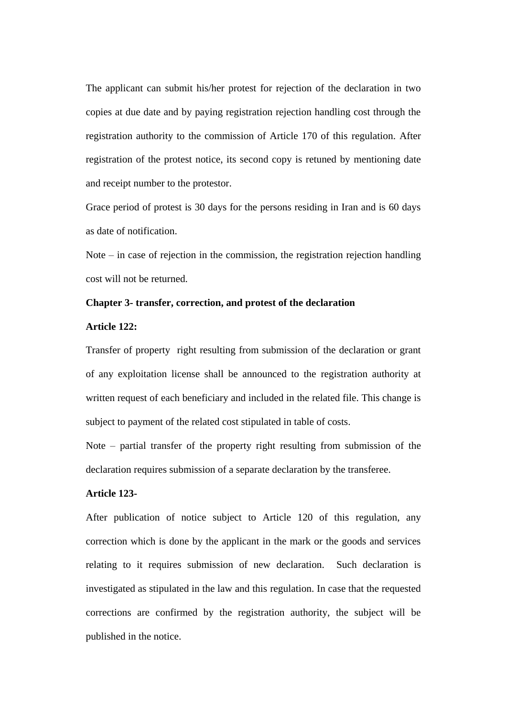The applicant can submit his/her protest for rejection of the declaration in two copies at due date and by paying registration rejection handling cost through the registration authority to the commission of Article 170 of this regulation. After registration of the protest notice, its second copy is retuned by mentioning date and receipt number to the protestor.

Grace period of protest is 30 days for the persons residing in Iran and is 60 days as date of notification.

Note – in case of rejection in the commission, the registration rejection handling cost will not be returned.

# **Chapter 3- transfer, correction, and protest of the declaration**

#### **Article 122:**

Transfer of property right resulting from submission of the declaration or grant of any exploitation license shall be announced to the registration authority at written request of each beneficiary and included in the related file. This change is subject to payment of the related cost stipulated in table of costs.

Note – partial transfer of the property right resulting from submission of the declaration requires submission of a separate declaration by the transferee.

## **Article 123-**

After publication of notice subject to Article 120 of this regulation, any correction which is done by the applicant in the mark or the goods and services relating to it requires submission of new declaration. Such declaration is investigated as stipulated in the law and this regulation. In case that the requested corrections are confirmed by the registration authority, the subject will be published in the notice.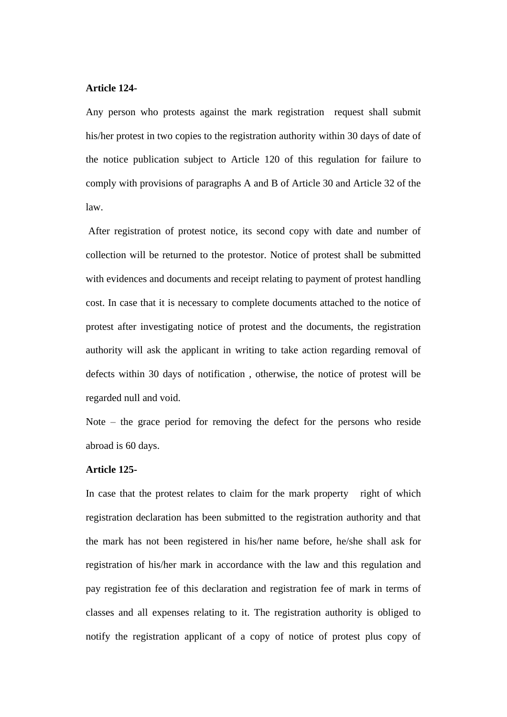#### **Article 124-**

Any person who protests against the mark registration request shall submit his/her protest in two copies to the registration authority within 30 days of date of the notice publication subject to Article 120 of this regulation for failure to comply with provisions of paragraphs A and B of Article 30 and Article 32 of the law.

After registration of protest notice, its second copy with date and number of collection will be returned to the protestor. Notice of protest shall be submitted with evidences and documents and receipt relating to payment of protest handling cost. In case that it is necessary to complete documents attached to the notice of protest after investigating notice of protest and the documents, the registration authority will ask the applicant in writing to take action regarding removal of defects within 30 days of notification , otherwise, the notice of protest will be regarded null and void.

Note – the grace period for removing the defect for the persons who reside abroad is 60 days.

## **Article 125-**

In case that the protest relates to claim for the mark property right of which registration declaration has been submitted to the registration authority and that the mark has not been registered in his/her name before, he/she shall ask for registration of his/her mark in accordance with the law and this regulation and pay registration fee of this declaration and registration fee of mark in terms of classes and all expenses relating to it. The registration authority is obliged to notify the registration applicant of a copy of notice of protest plus copy of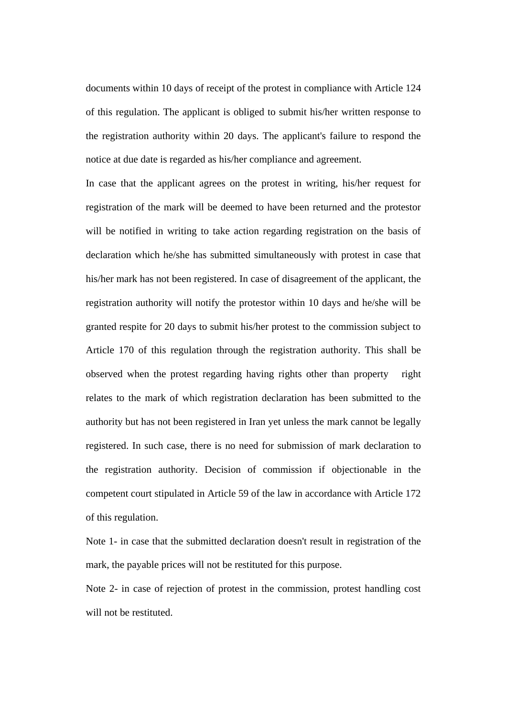documents within 10 days of receipt of the protest in compliance with Article 124 of this regulation. The applicant is obliged to submit his/her written response to the registration authority within 20 days. The applicant's failure to respond the notice at due date is regarded as his/her compliance and agreement.

In case that the applicant agrees on the protest in writing, his/her request for registration of the mark will be deemed to have been returned and the protestor will be notified in writing to take action regarding registration on the basis of declaration which he/she has submitted simultaneously with protest in case that his/her mark has not been registered. In case of disagreement of the applicant, the registration authority will notify the protestor within 10 days and he/she will be granted respite for 20 days to submit his/her protest to the commission subject to Article 170 of this regulation through the registration authority. This shall be observed when the protest regarding having rights other than property right relates to the mark of which registration declaration has been submitted to the authority but has not been registered in Iran yet unless the mark cannot be legally registered. In such case, there is no need for submission of mark declaration to the registration authority. Decision of commission if objectionable in the competent court stipulated in Article 59 of the law in accordance with Article 172 of this regulation.

Note 1- in case that the submitted declaration doesn't result in registration of the mark, the payable prices will not be restituted for this purpose.

Note 2- in case of rejection of protest in the commission, protest handling cost will not be restituted.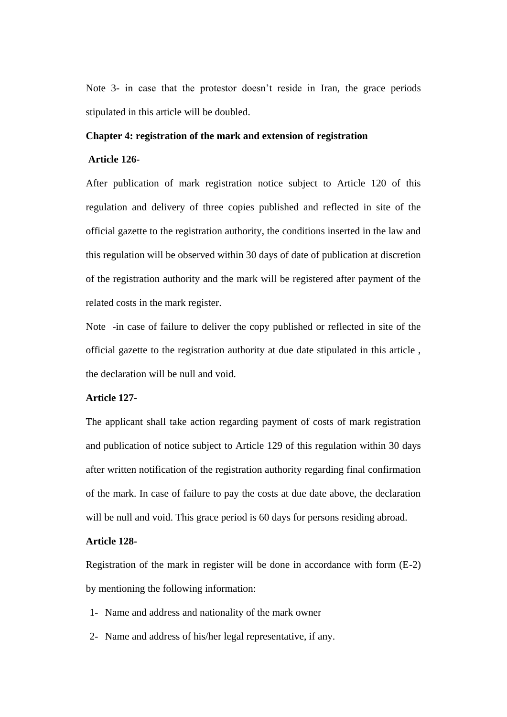Note 3- in case that the protestor doesn't reside in Iran, the grace periods stipulated in this article will be doubled.

#### **Chapter 4: registration of the mark and extension of registration**

# **Article 126-**

After publication of mark registration notice subject to Article 120 of this regulation and delivery of three copies published and reflected in site of the official gazette to the registration authority, the conditions inserted in the law and this regulation will be observed within 30 days of date of publication at discretion of the registration authority and the mark will be registered after payment of the related costs in the mark register.

Note -in case of failure to deliver the copy published or reflected in site of the official gazette to the registration authority at due date stipulated in this article , the declaration will be null and void.

## **Article 127-**

The applicant shall take action regarding payment of costs of mark registration and publication of notice subject to Article 129 of this regulation within 30 days after written notification of the registration authority regarding final confirmation of the mark. In case of failure to pay the costs at due date above, the declaration will be null and void. This grace period is 60 days for persons residing abroad.

# **Article 128-**

Registration of the mark in register will be done in accordance with form (E-2) by mentioning the following information:

- 1- Name and address and nationality of the mark owner
- 2- Name and address of his/her legal representative, if any.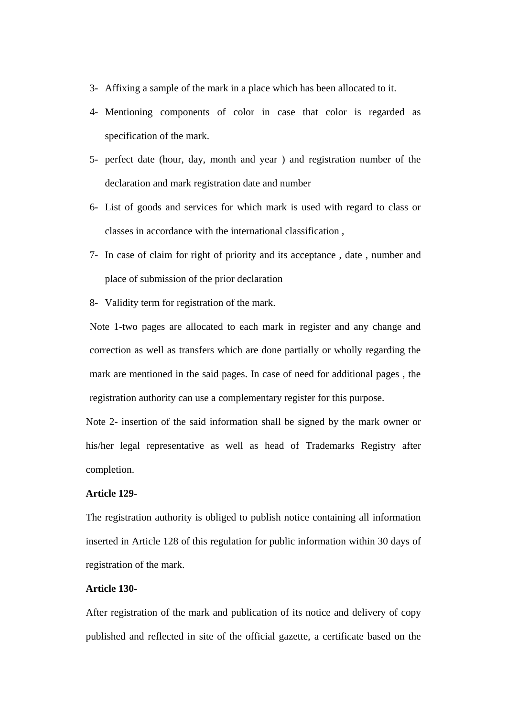- 3- Affixing a sample of the mark in a place which has been allocated to it.
- 4- Mentioning components of color in case that color is regarded as specification of the mark.
- 5- perfect date (hour, day, month and year ) and registration number of the declaration and mark registration date and number
- 6- List of goods and services for which mark is used with regard to class or classes in accordance with the international classification ,
- 7- In case of claim for right of priority and its acceptance , date , number and place of submission of the prior declaration
- 8- Validity term for registration of the mark.

Note 1-two pages are allocated to each mark in register and any change and correction as well as transfers which are done partially or wholly regarding the mark are mentioned in the said pages. In case of need for additional pages , the registration authority can use a complementary register for this purpose.

Note 2- insertion of the said information shall be signed by the mark owner or his/her legal representative as well as head of Trademarks Registry after completion.

# **Article 129-**

The registration authority is obliged to publish notice containing all information inserted in Article 128 of this regulation for public information within 30 days of registration of the mark.

# **Article 130-**

After registration of the mark and publication of its notice and delivery of copy published and reflected in site of the official gazette, a certificate based on the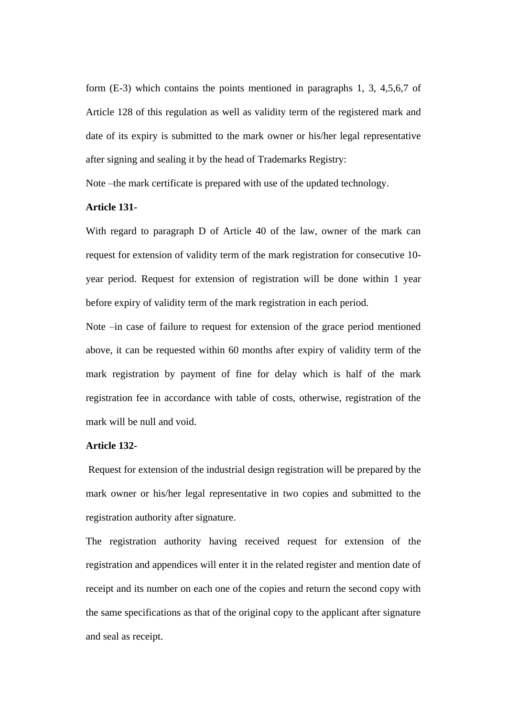form (E-3) which contains the points mentioned in paragraphs 1, 3, 4,5,6,7 of Article 128 of this regulation as well as validity term of the registered mark and date of its expiry is submitted to the mark owner or his/her legal representative after signing and sealing it by the head of Trademarks Registry:

Note –the mark certificate is prepared with use of the updated technology.

# **Article 131-**

With regard to paragraph D of Article 40 of the law, owner of the mark can request for extension of validity term of the mark registration for consecutive 10 year period. Request for extension of registration will be done within 1 year before expiry of validity term of the mark registration in each period.

Note –in case of failure to request for extension of the grace period mentioned above, it can be requested within 60 months after expiry of validity term of the mark registration by payment of fine for delay which is half of the mark registration fee in accordance with table of costs, otherwise, registration of the mark will be null and void.

#### **Article 132-**

Request for extension of the industrial design registration will be prepared by the mark owner or his/her legal representative in two copies and submitted to the registration authority after signature.

The registration authority having received request for extension of the registration and appendices will enter it in the related register and mention date of receipt and its number on each one of the copies and return the second copy with the same specifications as that of the original copy to the applicant after signature and seal as receipt.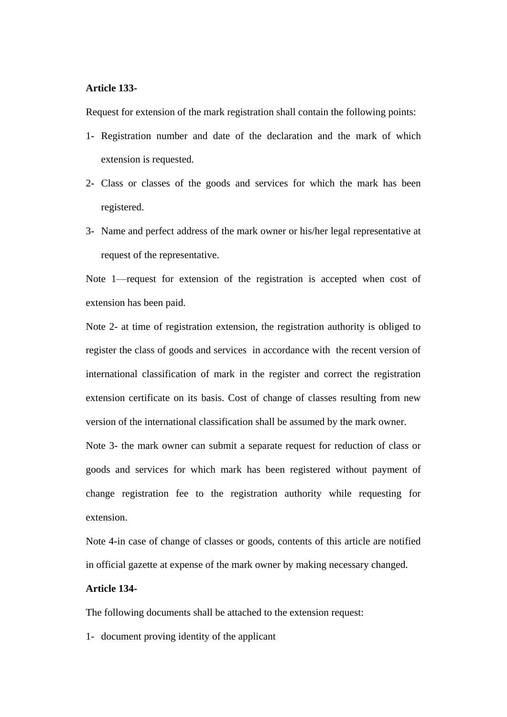#### **Article 133-**

Request for extension of the mark registration shall contain the following points:

- 1- Registration number and date of the declaration and the mark of which extension is requested.
- 2- Class or classes of the goods and services for which the mark has been registered.
- 3- Name and perfect address of the mark owner or his/her legal representative at request of the representative.

Note 1—request for extension of the registration is accepted when cost of extension has been paid.

Note 2- at time of registration extension, the registration authority is obliged to register the class of goods and services in accordance with the recent version of international classification of mark in the register and correct the registration extension certificate on its basis. Cost of change of classes resulting from new version of the international classification shall be assumed by the mark owner.

Note 3- the mark owner can submit a separate request for reduction of class or goods and services for which mark has been registered without payment of change registration fee to the registration authority while requesting for extension.

Note 4-in case of change of classes or goods, contents of this article are notified in official gazette at expense of the mark owner by making necessary changed.

# **Article 134-**

The following documents shall be attached to the extension request:

1- document proving identity of the applicant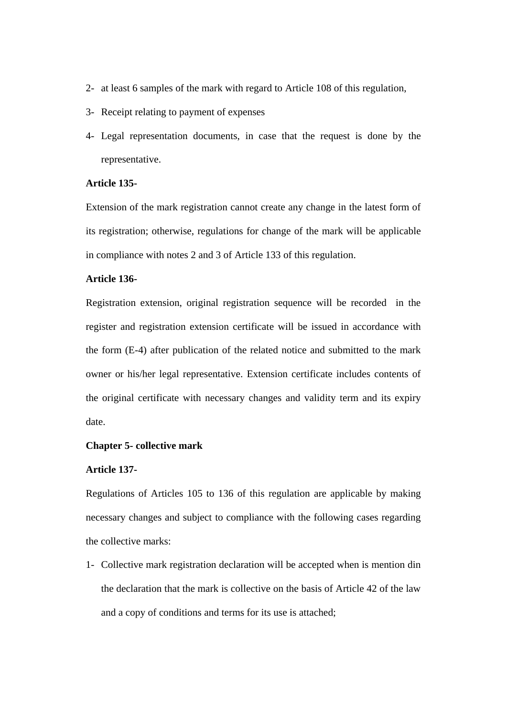- 2- at least 6 samples of the mark with regard to Article 108 of this regulation,
- 3- Receipt relating to payment of expenses
- 4- Legal representation documents, in case that the request is done by the representative.

# **Article 135-**

Extension of the mark registration cannot create any change in the latest form of its registration; otherwise, regulations for change of the mark will be applicable in compliance with notes 2 and 3 of Article 133 of this regulation.

# **Article 136-**

Registration extension, original registration sequence will be recorded in the register and registration extension certificate will be issued in accordance with the form (E-4) after publication of the related notice and submitted to the mark owner or his/her legal representative. Extension certificate includes contents of the original certificate with necessary changes and validity term and its expiry date.

## **Chapter 5- collective mark**

#### **Article 137-**

Regulations of Articles 105 to 136 of this regulation are applicable by making necessary changes and subject to compliance with the following cases regarding the collective marks:

1- Collective mark registration declaration will be accepted when is mention din the declaration that the mark is collective on the basis of Article 42 of the law and a copy of conditions and terms for its use is attached;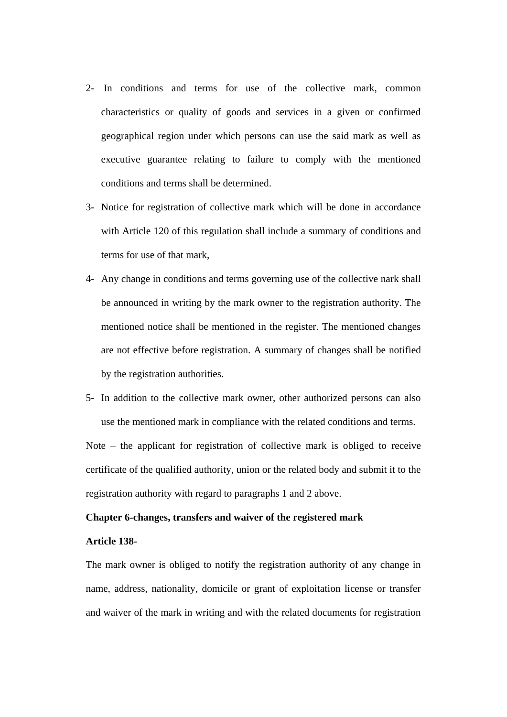- 2- In conditions and terms for use of the collective mark, common characteristics or quality of goods and services in a given or confirmed geographical region under which persons can use the said mark as well as executive guarantee relating to failure to comply with the mentioned conditions and terms shall be determined.
- 3- Notice for registration of collective mark which will be done in accordance with Article 120 of this regulation shall include a summary of conditions and terms for use of that mark,
- 4- Any change in conditions and terms governing use of the collective nark shall be announced in writing by the mark owner to the registration authority. The mentioned notice shall be mentioned in the register. The mentioned changes are not effective before registration. A summary of changes shall be notified by the registration authorities.
- 5- In addition to the collective mark owner, other authorized persons can also use the mentioned mark in compliance with the related conditions and terms.

Note – the applicant for registration of collective mark is obliged to receive certificate of the qualified authority, union or the related body and submit it to the registration authority with regard to paragraphs 1 and 2 above.

# **Chapter 6-changes, transfers and waiver of the registered mark**

## **Article 138-**

The mark owner is obliged to notify the registration authority of any change in name, address, nationality, domicile or grant of exploitation license or transfer and waiver of the mark in writing and with the related documents for registration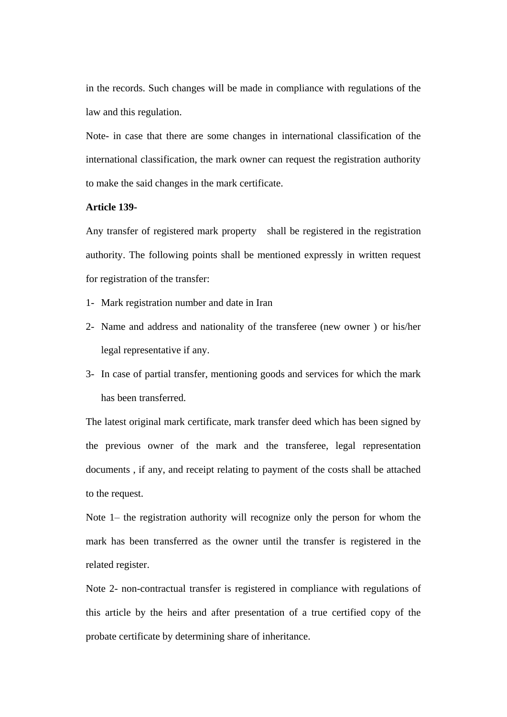in the records. Such changes will be made in compliance with regulations of the law and this regulation.

Note- in case that there are some changes in international classification of the international classification, the mark owner can request the registration authority to make the said changes in the mark certificate.

## **Article 139-**

Any transfer of registered mark property shall be registered in the registration authority. The following points shall be mentioned expressly in written request for registration of the transfer:

- 1- Mark registration number and date in Iran
- 2- Name and address and nationality of the transferee (new owner ) or his/her legal representative if any.
- 3- In case of partial transfer, mentioning goods and services for which the mark has been transferred.

The latest original mark certificate, mark transfer deed which has been signed by the previous owner of the mark and the transferee, legal representation documents , if any, and receipt relating to payment of the costs shall be attached to the request.

Note 1– the registration authority will recognize only the person for whom the mark has been transferred as the owner until the transfer is registered in the related register.

Note 2- non-contractual transfer is registered in compliance with regulations of this article by the heirs and after presentation of a true certified copy of the probate certificate by determining share of inheritance.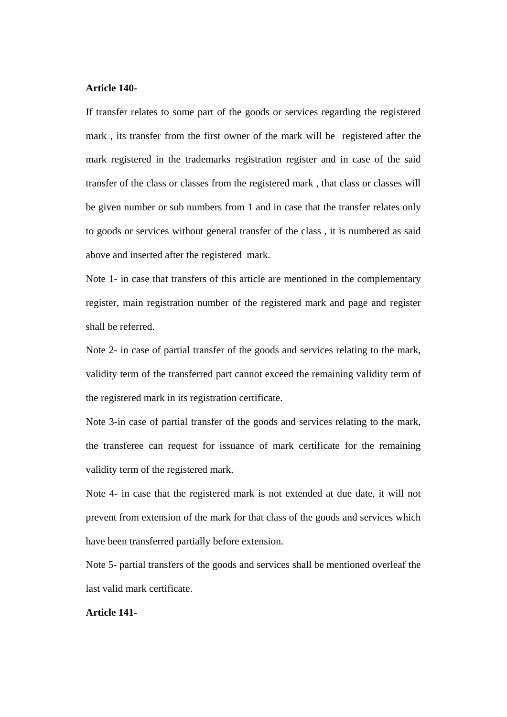#### **Article 140-**

If transfer relates to some part of the goods or services regarding the registered mark , its transfer from the first owner of the mark will be registered after the mark registered in the trademarks registration register and in case of the said transfer of the class or classes from the registered mark , that class or classes will be given number or sub numbers from 1 and in case that the transfer relates only to goods or services without general transfer of the class , it is numbered as said above and inserted after the registered mark.

Note 1- in case that transfers of this article are mentioned in the complementary register, main registration number of the registered mark and page and register shall be referred.

Note 2- in case of partial transfer of the goods and services relating to the mark, validity term of the transferred part cannot exceed the remaining validity term of the registered mark in its registration certificate.

Note 3-in case of partial transfer of the goods and services relating to the mark, the transferee can request for issuance of mark certificate for the remaining validity term of the registered mark.

Note 4- in case that the registered mark is not extended at due date, it will not prevent from extension of the mark for that class of the goods and services which have been transferred partially before extension.

Note 5- partial transfers of the goods and services shall be mentioned overleaf the last valid mark certificate.

## **Article 141-**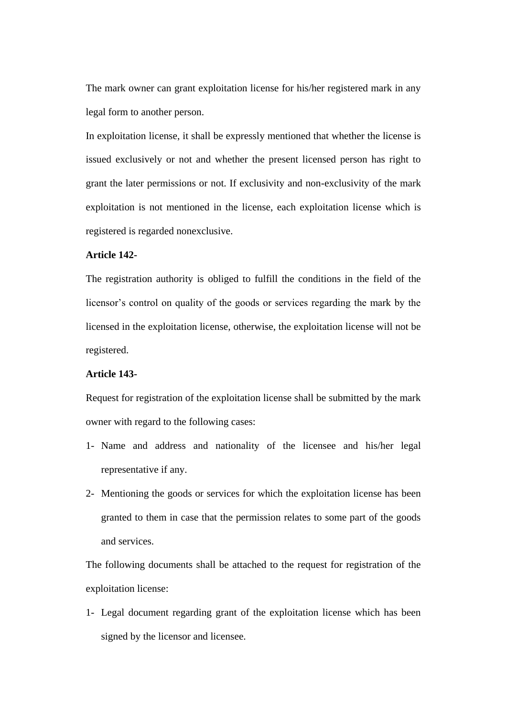The mark owner can grant exploitation license for his/her registered mark in any legal form to another person.

In exploitation license, it shall be expressly mentioned that whether the license is issued exclusively or not and whether the present licensed person has right to grant the later permissions or not. If exclusivity and non-exclusivity of the mark exploitation is not mentioned in the license, each exploitation license which is registered is regarded nonexclusive.

## **Article 142-**

The registration authority is obliged to fulfill the conditions in the field of the licensor's control on quality of the goods or services regarding the mark by the licensed in the exploitation license, otherwise, the exploitation license will not be registered.

#### **Article 143-**

Request for registration of the exploitation license shall be submitted by the mark owner with regard to the following cases:

- 1- Name and address and nationality of the licensee and his/her legal representative if any.
- 2- Mentioning the goods or services for which the exploitation license has been granted to them in case that the permission relates to some part of the goods and services.

The following documents shall be attached to the request for registration of the exploitation license:

1- Legal document regarding grant of the exploitation license which has been signed by the licensor and licensee.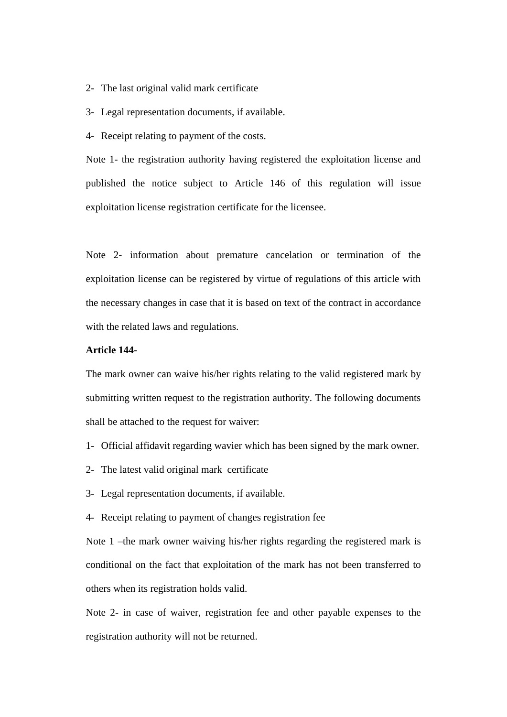- 2- The last original valid mark certificate
- 3- Legal representation documents, if available.
- 4- Receipt relating to payment of the costs.

Note 1- the registration authority having registered the exploitation license and published the notice subject to Article 146 of this regulation will issue exploitation license registration certificate for the licensee.

Note 2- information about premature cancelation or termination of the exploitation license can be registered by virtue of regulations of this article with the necessary changes in case that it is based on text of the contract in accordance with the related laws and regulations.

# **Article 144-**

The mark owner can waive his/her rights relating to the valid registered mark by submitting written request to the registration authority. The following documents shall be attached to the request for waiver:

- 1- Official affidavit regarding wavier which has been signed by the mark owner.
- 2- The latest valid original mark certificate
- 3- Legal representation documents, if available.
- 4- Receipt relating to payment of changes registration fee

Note 1 –the mark owner waiving his/her rights regarding the registered mark is conditional on the fact that exploitation of the mark has not been transferred to others when its registration holds valid.

Note 2- in case of waiver, registration fee and other payable expenses to the registration authority will not be returned.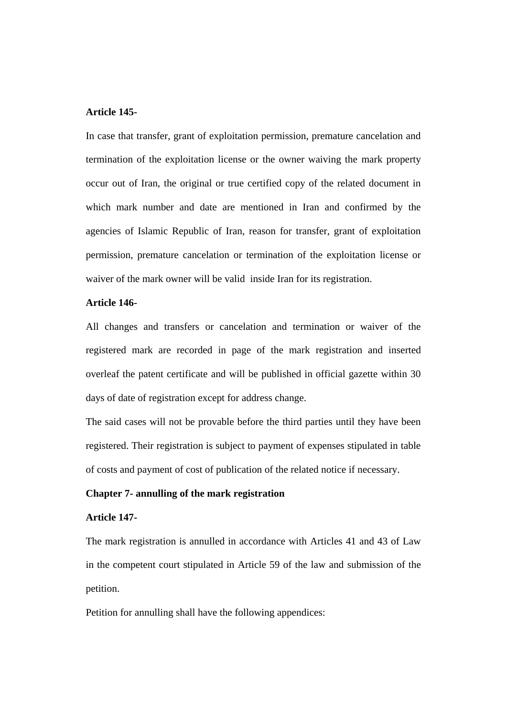# **Article 145-**

In case that transfer, grant of exploitation permission, premature cancelation and termination of the exploitation license or the owner waiving the mark property occur out of Iran, the original or true certified copy of the related document in which mark number and date are mentioned in Iran and confirmed by the agencies of Islamic Republic of Iran, reason for transfer, grant of exploitation permission, premature cancelation or termination of the exploitation license or waiver of the mark owner will be valid inside Iran for its registration.

# **Article 146-**

All changes and transfers or cancelation and termination or waiver of the registered mark are recorded in page of the mark registration and inserted overleaf the patent certificate and will be published in official gazette within 30 days of date of registration except for address change.

The said cases will not be provable before the third parties until they have been registered. Their registration is subject to payment of expenses stipulated in table of costs and payment of cost of publication of the related notice if necessary.

#### **Chapter 7- annulling of the mark registration**

# **Article 147-**

The mark registration is annulled in accordance with Articles 41 and 43 of Law in the competent court stipulated in Article 59 of the law and submission of the petition.

Petition for annulling shall have the following appendices: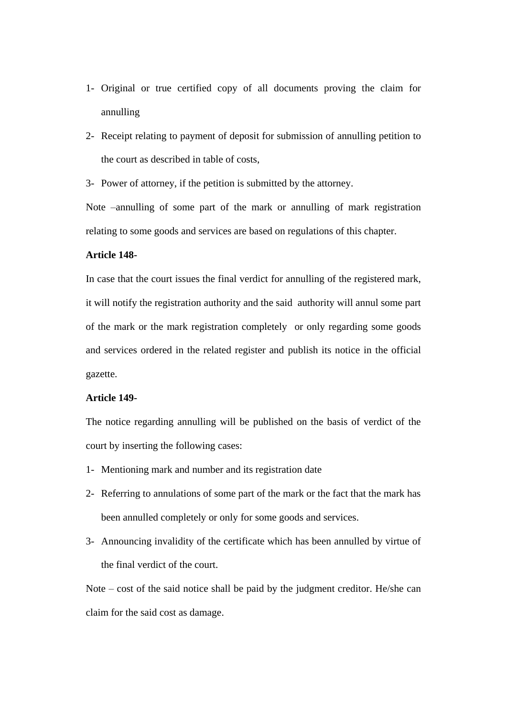- 1- Original or true certified copy of all documents proving the claim for annulling
- 2- Receipt relating to payment of deposit for submission of annulling petition to the court as described in table of costs,
- 3- Power of attorney, if the petition is submitted by the attorney.

Note –annulling of some part of the mark or annulling of mark registration relating to some goods and services are based on regulations of this chapter.

#### **Article 148-**

In case that the court issues the final verdict for annulling of the registered mark, it will notify the registration authority and the said authority will annul some part of the mark or the mark registration completely or only regarding some goods and services ordered in the related register and publish its notice in the official gazette.

#### **Article 149-**

The notice regarding annulling will be published on the basis of verdict of the court by inserting the following cases:

- 1- Mentioning mark and number and its registration date
- 2- Referring to annulations of some part of the mark or the fact that the mark has been annulled completely or only for some goods and services.
- 3- Announcing invalidity of the certificate which has been annulled by virtue of the final verdict of the court.

Note – cost of the said notice shall be paid by the judgment creditor. He/she can claim for the said cost as damage.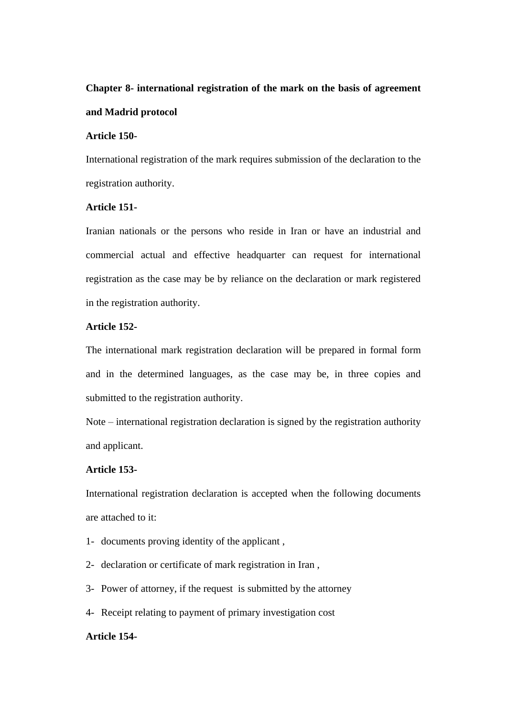# **Chapter 8- international registration of the mark on the basis of agreement and Madrid protocol**

## **Article 150-**

International registration of the mark requires submission of the declaration to the registration authority.

## **Article 151-**

Iranian nationals or the persons who reside in Iran or have an industrial and commercial actual and effective headquarter can request for international registration as the case may be by reliance on the declaration or mark registered in the registration authority.

## **Article 152-**

The international mark registration declaration will be prepared in formal form and in the determined languages, as the case may be, in three copies and submitted to the registration authority.

Note – international registration declaration is signed by the registration authority and applicant.

## **Article 153-**

International registration declaration is accepted when the following documents are attached to it:

- 1- documents proving identity of the applicant ,
- 2- declaration or certificate of mark registration in Iran ,
- 3- Power of attorney, if the request is submitted by the attorney
- 4- Receipt relating to payment of primary investigation cost

#### **Article 154-**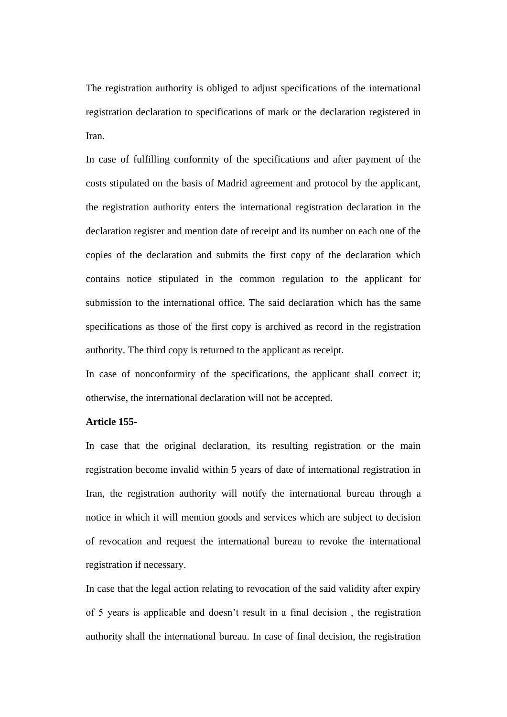The registration authority is obliged to adjust specifications of the international registration declaration to specifications of mark or the declaration registered in Iran.

In case of fulfilling conformity of the specifications and after payment of the costs stipulated on the basis of Madrid agreement and protocol by the applicant, the registration authority enters the international registration declaration in the declaration register and mention date of receipt and its number on each one of the copies of the declaration and submits the first copy of the declaration which contains notice stipulated in the common regulation to the applicant for submission to the international office. The said declaration which has the same specifications as those of the first copy is archived as record in the registration authority. The third copy is returned to the applicant as receipt.

In case of nonconformity of the specifications, the applicant shall correct it; otherwise, the international declaration will not be accepted.

#### **Article 155-**

In case that the original declaration, its resulting registration or the main registration become invalid within 5 years of date of international registration in Iran, the registration authority will notify the international bureau through a notice in which it will mention goods and services which are subject to decision of revocation and request the international bureau to revoke the international registration if necessary.

In case that the legal action relating to revocation of the said validity after expiry of 5 years is applicable and doesn't result in a final decision , the registration authority shall the international bureau. In case of final decision, the registration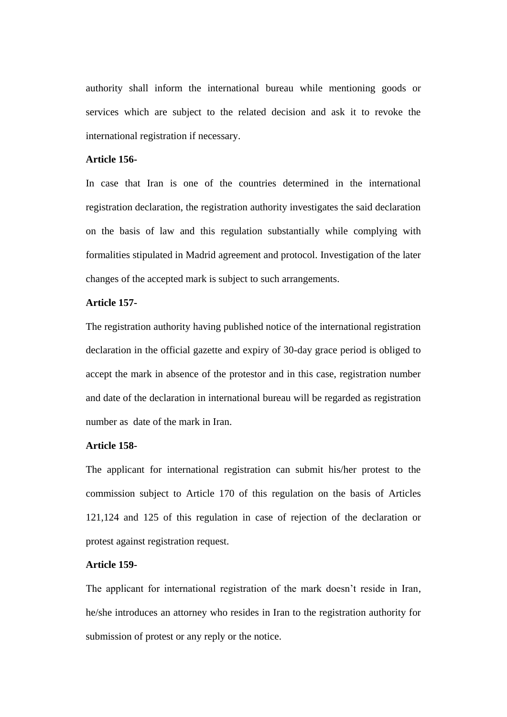authority shall inform the international bureau while mentioning goods or services which are subject to the related decision and ask it to revoke the international registration if necessary.

#### **Article 156-**

In case that Iran is one of the countries determined in the international registration declaration, the registration authority investigates the said declaration on the basis of law and this regulation substantially while complying with formalities stipulated in Madrid agreement and protocol. Investigation of the later changes of the accepted mark is subject to such arrangements.

## **Article 157-**

The registration authority having published notice of the international registration declaration in the official gazette and expiry of 30-day grace period is obliged to accept the mark in absence of the protestor and in this case, registration number and date of the declaration in international bureau will be regarded as registration number as date of the mark in Iran.

## **Article 158-**

The applicant for international registration can submit his/her protest to the commission subject to Article 170 of this regulation on the basis of Articles 121,124 and 125 of this regulation in case of rejection of the declaration or protest against registration request.

## **Article 159-**

The applicant for international registration of the mark doesn't reside in Iran, he/she introduces an attorney who resides in Iran to the registration authority for submission of protest or any reply or the notice.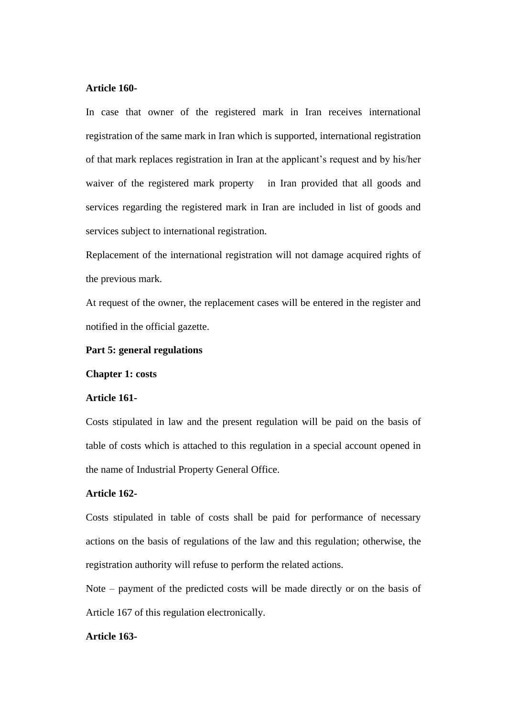#### **Article 160-**

In case that owner of the registered mark in Iran receives international registration of the same mark in Iran which is supported, international registration of that mark replaces registration in Iran at the applicant's request and by his/her waiver of the registered mark property in Iran provided that all goods and services regarding the registered mark in Iran are included in list of goods and services subject to international registration.

Replacement of the international registration will not damage acquired rights of the previous mark.

At request of the owner, the replacement cases will be entered in the register and notified in the official gazette.

#### **Part 5: general regulations**

**Chapter 1: costs** 

#### **Article 161-**

Costs stipulated in law and the present regulation will be paid on the basis of table of costs which is attached to this regulation in a special account opened in the name of Industrial Property General Office.

#### **Article 162-**

Costs stipulated in table of costs shall be paid for performance of necessary actions on the basis of regulations of the law and this regulation; otherwise, the registration authority will refuse to perform the related actions.

Note – payment of the predicted costs will be made directly or on the basis of Article 167 of this regulation electronically.

#### **Article 163-**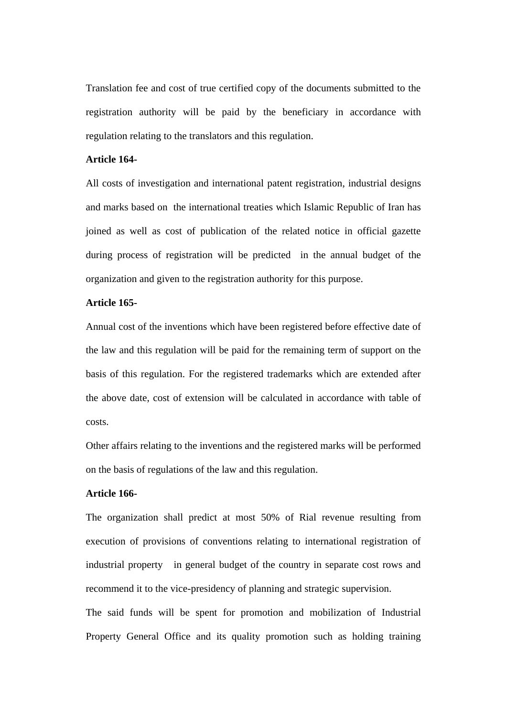Translation fee and cost of true certified copy of the documents submitted to the registration authority will be paid by the beneficiary in accordance with regulation relating to the translators and this regulation.

#### **Article 164-**

All costs of investigation and international patent registration, industrial designs and marks based on the international treaties which Islamic Republic of Iran has joined as well as cost of publication of the related notice in official gazette during process of registration will be predicted in the annual budget of the organization and given to the registration authority for this purpose.

## **Article 165-**

Annual cost of the inventions which have been registered before effective date of the law and this regulation will be paid for the remaining term of support on the basis of this regulation. For the registered trademarks which are extended after the above date, cost of extension will be calculated in accordance with table of costs.

Other affairs relating to the inventions and the registered marks will be performed on the basis of regulations of the law and this regulation.

#### **Article 166-**

The organization shall predict at most 50% of Rial revenue resulting from execution of provisions of conventions relating to international registration of industrial property in general budget of the country in separate cost rows and recommend it to the vice-presidency of planning and strategic supervision.

The said funds will be spent for promotion and mobilization of Industrial Property General Office and its quality promotion such as holding training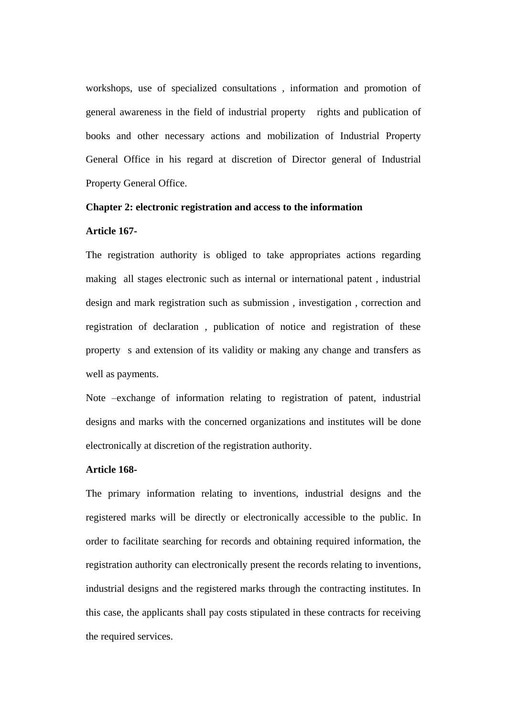workshops, use of specialized consultations , information and promotion of general awareness in the field of industrial property rights and publication of books and other necessary actions and mobilization of Industrial Property General Office in his regard at discretion of Director general of Industrial Property General Office.

# **Chapter 2: electronic registration and access to the information**

#### **Article 167-**

The registration authority is obliged to take appropriates actions regarding making all stages electronic such as internal or international patent , industrial design and mark registration such as submission , investigation , correction and registration of declaration , publication of notice and registration of these property s and extension of its validity or making any change and transfers as well as payments.

Note –exchange of information relating to registration of patent, industrial designs and marks with the concerned organizations and institutes will be done electronically at discretion of the registration authority.

## **Article 168-**

The primary information relating to inventions, industrial designs and the registered marks will be directly or electronically accessible to the public. In order to facilitate searching for records and obtaining required information, the registration authority can electronically present the records relating to inventions, industrial designs and the registered marks through the contracting institutes. In this case, the applicants shall pay costs stipulated in these contracts for receiving the required services.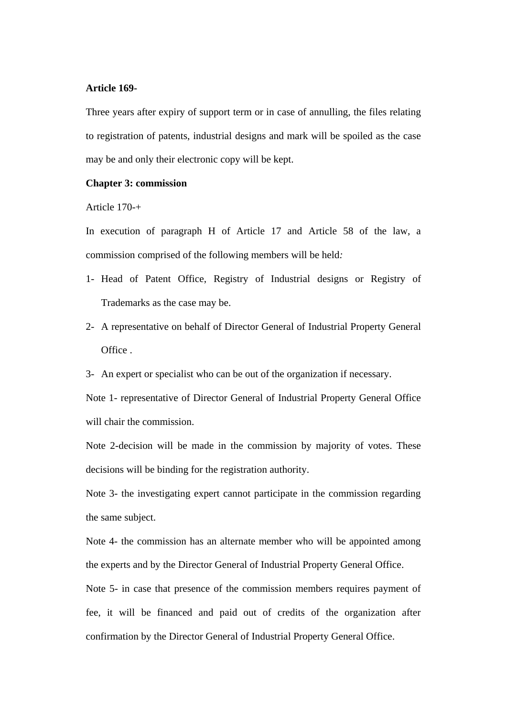#### **Article 169-**

Three years after expiry of support term or in case of annulling, the files relating to registration of patents, industrial designs and mark will be spoiled as the case may be and only their electronic copy will be kept.

## **Chapter 3: commission**

#### Article 170-+

In execution of paragraph H of Article 17 and Article 58 of the law, a commission comprised of the following members will be held*:*

- 1- Head of Patent Office, Registry of Industrial designs or Registry of Trademarks as the case may be.
- 2- A representative on behalf of Director General of Industrial Property General Office .
- 3- An expert or specialist who can be out of the organization if necessary.

Note 1- representative of Director General of Industrial Property General Office will chair the commission.

Note 2-decision will be made in the commission by majority of votes. These decisions will be binding for the registration authority.

Note 3- the investigating expert cannot participate in the commission regarding the same subject.

Note 4- the commission has an alternate member who will be appointed among the experts and by the Director General of Industrial Property General Office.

Note 5- in case that presence of the commission members requires payment of fee, it will be financed and paid out of credits of the organization after confirmation by the Director General of Industrial Property General Office.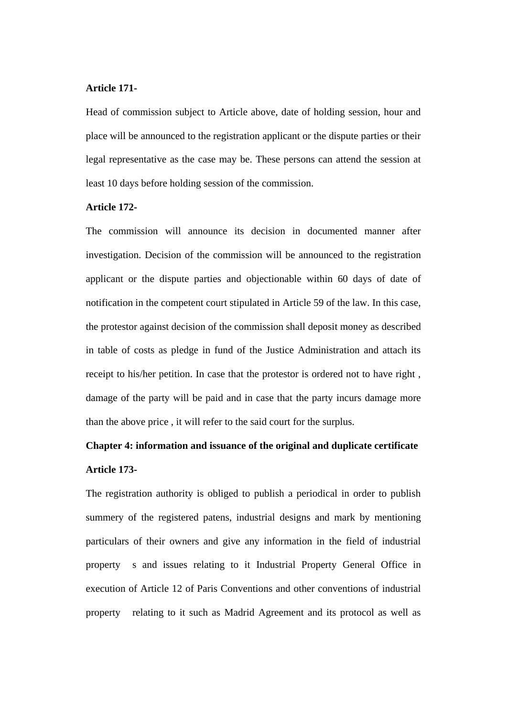#### **Article 171-**

Head of commission subject to Article above, date of holding session, hour and place will be announced to the registration applicant or the dispute parties or their legal representative as the case may be. These persons can attend the session at least 10 days before holding session of the commission.

#### **Article 172-**

The commission will announce its decision in documented manner after investigation. Decision of the commission will be announced to the registration applicant or the dispute parties and objectionable within 60 days of date of notification in the competent court stipulated in Article 59 of the law. In this case, the protestor against decision of the commission shall deposit money as described in table of costs as pledge in fund of the Justice Administration and attach its receipt to his/her petition. In case that the protestor is ordered not to have right , damage of the party will be paid and in case that the party incurs damage more than the above price , it will refer to the said court for the surplus.

# **Chapter 4: information and issuance of the original and duplicate certificate Article 173-**

The registration authority is obliged to publish a periodical in order to publish summery of the registered patens, industrial designs and mark by mentioning particulars of their owners and give any information in the field of industrial property s and issues relating to it Industrial Property General Office in execution of Article 12 of Paris Conventions and other conventions of industrial property relating to it such as Madrid Agreement and its protocol as well as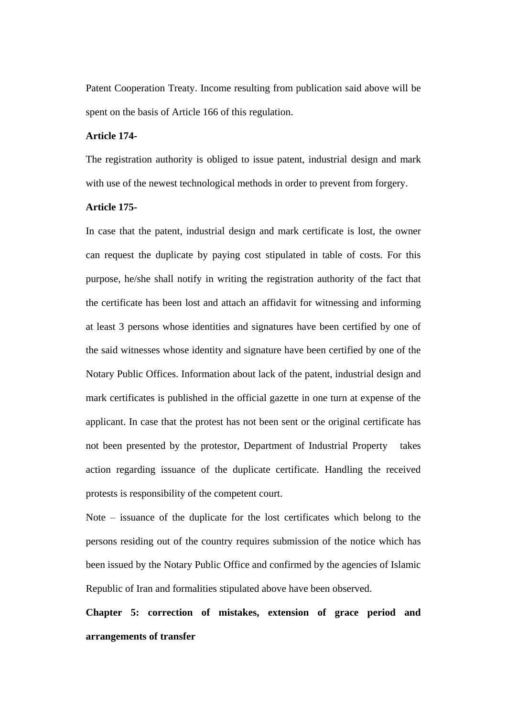Patent Cooperation Treaty. Income resulting from publication said above will be spent on the basis of Article 166 of this regulation.

## **Article 174-**

The registration authority is obliged to issue patent, industrial design and mark with use of the newest technological methods in order to prevent from forgery.

#### **Article 175-**

In case that the patent, industrial design and mark certificate is lost, the owner can request the duplicate by paying cost stipulated in table of costs. For this purpose, he/she shall notify in writing the registration authority of the fact that the certificate has been lost and attach an affidavit for witnessing and informing at least 3 persons whose identities and signatures have been certified by one of the said witnesses whose identity and signature have been certified by one of the Notary Public Offices. Information about lack of the patent, industrial design and mark certificates is published in the official gazette in one turn at expense of the applicant. In case that the protest has not been sent or the original certificate has not been presented by the protestor, Department of Industrial Property takes action regarding issuance of the duplicate certificate. Handling the received protests is responsibility of the competent court.

Note – issuance of the duplicate for the lost certificates which belong to the persons residing out of the country requires submission of the notice which has been issued by the Notary Public Office and confirmed by the agencies of Islamic Republic of Iran and formalities stipulated above have been observed.

**Chapter 5: correction of mistakes, extension of grace period and arrangements of transfer**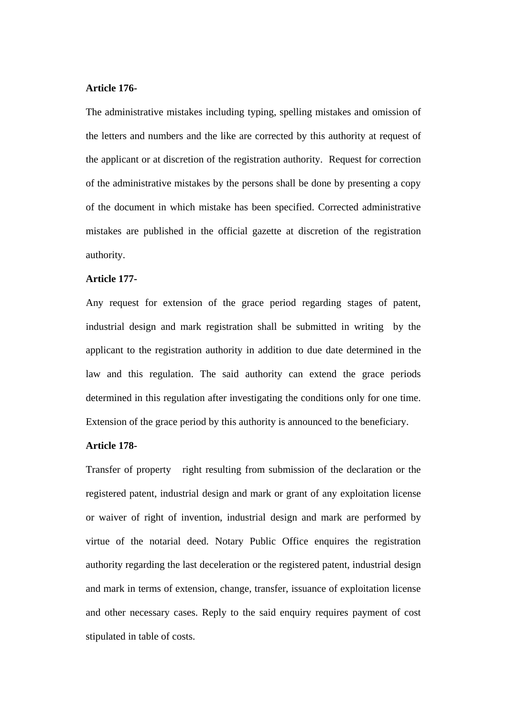#### **Article 176-**

The administrative mistakes including typing, spelling mistakes and omission of the letters and numbers and the like are corrected by this authority at request of the applicant or at discretion of the registration authority. Request for correction of the administrative mistakes by the persons shall be done by presenting a copy of the document in which mistake has been specified. Corrected administrative mistakes are published in the official gazette at discretion of the registration authority.

## **Article 177-**

Any request for extension of the grace period regarding stages of patent, industrial design and mark registration shall be submitted in writing by the applicant to the registration authority in addition to due date determined in the law and this regulation. The said authority can extend the grace periods determined in this regulation after investigating the conditions only for one time. Extension of the grace period by this authority is announced to the beneficiary.

#### **Article 178-**

Transfer of property right resulting from submission of the declaration or the registered patent, industrial design and mark or grant of any exploitation license or waiver of right of invention, industrial design and mark are performed by virtue of the notarial deed. Notary Public Office enquires the registration authority regarding the last deceleration or the registered patent, industrial design and mark in terms of extension, change, transfer, issuance of exploitation license and other necessary cases. Reply to the said enquiry requires payment of cost stipulated in table of costs.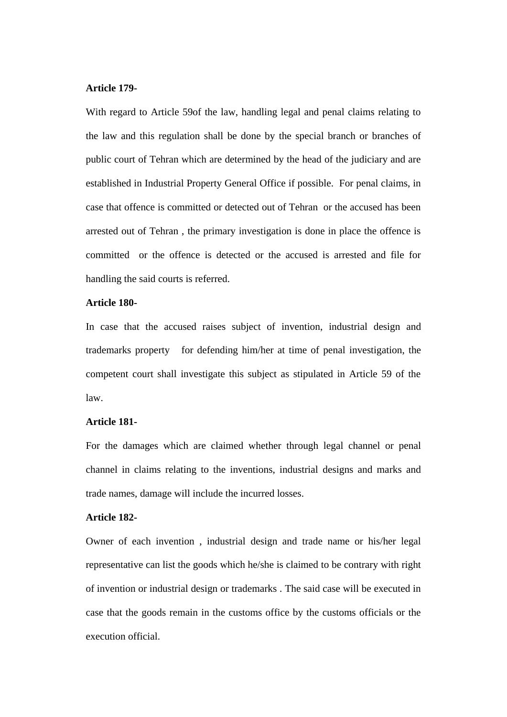#### **Article 179-**

With regard to Article 59of the law, handling legal and penal claims relating to the law and this regulation shall be done by the special branch or branches of public court of Tehran which are determined by the head of the judiciary and are established in Industrial Property General Office if possible. For penal claims, in case that offence is committed or detected out of Tehran or the accused has been arrested out of Tehran , the primary investigation is done in place the offence is committed or the offence is detected or the accused is arrested and file for handling the said courts is referred.

## **Article 180-**

In case that the accused raises subject of invention, industrial design and trademarks property for defending him/her at time of penal investigation, the competent court shall investigate this subject as stipulated in Article 59 of the law.

#### **Article 181-**

For the damages which are claimed whether through legal channel or penal channel in claims relating to the inventions, industrial designs and marks and trade names, damage will include the incurred losses.

## **Article 182-**

Owner of each invention , industrial design and trade name or his/her legal representative can list the goods which he/she is claimed to be contrary with right of invention or industrial design or trademarks . The said case will be executed in case that the goods remain in the customs office by the customs officials or the execution official.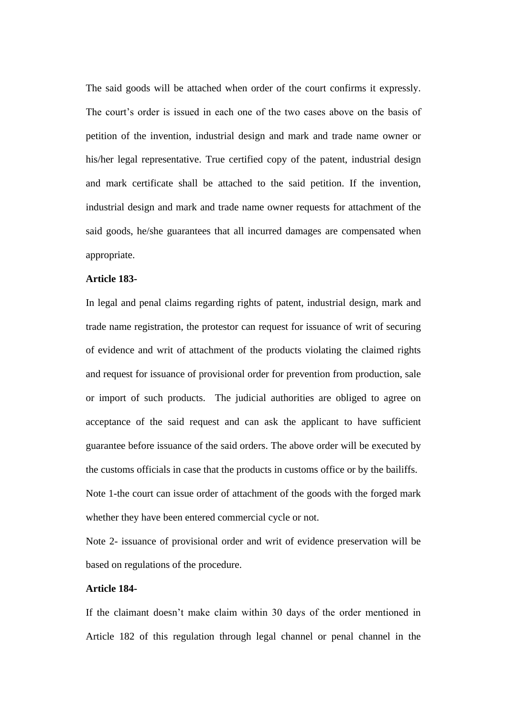The said goods will be attached when order of the court confirms it expressly. The court's order is issued in each one of the two cases above on the basis of petition of the invention, industrial design and mark and trade name owner or his/her legal representative. True certified copy of the patent, industrial design and mark certificate shall be attached to the said petition. If the invention, industrial design and mark and trade name owner requests for attachment of the said goods, he/she guarantees that all incurred damages are compensated when appropriate.

## **Article 183-**

In legal and penal claims regarding rights of patent, industrial design, mark and trade name registration, the protestor can request for issuance of writ of securing of evidence and writ of attachment of the products violating the claimed rights and request for issuance of provisional order for prevention from production, sale or import of such products. The judicial authorities are obliged to agree on acceptance of the said request and can ask the applicant to have sufficient guarantee before issuance of the said orders. The above order will be executed by the customs officials in case that the products in customs office or by the bailiffs. Note 1-the court can issue order of attachment of the goods with the forged mark whether they have been entered commercial cycle or not.

Note 2- issuance of provisional order and writ of evidence preservation will be based on regulations of the procedure.

#### **Article 184-**

If the claimant doesn't make claim within 30 days of the order mentioned in Article 182 of this regulation through legal channel or penal channel in the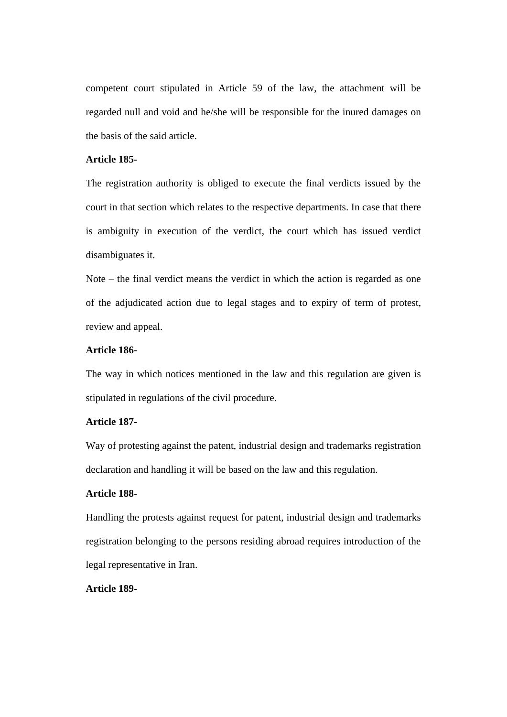competent court stipulated in Article 59 of the law, the attachment will be regarded null and void and he/she will be responsible for the inured damages on the basis of the said article.

#### **Article 185-**

The registration authority is obliged to execute the final verdicts issued by the court in that section which relates to the respective departments. In case that there is ambiguity in execution of the verdict, the court which has issued verdict disambiguates it.

Note – the final verdict means the verdict in which the action is regarded as one of the adjudicated action due to legal stages and to expiry of term of protest, review and appeal.

## **Article 186-**

The way in which notices mentioned in the law and this regulation are given is stipulated in regulations of the civil procedure.

### **Article 187-**

Way of protesting against the patent, industrial design and trademarks registration declaration and handling it will be based on the law and this regulation.

## **Article 188-**

Handling the protests against request for patent, industrial design and trademarks registration belonging to the persons residing abroad requires introduction of the legal representative in Iran.

## **Article 189-**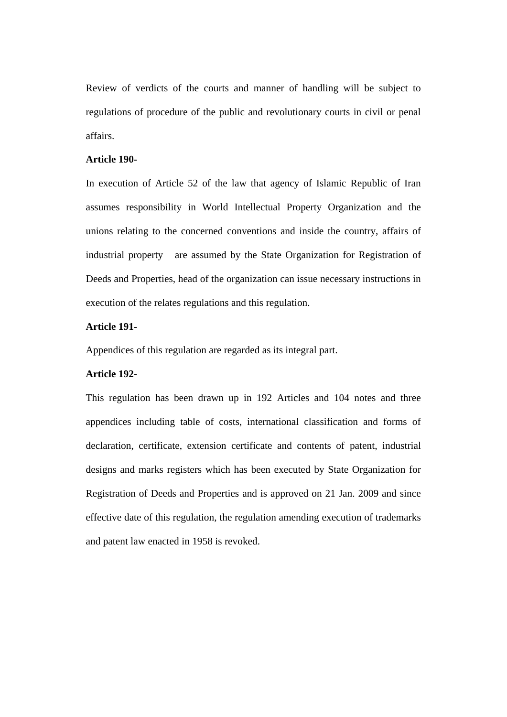Review of verdicts of the courts and manner of handling will be subject to regulations of procedure of the public and revolutionary courts in civil or penal affairs.

#### **Article 190-**

In execution of Article 52 of the law that agency of Islamic Republic of Iran assumes responsibility in World Intellectual Property Organization and the unions relating to the concerned conventions and inside the country, affairs of industrial property are assumed by the State Organization for Registration of Deeds and Properties, head of the organization can issue necessary instructions in execution of the relates regulations and this regulation.

## **Article 191-**

Appendices of this regulation are regarded as its integral part.

#### **Article 192-**

This regulation has been drawn up in 192 Articles and 104 notes and three appendices including table of costs, international classification and forms of declaration, certificate, extension certificate and contents of patent, industrial designs and marks registers which has been executed by State Organization for Registration of Deeds and Properties and is approved on 21 Jan. 2009 and since effective date of this regulation, the regulation amending execution of trademarks and patent law enacted in 1958 is revoked.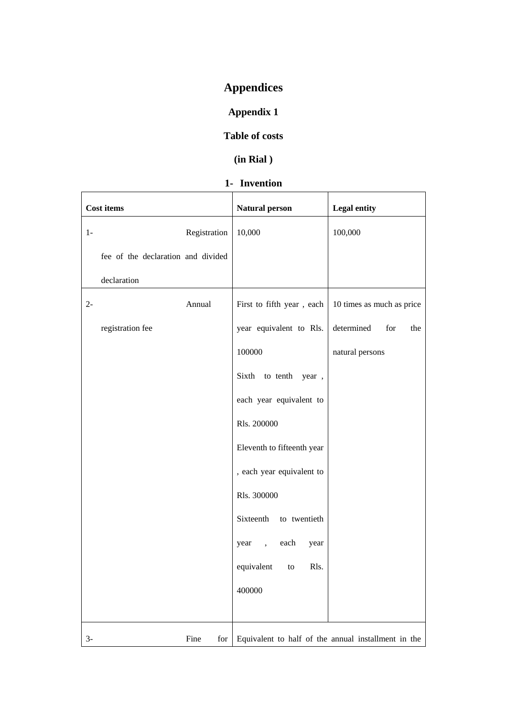# **Appendices**

# **Appendix 1**

# **Table of costs**

# **(in Rial )**

# **1- Invention**

|       | <b>Cost items</b>                  |              | <b>Natural person</b>      | <b>Legal entity</b>                                 |
|-------|------------------------------------|--------------|----------------------------|-----------------------------------------------------|
| $1-$  |                                    | Registration | 10,000                     | 100,000                                             |
|       | fee of the declaration and divided |              |                            |                                                     |
|       | declaration                        |              |                            |                                                     |
| $2 -$ |                                    | Annual       | First to fifth year, each  | 10 times as much as price                           |
|       | registration fee                   |              | year equivalent to Rls.    | determined<br>for<br>the                            |
|       |                                    |              | 100000                     | natural persons                                     |
|       |                                    |              | Sixth to tenth year,       |                                                     |
|       |                                    |              | each year equivalent to    |                                                     |
|       |                                    |              | Rls. 200000                |                                                     |
|       |                                    |              | Eleventh to fifteenth year |                                                     |
|       |                                    |              | , each year equivalent to  |                                                     |
|       |                                    |              | Rls. 300000                |                                                     |
|       |                                    |              | Sixteenth to twentieth     |                                                     |
|       |                                    |              | year, each<br>year         |                                                     |
|       |                                    |              | equivalent<br>Rls.<br>to   |                                                     |
|       |                                    |              | 400000                     |                                                     |
|       |                                    |              |                            |                                                     |
| $3-$  |                                    | Fine<br>for  |                            | Equivalent to half of the annual installment in the |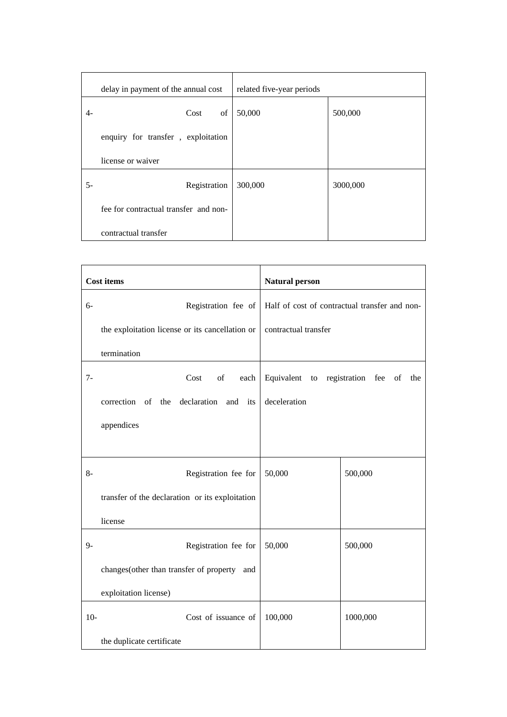|    | delay in payment of the annual cost   | related five-year periods |          |
|----|---------------------------------------|---------------------------|----------|
| 4- | of<br>Cost                            | 50,000                    | 500,000  |
|    | enquiry for transfer, exploitation    |                           |          |
|    | license or waiver                     |                           |          |
| 5- | Registration                          | 300,000                   | 3000,000 |
|    | fee for contractual transfer and non- |                           |          |
|    | contractual transfer                  |                           |          |

|       | <b>Cost items</b>                               | <b>Natural person</b>          |                                               |
|-------|-------------------------------------------------|--------------------------------|-----------------------------------------------|
| $6-$  | Registration fee of                             |                                | Half of cost of contractual transfer and non- |
|       | the exploitation license or its cancellation or | contractual transfer           |                                               |
|       | termination                                     |                                |                                               |
| $7-$  | Cost<br>of<br>each                              | Equivalent to registration fee | of<br>the                                     |
|       | the declaration and its<br>correction of        | deceleration                   |                                               |
|       | appendices                                      |                                |                                               |
|       |                                                 |                                |                                               |
| $8-$  | Registration fee for                            | 50,000                         | 500,000                                       |
|       | transfer of the declaration or its exploitation |                                |                                               |
|       | license                                         |                                |                                               |
| $9 -$ | Registration fee for                            | 50,000                         | 500,000                                       |
|       | changes (other than transfer of property<br>and |                                |                                               |
|       | exploitation license)                           |                                |                                               |
| $10-$ | Cost of issuance of                             | 100,000                        | 1000,000                                      |
|       | the duplicate certificate                       |                                |                                               |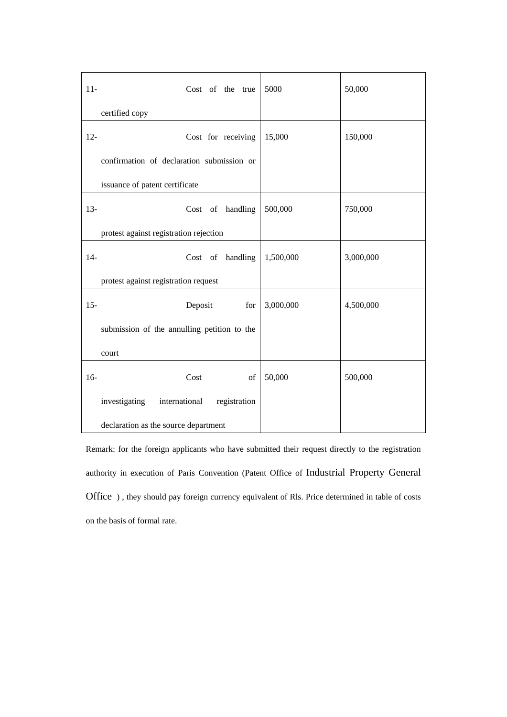| $11-$  | Cost of the true                            | 5000      | 50,000    |
|--------|---------------------------------------------|-----------|-----------|
|        | certified copy                              |           |           |
| $12 -$ | Cost for receiving                          | 15,000    | 150,000   |
|        | confirmation of declaration submission or   |           |           |
|        | issuance of patent certificate              |           |           |
| $13-$  | Cost of handling                            | 500,000   | 750,000   |
|        | protest against registration rejection      |           |           |
| $14-$  | Cost of handling                            | 1,500,000 | 3,000,000 |
|        | protest against registration request        |           |           |
| $15 -$ | Deposit<br>for                              | 3,000,000 | 4,500,000 |
|        | submission of the annulling petition to the |           |           |
|        | court                                       |           |           |
| $16-$  | Cost<br>of                                  | 50,000    | 500,000   |
|        | investigating international<br>registration |           |           |
|        | declaration as the source department        |           |           |

Remark: for the foreign applicants who have submitted their request directly to the registration authority in execution of Paris Convention (Patent Office of Industrial Property General Office ) , they should pay foreign currency equivalent of Rls. Price determined in table of costs on the basis of formal rate.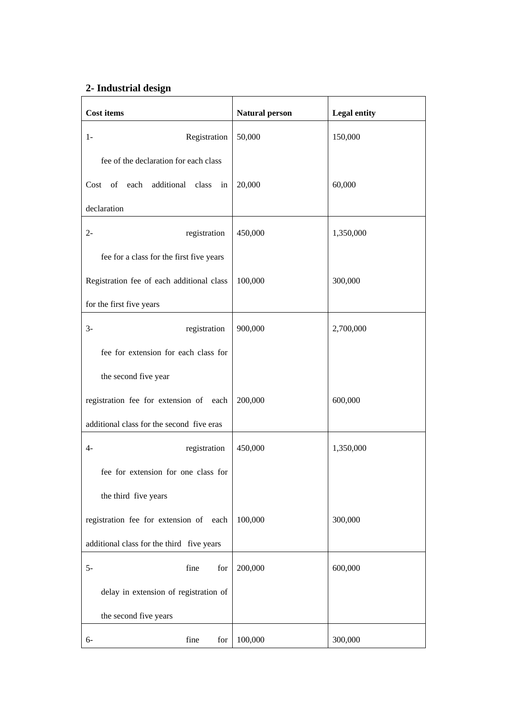# **2- Industrial design**

| <b>Cost items</b>                         | <b>Natural person</b> | <b>Legal entity</b> |
|-------------------------------------------|-----------------------|---------------------|
| Registration<br>$1-$                      | 50,000                | 150,000             |
| fee of the declaration for each class     |                       |                     |
| of each additional class<br>Cost<br>in    | 20,000                | 60,000              |
| declaration                               |                       |                     |
| $2 -$<br>registration                     | 450,000               | 1,350,000           |
| fee for a class for the first five years  |                       |                     |
| Registration fee of each additional class | 100,000               | 300,000             |
| for the first five years                  |                       |                     |
| $3-$<br>registration                      | 900,000               | 2,700,000           |
| fee for extension for each class for      |                       |                     |
| the second five year                      |                       |                     |
| registration fee for extension of each    | 200,000               | 600,000             |
| additional class for the second five eras |                       |                     |
| $4-$<br>registration                      | 450,000               | 1,350,000           |
| fee for extension for one class for       |                       |                     |
| the third five years                      |                       |                     |
| registration fee for extension of each    | 100,000               | 300,000             |
| additional class for the third five years |                       |                     |
| $5-$<br>fine<br>for                       | 200,000               | 600,000             |
| delay in extension of registration of     |                       |                     |
| the second five years                     |                       |                     |
| fine<br>for<br>6-                         | 100,000               | 300,000             |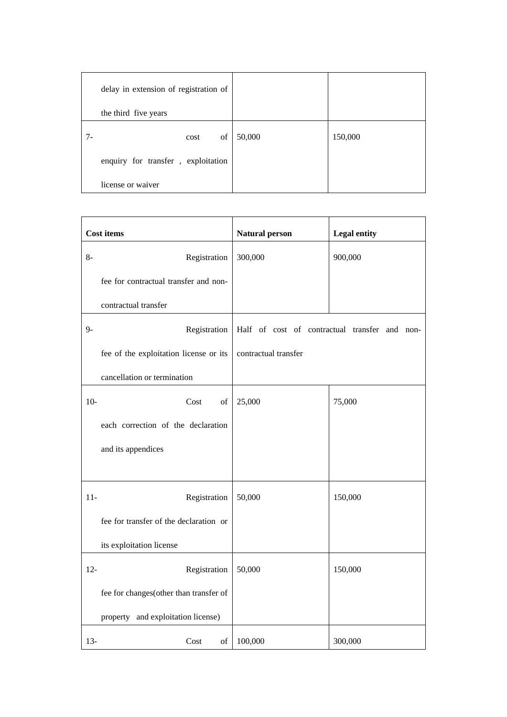| delay in extension of registration of |        |         |
|---------------------------------------|--------|---------|
| the third five years                  |        |         |
| of<br>cost                            | 50,000 | 150,000 |
| enquiry for transfer, exploitation    |        |         |
| license or waiver                     |        |         |

|        | <b>Cost items</b>                      | <b>Natural person</b> | <b>Legal entity</b>                           |
|--------|----------------------------------------|-----------------------|-----------------------------------------------|
| 8-     | Registration                           | 300,000               | 900,000                                       |
|        | fee for contractual transfer and non-  |                       |                                               |
|        | contractual transfer                   |                       |                                               |
| $9-$   | Registration                           |                       | Half of cost of contractual transfer and non- |
|        | fee of the exploitation license or its | contractual transfer  |                                               |
|        | cancellation or termination            |                       |                                               |
| $10-$  | Cost<br>of                             | 25,000                | 75,000                                        |
|        | each correction of the declaration     |                       |                                               |
|        | and its appendices                     |                       |                                               |
|        |                                        |                       |                                               |
| $11-$  | Registration                           | 50,000                | 150,000                                       |
|        | fee for transfer of the declaration or |                       |                                               |
|        | its exploitation license               |                       |                                               |
| $12 -$ | Registration                           | 50,000                | 150,000                                       |
|        | fee for changes(other than transfer of |                       |                                               |
|        | property and exploitation license)     |                       |                                               |
| $13 -$ | Cost<br>of                             | 100,000               | 300,000                                       |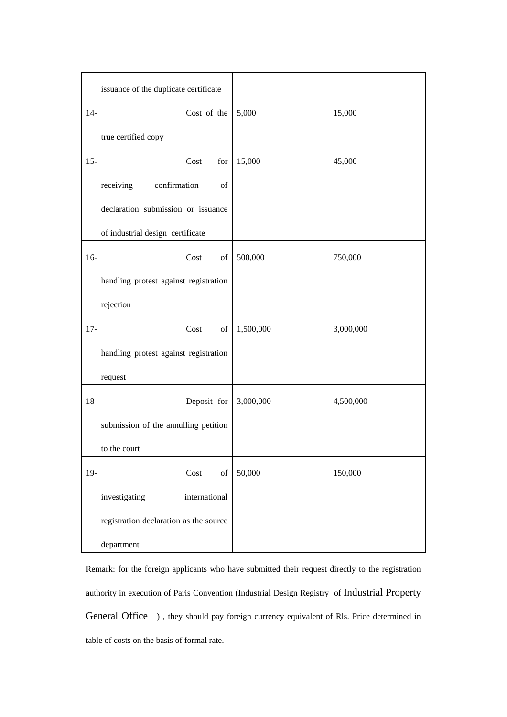|        | issuance of the duplicate certificate                                                                      |           |           |
|--------|------------------------------------------------------------------------------------------------------------|-----------|-----------|
| $14-$  | Cost of the                                                                                                | 5,000     | 15,000    |
|        | true certified copy                                                                                        |           |           |
| $15 -$ | Cost<br>for                                                                                                | 15,000    | 45,000    |
|        | confirmation<br>receiving<br>of                                                                            |           |           |
|        | declaration submission or issuance                                                                         |           |           |
|        | of industrial design certificate                                                                           |           |           |
| $16-$  | Cost<br>of                                                                                                 | 500,000   | 750,000   |
|        | handling protest against registration                                                                      |           |           |
|        | rejection                                                                                                  |           |           |
|        |                                                                                                            |           |           |
| $17 -$ | Cost<br>of                                                                                                 | 1,500,000 | 3,000,000 |
|        | handling protest against registration                                                                      |           |           |
|        | request                                                                                                    |           |           |
| $18-$  | Deposit for                                                                                                | 3,000,000 | 4,500,000 |
|        | submission of the annulling petition                                                                       |           |           |
|        | to the court                                                                                               |           |           |
| $19-$  | Cost<br>$% \left( \left( \mathcal{A},\mathcal{A}\right) \right) =\left( \mathcal{A},\mathcal{A}\right)$ of | 50,000    | 150,000   |
|        | investigating<br>international                                                                             |           |           |
|        |                                                                                                            |           |           |
|        | registration declaration as the source                                                                     |           |           |
|        | department                                                                                                 |           |           |

Remark: for the foreign applicants who have submitted their request directly to the registration authority in execution of Paris Convention (Industrial Design Registry of Industrial Property General Office ) , they should pay foreign currency equivalent of Rls. Price determined in table of costs on the basis of formal rate.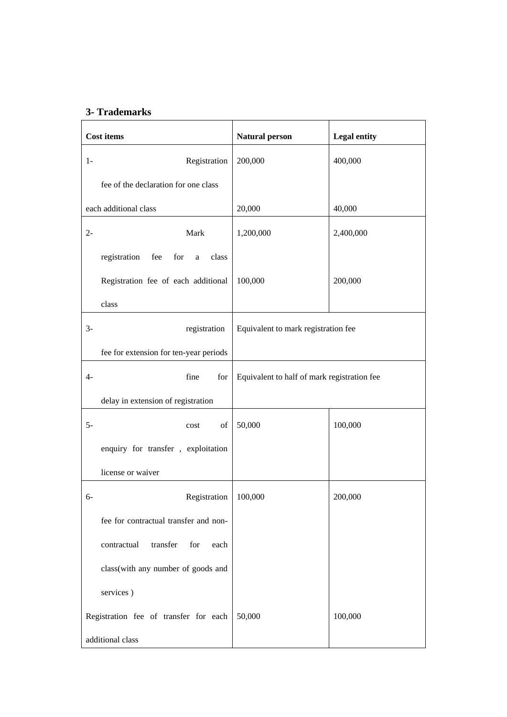## **3- Trademarks**

| <b>Cost items</b>                                   | <b>Natural person</b>                       | <b>Legal entity</b> |
|-----------------------------------------------------|---------------------------------------------|---------------------|
| $1-$<br>Registration                                | 200,000                                     | 400,000             |
| fee of the declaration for one class                |                                             |                     |
| each additional class                               | 20,000                                      | 40,000              |
| Mark<br>$2 -$                                       | 1,200,000                                   | 2,400,000           |
| registration<br>fee<br>for<br>class<br>$\mathbf{a}$ |                                             |                     |
| Registration fee of each additional                 | 100,000                                     | 200,000             |
| class                                               |                                             |                     |
| $3-$<br>registration                                | Equivalent to mark registration fee         |                     |
| fee for extension for ten-year periods              |                                             |                     |
| $4-$<br>fine<br>for                                 | Equivalent to half of mark registration fee |                     |
| delay in extension of registration                  |                                             |                     |
| $5-$<br>of<br>cost                                  | 50,000                                      | 100,000             |
| enquiry for transfer, exploitation                  |                                             |                     |
| license or waiver                                   |                                             |                     |
| Registration<br>$6-$                                | 100,000                                     | 200,000             |
| fee for contractual transfer and non-               |                                             |                     |
| transfer<br>contractual<br>for<br>each              |                                             |                     |
| class(with any number of goods and                  |                                             |                     |
| services)                                           |                                             |                     |
| Registration fee of transfer for each               | 50,000                                      | 100,000             |
| additional class                                    |                                             |                     |

÷,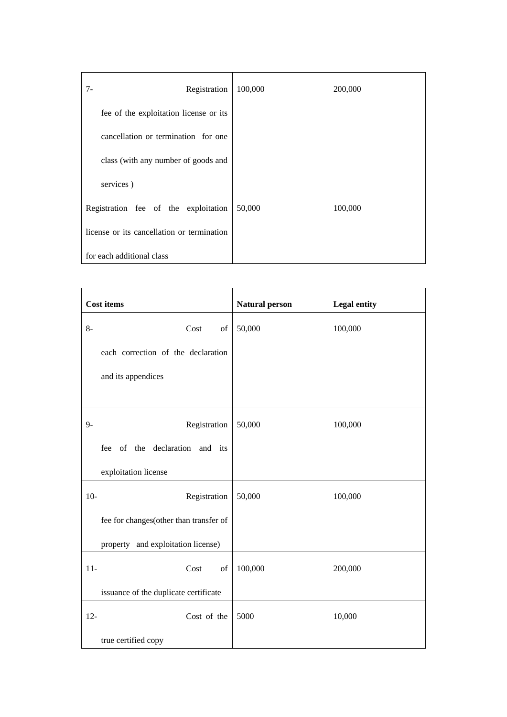| Registration<br>$7 -$                      | 100,000 | 200,000 |
|--------------------------------------------|---------|---------|
| fee of the exploitation license or its     |         |         |
| cancellation or termination for one        |         |         |
| class (with any number of goods and        |         |         |
| services)                                  |         |         |
| Registration fee of the exploitation       | 50,000  | 100,000 |
| license or its cancellation or termination |         |         |
| for each additional class                  |         |         |

| <b>Cost items</b> |                                                                                                            | <b>Natural person</b> | <b>Legal entity</b> |
|-------------------|------------------------------------------------------------------------------------------------------------|-----------------------|---------------------|
| $8-$              | Cost<br>of                                                                                                 | 50,000                | 100,000             |
|                   | each correction of the declaration                                                                         |                       |                     |
|                   | and its appendices                                                                                         |                       |                     |
|                   |                                                                                                            |                       |                     |
| $9-$              | Registration                                                                                               | 50,000                | 100,000             |
|                   | fee of the declaration and its                                                                             |                       |                     |
|                   | exploitation license                                                                                       |                       |                     |
| $10-$             | Registration                                                                                               | 50,000                | 100,000             |
|                   | fee for changes(other than transfer of                                                                     |                       |                     |
|                   | property and exploitation license)                                                                         |                       |                     |
| $11-$             | Cost<br>$% \left( \left( \mathcal{A},\mathcal{A}\right) \right) =\left( \mathcal{A},\mathcal{A}\right)$ of | 100,000               | 200,000             |
|                   | issuance of the duplicate certificate                                                                      |                       |                     |
| $12 -$            | Cost of the                                                                                                | 5000                  | 10,000              |
|                   | true certified copy                                                                                        |                       |                     |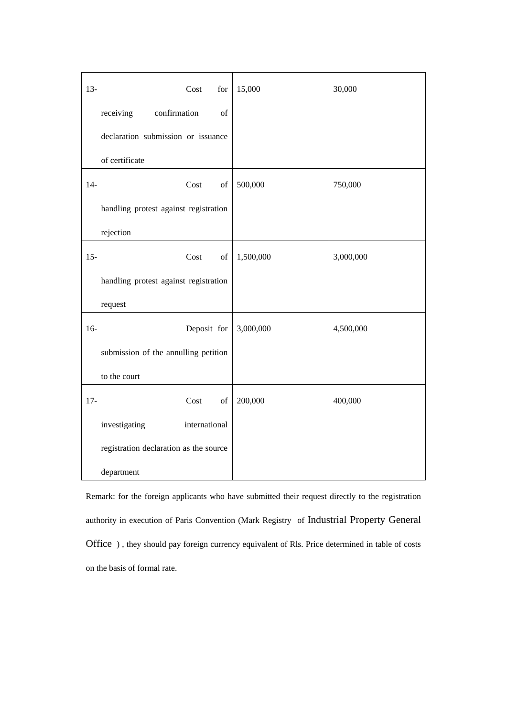| $13 -$ | Cost<br>for                                                                                                | 15,000    | 30,000    |
|--------|------------------------------------------------------------------------------------------------------------|-----------|-----------|
|        | receiving<br>confirmation<br>of                                                                            |           |           |
|        | declaration submission or issuance                                                                         |           |           |
|        | of certificate                                                                                             |           |           |
| $14-$  | Cost<br>of                                                                                                 | 500,000   | 750,000   |
|        | handling protest against registration                                                                      |           |           |
|        | rejection                                                                                                  |           |           |
| $15 -$ | Cost<br>$% \left( \left( \mathcal{A},\mathcal{A}\right) \right) =\left( \mathcal{A},\mathcal{A}\right)$ of | 1,500,000 | 3,000,000 |
|        | handling protest against registration                                                                      |           |           |
|        | request                                                                                                    |           |           |
| $16-$  | Deposit for                                                                                                | 3,000,000 | 4,500,000 |
|        | submission of the annulling petition                                                                       |           |           |
|        | to the court                                                                                               |           |           |
| $17 -$ | Cost<br>$% \left( \left( \mathcal{A},\mathcal{A}\right) \right) =\left( \mathcal{A},\mathcal{A}\right)$ of | 200,000   | 400,000   |
|        | investigating<br>international                                                                             |           |           |
|        | registration declaration as the source                                                                     |           |           |
|        | department                                                                                                 |           |           |

Remark: for the foreign applicants who have submitted their request directly to the registration authority in execution of Paris Convention (Mark Registry of Industrial Property General Office ) , they should pay foreign currency equivalent of Rls. Price determined in table of costs on the basis of formal rate.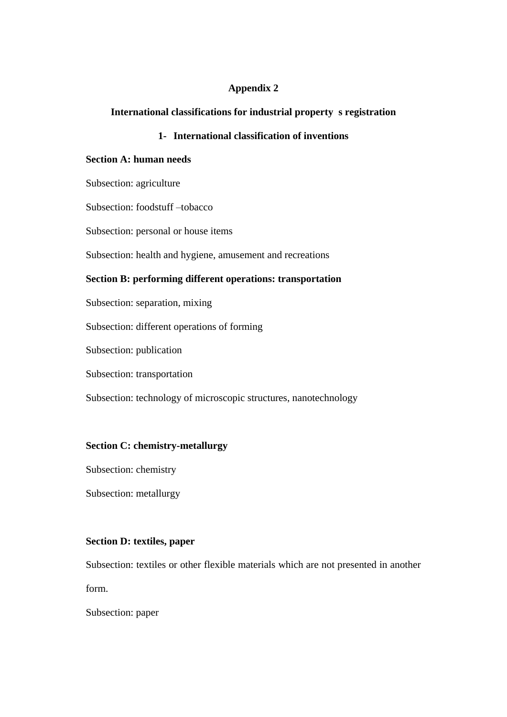## **Appendix 2**

## **International classifications for industrial property s registration**

## **1- International classification of inventions**

## **Section A: human needs**

Subsection: agriculture

Subsection: foodstuff –tobacco

Subsection: personal or house items

Subsection: health and hygiene, amusement and recreations

## **Section B: performing different operations: transportation**

Subsection: separation, mixing

Subsection: different operations of forming

Subsection: publication

Subsection: transportation

Subsection: technology of microscopic structures, nanotechnology

## **Section C: chemistry-metallurgy**

Subsection: chemistry

Subsection: metallurgy

## **Section D: textiles, paper**

Subsection: textiles or other flexible materials which are not presented in another form.

Subsection: paper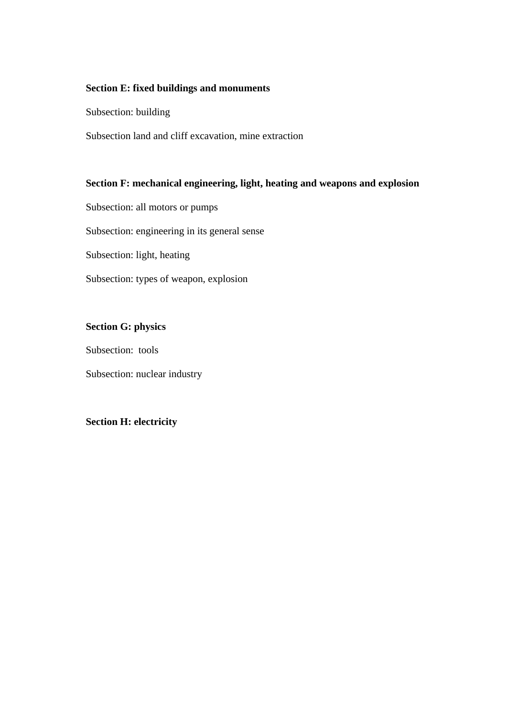## **Section E: fixed buildings and monuments**

Subsection: building

Subsection land and cliff excavation, mine extraction

## **Section F: mechanical engineering, light, heating and weapons and explosion**

Subsection: all motors or pumps

Subsection: engineering in its general sense

Subsection: light, heating

Subsection: types of weapon, explosion

# **Section G: physics**

Subsection: tools

Subsection: nuclear industry

## **Section H: electricity**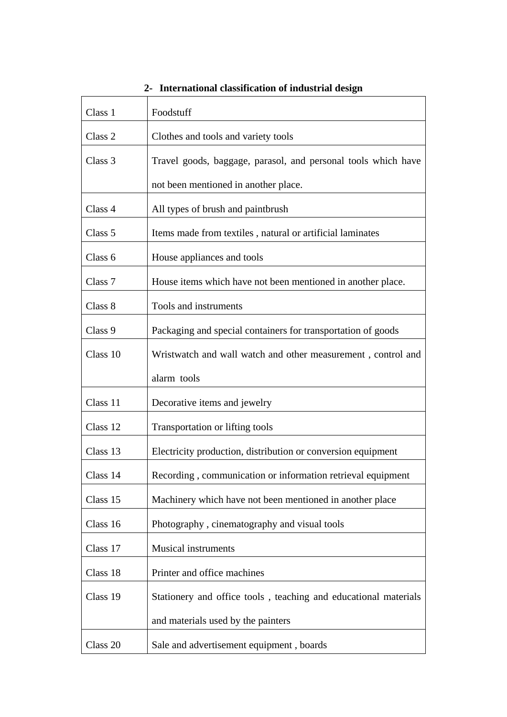| Class 1  | Foodstuff                                                       |  |  |
|----------|-----------------------------------------------------------------|--|--|
| Class 2  | Clothes and tools and variety tools                             |  |  |
| Class 3  | Travel goods, baggage, parasol, and personal tools which have   |  |  |
|          | not been mentioned in another place.                            |  |  |
| Class 4  | All types of brush and paintbrush                               |  |  |
| Class 5  | Items made from textiles, natural or artificial laminates       |  |  |
| Class 6  | House appliances and tools                                      |  |  |
| Class 7  | House items which have not been mentioned in another place.     |  |  |
| Class 8  | Tools and instruments                                           |  |  |
| Class 9  | Packaging and special containers for transportation of goods    |  |  |
| Class 10 | Wristwatch and wall watch and other measurement, control and    |  |  |
|          | alarm tools                                                     |  |  |
| Class 11 | Decorative items and jewelry                                    |  |  |
| Class 12 | Transportation or lifting tools                                 |  |  |
| Class 13 | Electricity production, distribution or conversion equipment    |  |  |
| Class 14 | Recording, communication or information retrieval equipment     |  |  |
| Class 15 | Machinery which have not been mentioned in another place        |  |  |
| Class 16 | Photography, cinematography and visual tools                    |  |  |
| Class 17 | <b>Musical instruments</b>                                      |  |  |
| Class 18 | Printer and office machines                                     |  |  |
| Class 19 | Stationery and office tools, teaching and educational materials |  |  |
|          | and materials used by the painters                              |  |  |
| Class 20 | Sale and advertisement equipment, boards                        |  |  |

**2- International classification of industrial design**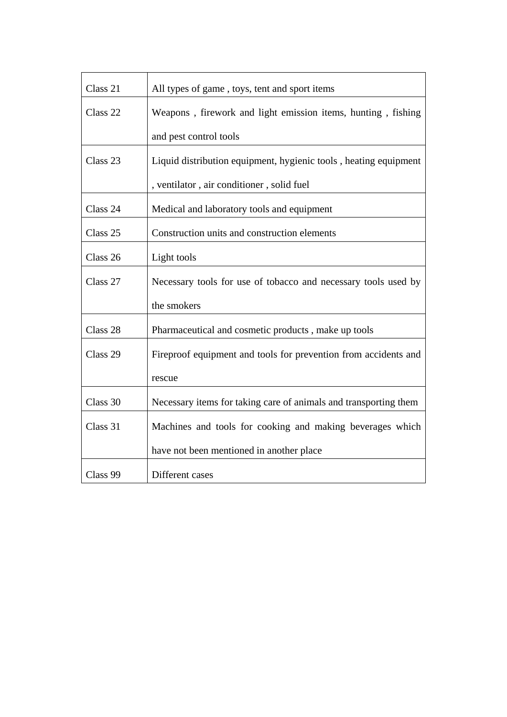| Class 21 | All types of game, toys, tent and sport items                    |  |  |
|----------|------------------------------------------------------------------|--|--|
| Class 22 | Weapons, firework and light emission items, hunting, fishing     |  |  |
|          | and pest control tools                                           |  |  |
| Class 23 | Liquid distribution equipment, hygienic tools, heating equipment |  |  |
|          | , ventilator, air conditioner, solid fuel                        |  |  |
| Class 24 | Medical and laboratory tools and equipment                       |  |  |
| Class 25 | Construction units and construction elements                     |  |  |
| Class 26 | Light tools                                                      |  |  |
| Class 27 | Necessary tools for use of tobacco and necessary tools used by   |  |  |
|          | the smokers                                                      |  |  |
| Class 28 | Pharmaceutical and cosmetic products, make up tools              |  |  |
| Class 29 | Fireproof equipment and tools for prevention from accidents and  |  |  |
|          | rescue                                                           |  |  |
| Class 30 | Necessary items for taking care of animals and transporting them |  |  |
| Class 31 | Machines and tools for cooking and making beverages which        |  |  |
|          | have not been mentioned in another place                         |  |  |
| Class 99 | Different cases                                                  |  |  |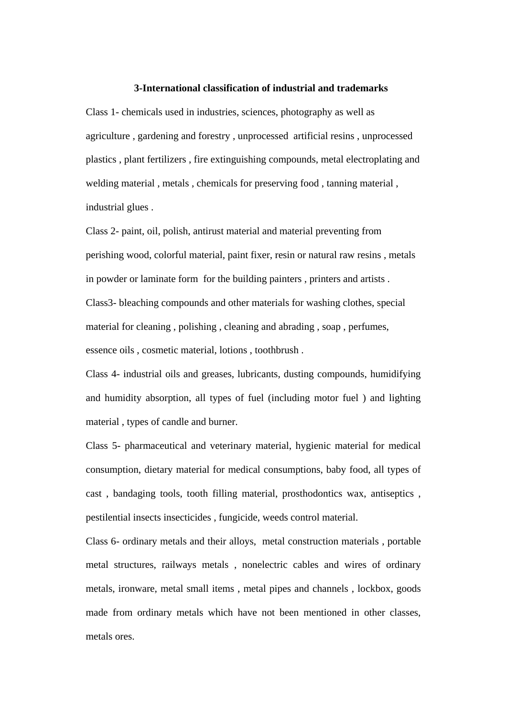#### **3-International classification of industrial and trademarks**

Class 1- chemicals used in industries, sciences, photography as well as agriculture , gardening and forestry , unprocessed artificial resins , unprocessed plastics , plant fertilizers , fire extinguishing compounds, metal electroplating and welding material , metals , chemicals for preserving food , tanning material , industrial glues .

Class 2- paint, oil, polish, antirust material and material preventing from perishing wood, colorful material, paint fixer, resin or natural raw resins , metals in powder or laminate form for the building painters , printers and artists . Class3- bleaching compounds and other materials for washing clothes, special material for cleaning , polishing , cleaning and abrading , soap , perfumes, essence oils , cosmetic material, lotions , toothbrush .

Class 4- industrial oils and greases, lubricants, dusting compounds, humidifying and humidity absorption, all types of fuel (including motor fuel ) and lighting material , types of candle and burner.

Class 5- pharmaceutical and veterinary material, hygienic material for medical consumption, dietary material for medical consumptions, baby food, all types of cast , bandaging tools, tooth filling material, prosthodontics wax, antiseptics , pestilential insects insecticides , fungicide, weeds control material.

Class 6- ordinary metals and their alloys, metal construction materials , portable metal structures, railways metals , nonelectric cables and wires of ordinary metals, ironware, metal small items , metal pipes and channels , lockbox, goods made from ordinary metals which have not been mentioned in other classes, metals ores.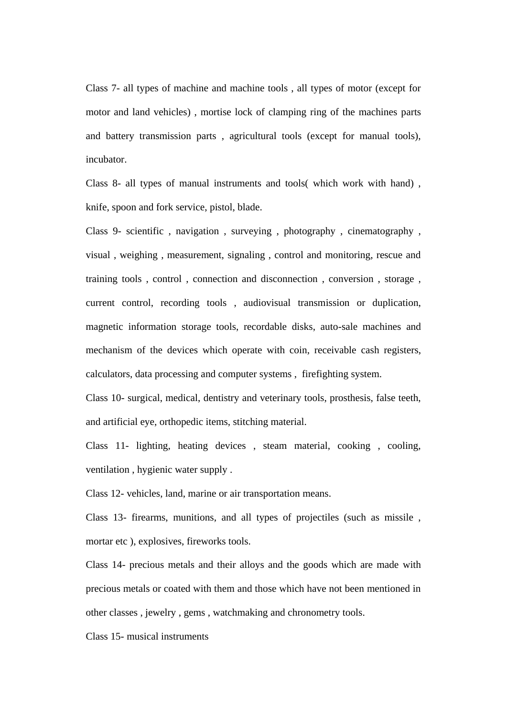Class 7- all types of machine and machine tools , all types of motor (except for motor and land vehicles) , mortise lock of clamping ring of the machines parts and battery transmission parts , agricultural tools (except for manual tools), incubator.

Class 8- all types of manual instruments and tools( which work with hand) , knife, spoon and fork service, pistol, blade.

Class 9- scientific , navigation , surveying , photography , cinematography , visual , weighing , measurement, signaling , control and monitoring, rescue and training tools , control , connection and disconnection , conversion , storage , current control, recording tools , audiovisual transmission or duplication, magnetic information storage tools, recordable disks, auto-sale machines and mechanism of the devices which operate with coin, receivable cash registers, calculators, data processing and computer systems , firefighting system.

Class 10- surgical, medical, dentistry and veterinary tools, prosthesis, false teeth, and artificial eye, orthopedic items, stitching material.

Class 11- lighting, heating devices , steam material, cooking , cooling, ventilation , hygienic water supply .

Class 12- vehicles, land, marine or air transportation means.

Class 13- firearms, munitions, and all types of projectiles (such as missile , mortar etc ), explosives, fireworks tools.

Class 14- precious metals and their alloys and the goods which are made with precious metals or coated with them and those which have not been mentioned in other classes , jewelry , gems , watchmaking and chronometry tools.

Class 15- musical instruments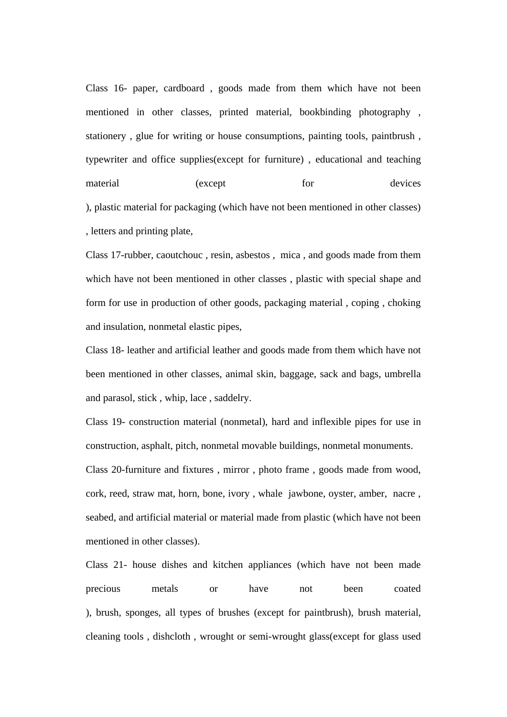Class 16- paper, cardboard , goods made from them which have not been mentioned in other classes, printed material, bookbinding photography , stationery , glue for writing or house consumptions, painting tools, paintbrush , typewriter and office supplies(except for furniture) , educational and teaching material (except for devices ), plastic material for packaging (which have not been mentioned in other classes) , letters and printing plate,

Class 17-rubber, caoutchouc , resin, asbestos , mica , and goods made from them which have not been mentioned in other classes , plastic with special shape and form for use in production of other goods, packaging material , coping , choking and insulation, nonmetal elastic pipes,

Class 18- leather and artificial leather and goods made from them which have not been mentioned in other classes, animal skin, baggage, sack and bags, umbrella and parasol, stick , whip, lace , saddelry.

Class 19- construction material (nonmetal), hard and inflexible pipes for use in construction, asphalt, pitch, nonmetal movable buildings, nonmetal monuments. Class 20-furniture and fixtures , mirror , photo frame , goods made from wood, cork, reed, straw mat, horn, bone, ivory , whale jawbone, oyster, amber, nacre , seabed, and artificial material or material made from plastic (which have not been mentioned in other classes).

Class 21- house dishes and kitchen appliances (which have not been made precious metals or have not been coated ), brush, sponges, all types of brushes (except for paintbrush), brush material, cleaning tools , dishcloth , wrought or semi-wrought glass(except for glass used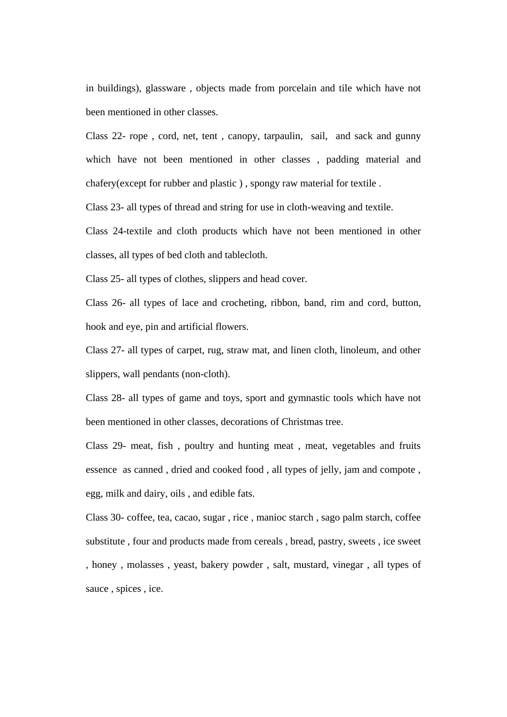in buildings), glassware , objects made from porcelain and tile which have not been mentioned in other classes.

Class 22- rope , cord, net, tent , canopy, tarpaulin, sail, and sack and gunny which have not been mentioned in other classes , padding material and chafery(except for rubber and plastic ) , spongy raw material for textile .

Class 23- all types of thread and string for use in cloth-weaving and textile.

Class 24-textile and cloth products which have not been mentioned in other classes, all types of bed cloth and tablecloth.

Class 25- all types of clothes, slippers and head cover.

Class 26- all types of lace and crocheting, ribbon, band, rim and cord, button, hook and eye, pin and artificial flowers.

Class 27- all types of carpet, rug, straw mat, and linen cloth, linoleum, and other slippers, wall pendants (non-cloth).

Class 28- all types of game and toys, sport and gymnastic tools which have not been mentioned in other classes, decorations of Christmas tree.

Class 29- meat, fish , poultry and hunting meat , meat, vegetables and fruits essence as canned , dried and cooked food , all types of jelly, jam and compote , egg, milk and dairy, oils , and edible fats.

Class 30- coffee, tea, cacao, sugar , rice , manioc starch , sago palm starch, coffee substitute , four and products made from cereals , bread, pastry, sweets , ice sweet , honey , molasses , yeast, bakery powder , salt, mustard, vinegar , all types of sauce , spices , ice.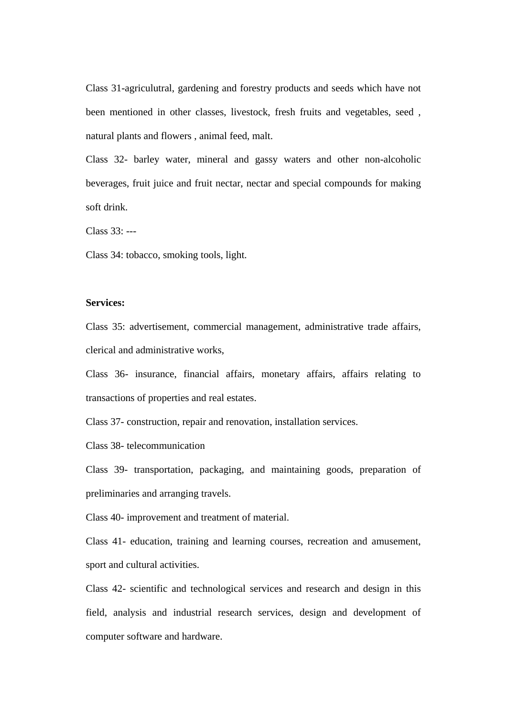Class 31-agriculutral, gardening and forestry products and seeds which have not been mentioned in other classes, livestock, fresh fruits and vegetables, seed , natural plants and flowers , animal feed, malt.

Class 32- barley water, mineral and gassy waters and other non-alcoholic beverages, fruit juice and fruit nectar, nectar and special compounds for making soft drink.

Class 33: ---

Class 34: tobacco, smoking tools, light.

## **Services:**

Class 35: advertisement, commercial management, administrative trade affairs, clerical and administrative works,

Class 36- insurance, financial affairs, monetary affairs, affairs relating to transactions of properties and real estates.

Class 37- construction, repair and renovation, installation services.

Class 38- telecommunication

Class 39- transportation, packaging, and maintaining goods, preparation of preliminaries and arranging travels.

Class 40- improvement and treatment of material.

Class 41- education, training and learning courses, recreation and amusement, sport and cultural activities.

Class 42- scientific and technological services and research and design in this field, analysis and industrial research services, design and development of computer software and hardware.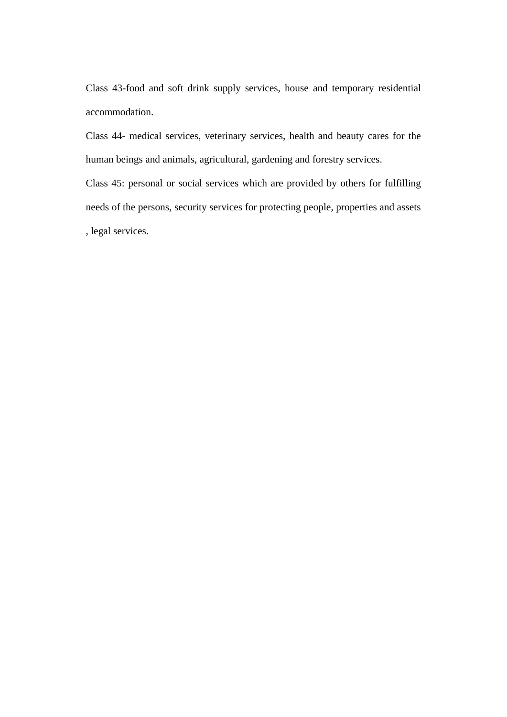Class 43-food and soft drink supply services, house and temporary residential accommodation.

Class 44- medical services, veterinary services, health and beauty cares for the human beings and animals, agricultural, gardening and forestry services.

Class 45: personal or social services which are provided by others for fulfilling needs of the persons, security services for protecting people, properties and assets , legal services.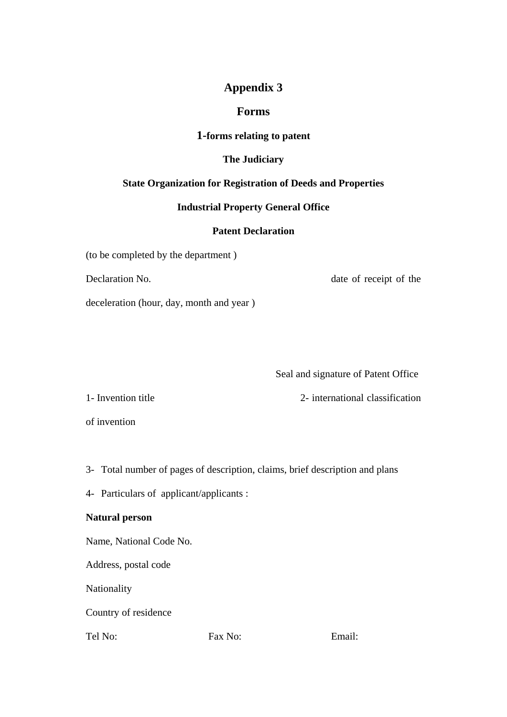# **Appendix 3**

## **Forms**

## **1-forms relating to patent**

## **The Judiciary**

## **State Organization for Registration of Deeds and Properties**

## **Industrial Property General Office**

## **Patent Declaration**

(to be completed by the department )

Declaration No.  $\qquad \qquad$  date of receipt of the

deceleration (hour, day, month and year )

Seal and signature of Patent Office

1- Invention title 2- international classification

of invention

3- Total number of pages of description, claims, brief description and plans

4- Particulars of applicant/applicants :

## **Natural person**

Name, National Code No.

Address, postal code

Nationality

Country of residence

Tel No: Fax No: Email: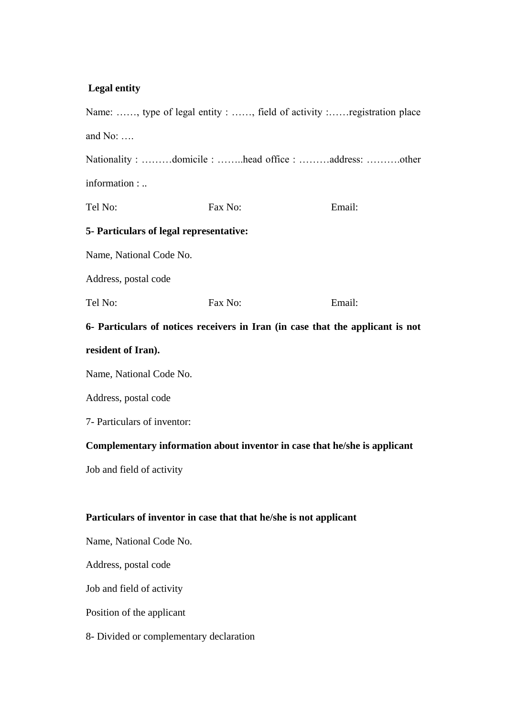# **Legal entity**

| Name: , type of legal entity : , field of activity :registration place         |         |        |  |  |  |
|--------------------------------------------------------------------------------|---------|--------|--|--|--|
| and $No: \ldots$                                                               |         |        |  |  |  |
| Nationality : domicile : head office : address: other                          |         |        |  |  |  |
| information :                                                                  |         |        |  |  |  |
| Tel No:                                                                        | Fax No: | Email: |  |  |  |
| 5- Particulars of legal representative:                                        |         |        |  |  |  |
| Name, National Code No.                                                        |         |        |  |  |  |
| Address, postal code                                                           |         |        |  |  |  |
| Tel No:                                                                        | Fax No: | Email: |  |  |  |
| 6- Particulars of notices receivers in Iran (in case that the applicant is not |         |        |  |  |  |
| resident of Iran).                                                             |         |        |  |  |  |
| Name, National Code No.                                                        |         |        |  |  |  |
| Address, postal code                                                           |         |        |  |  |  |
| 7- Particulars of inventor:                                                    |         |        |  |  |  |
| Complementary information about inventor in case that he/she is applicant      |         |        |  |  |  |
| Job and field of activity                                                      |         |        |  |  |  |
|                                                                                |         |        |  |  |  |
| Particulars of inventor in case that that he/she is not applicant              |         |        |  |  |  |
| Name, National Code No.                                                        |         |        |  |  |  |
| Address, postal code                                                           |         |        |  |  |  |
| Job and field of activity                                                      |         |        |  |  |  |
| Position of the applicant                                                      |         |        |  |  |  |
| 8- Divided or complementary declaration                                        |         |        |  |  |  |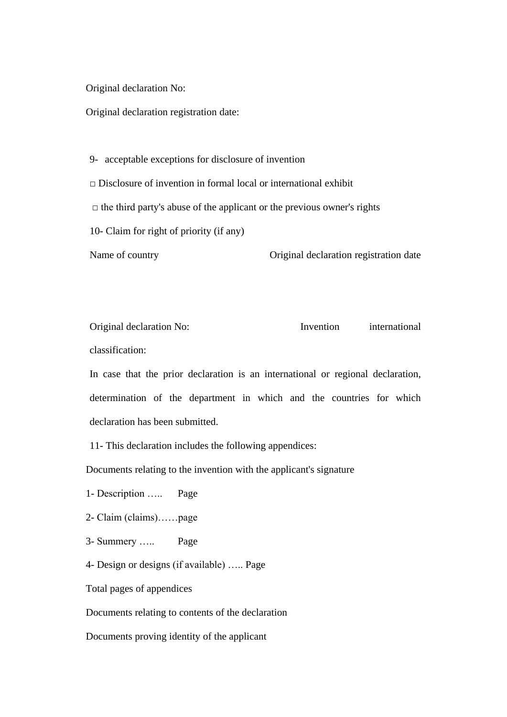Original declaration No:

Original declaration registration date:

9- acceptable exceptions for disclosure of invention  $\Box$  Disclosure of invention in formal local or international exhibit

 $\Box$  the third party's abuse of the applicant or the previous owner's rights

10- Claim for right of priority (if any)

Name of country **Original declaration registration date** 

Original declaration No: Invention international classification:

In case that the prior declaration is an international or regional declaration, determination of the department in which and the countries for which declaration has been submitted.

11- This declaration includes the following appendices:

Documents relating to the invention with the applicant's signature

1- Description ….. Page

2- Claim (claims)……page

3- Summery ….. Page

4- Design or designs (if available) ….. Page

Total pages of appendices

Documents relating to contents of the declaration

Documents proving identity of the applicant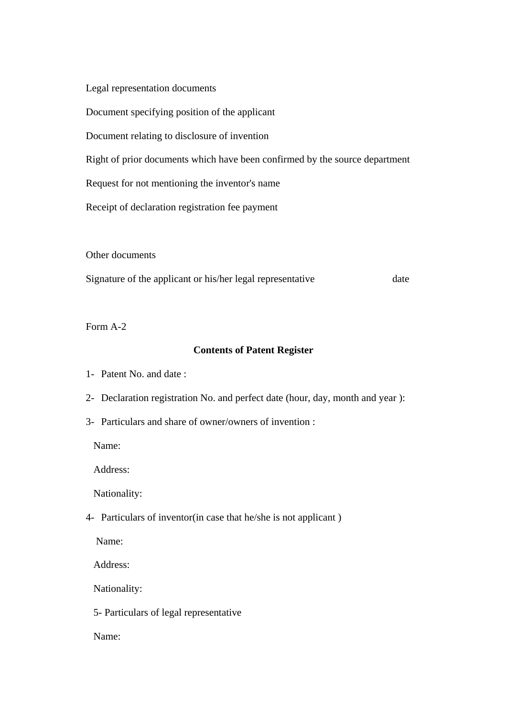Legal representation documents

Document specifying position of the applicant

Document relating to disclosure of invention

Right of prior documents which have been confirmed by the source department

Request for not mentioning the inventor's name

Receipt of declaration registration fee payment

Other documents

Signature of the applicant or his/her legal representative date

Form A-2

#### **Contents of Patent Register**

- 1- Patent No. and date :
- 2- Declaration registration No. and perfect date (hour, day, month and year ):
- 3- Particulars and share of owner/owners of invention :

Name:

Address:

Nationality:

4- Particulars of inventor(in case that he/she is not applicant )

Name:

Address:

Nationality:

5- Particulars of legal representative

Name: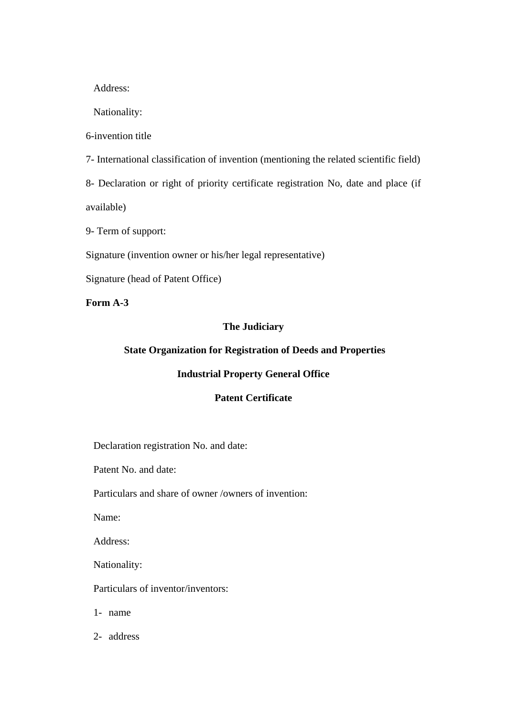Address:

Nationality:

6-invention title

7- International classification of invention (mentioning the related scientific field)

8- Declaration or right of priority certificate registration No, date and place (if

available)

9- Term of support:

Signature (invention owner or his/her legal representative)

Signature (head of Patent Office)

**Form A-3**

## **The Judiciary**

## **State Organization for Registration of Deeds and Properties**

#### **Industrial Property General Office**

## **Patent Certificate**

Declaration registration No. and date:

Patent No. and date:

Particulars and share of owner /owners of invention:

Name:

Address:

Nationality:

Particulars of inventor/inventors:

1- name

2- address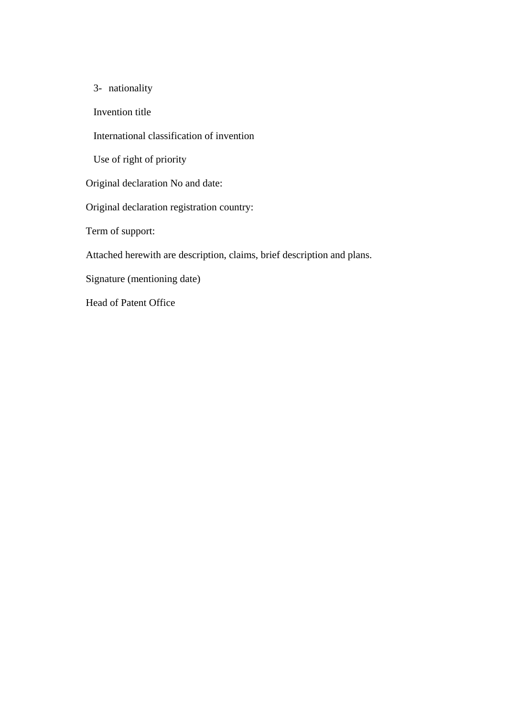3- nationality

Invention title

International classification of invention

Use of right of priority

Original declaration No and date:

Original declaration registration country:

Term of support:

Attached herewith are description, claims, brief description and plans.

Signature (mentioning date)

Head of Patent Office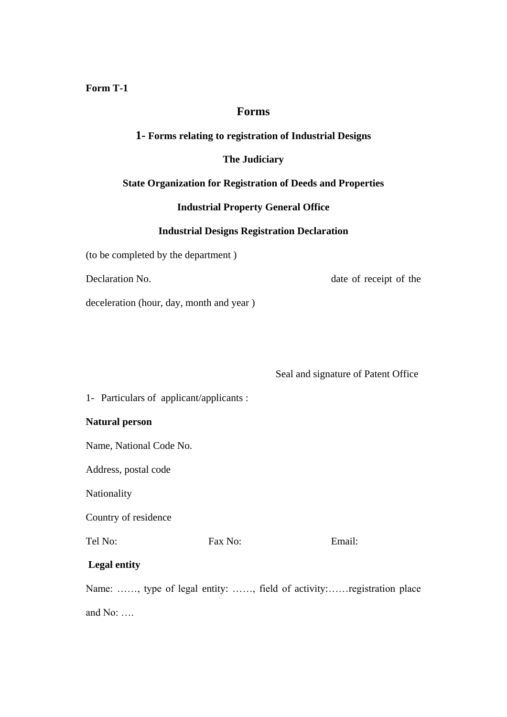**Form T-1**

## **Forms**

## **1- Forms relating to registration of Industrial Designs**

## **The Judiciary**

#### **State Organization for Registration of Deeds and Properties**

## **Industrial Property General Office**

## **Industrial Designs Registration Declaration**

(to be completed by the department )

Declaration No.  $\qquad \qquad$  date of receipt of the

deceleration (hour, day, month and year )

Seal and signature of Patent Office

1- Particulars of applicant/applicants :

### **Natural person**

Name, National Code No.

Address, postal code

Nationality

Country of residence

Tel No: Fax No: Email:

# **Legal entity**

Name: ……, type of legal entity: ……, field of activity:……registration place

and No: ….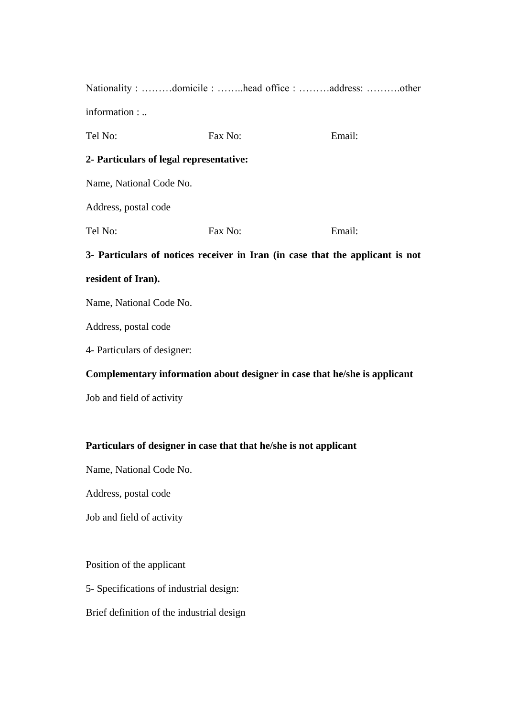| Nationality : domicile : head office : address: other                         |         |        |  |
|-------------------------------------------------------------------------------|---------|--------|--|
| information :                                                                 |         |        |  |
| Tel No:                                                                       | Fax No: | Email: |  |
| 2- Particulars of legal representative:                                       |         |        |  |
| Name, National Code No.                                                       |         |        |  |
| Address, postal code                                                          |         |        |  |
| Tel No:                                                                       | Fax No: | Email: |  |
| 3- Particulars of notices receiver in Iran (in case that the applicant is not |         |        |  |
| resident of Iran).                                                            |         |        |  |

Address, postal code

4- Particulars of designer:

## **Complementary information about designer in case that he/she is applicant**

Job and field of activity

# **Particulars of designer in case that that he/she is not applicant**

Name, National Code No.

Address, postal code

Job and field of activity

Position of the applicant

5- Specifications of industrial design:

Brief definition of the industrial design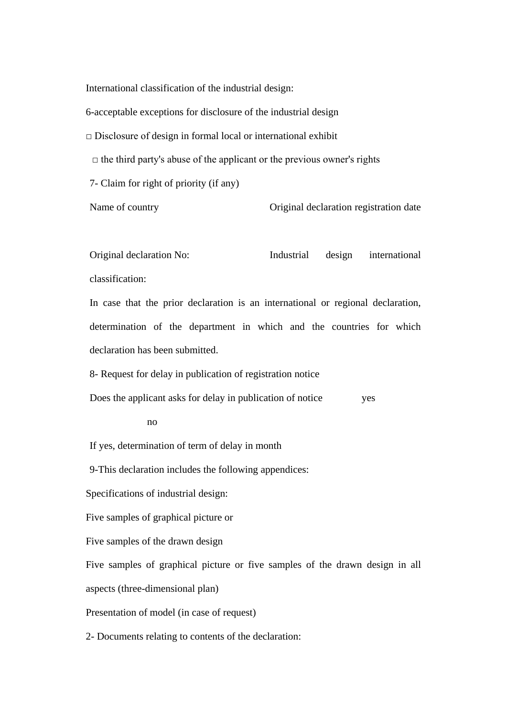International classification of the industrial design:

6-acceptable exceptions for disclosure of the industrial design

 $\Box$  Disclosure of design in formal local or international exhibit

 $\Box$  the third party's abuse of the applicant or the previous owner's rights

7- Claim for right of priority (if any)

Name of country **Original declaration registration date** 

Original declaration No: Industrial design international classification:

In case that the prior declaration is an international or regional declaration, determination of the department in which and the countries for which declaration has been submitted.

8- Request for delay in publication of registration notice

Does the applicant asks for delay in publication of notice yes

no

If yes, determination of term of delay in month

9-This declaration includes the following appendices:

Specifications of industrial design:

Five samples of graphical picture or

Five samples of the drawn design

Five samples of graphical picture or five samples of the drawn design in all aspects (three-dimensional plan)

Presentation of model (in case of request)

2- Documents relating to contents of the declaration: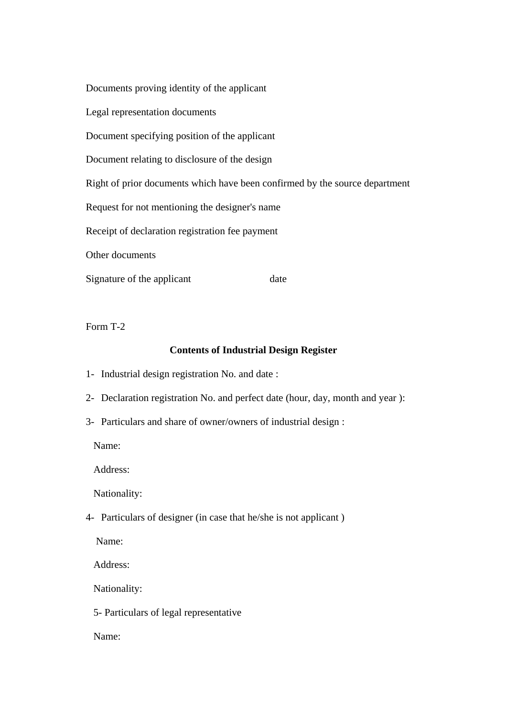Documents proving identity of the applicant Legal representation documents Document specifying position of the applicant Document relating to disclosure of the design Right of prior documents which have been confirmed by the source department Request for not mentioning the designer's name Receipt of declaration registration fee payment Other documents Signature of the applicant date

Form T-2

#### **Contents of Industrial Design Register**

- 1- Industrial design registration No. and date :
- 2- Declaration registration No. and perfect date (hour, day, month and year ):
- 3- Particulars and share of owner/owners of industrial design :

Name:

Address:

Nationality:

4- Particulars of designer (in case that he/she is not applicant )

Name:

Address:

Nationality:

5- Particulars of legal representative

Name: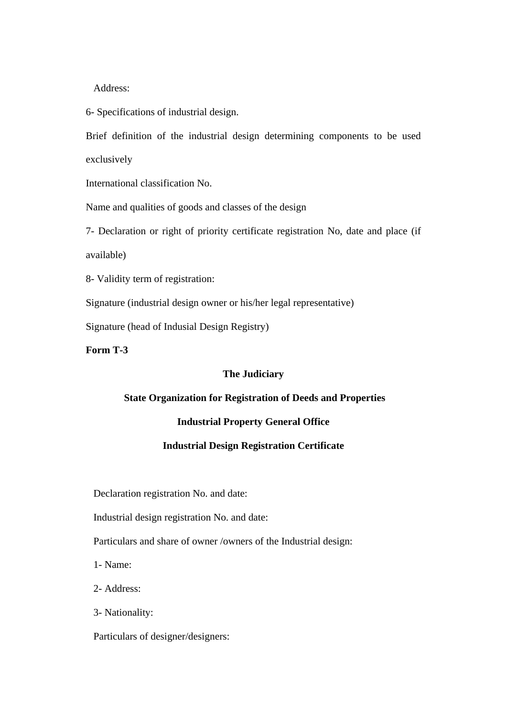Address:

6- Specifications of industrial design.

Brief definition of the industrial design determining components to be used exclusively

International classification No.

Name and qualities of goods and classes of the design

7- Declaration or right of priority certificate registration No, date and place (if available)

8- Validity term of registration:

Signature (industrial design owner or his/her legal representative)

Signature (head of Indusial Design Registry)

**Form T-3**

#### **The Judiciary**

### **State Organization for Registration of Deeds and Properties**

#### **Industrial Property General Office**

### **Industrial Design Registration Certificate**

Declaration registration No. and date:

Industrial design registration No. and date:

Particulars and share of owner /owners of the Industrial design:

1- Name:

2- Address:

3- Nationality:

Particulars of designer/designers: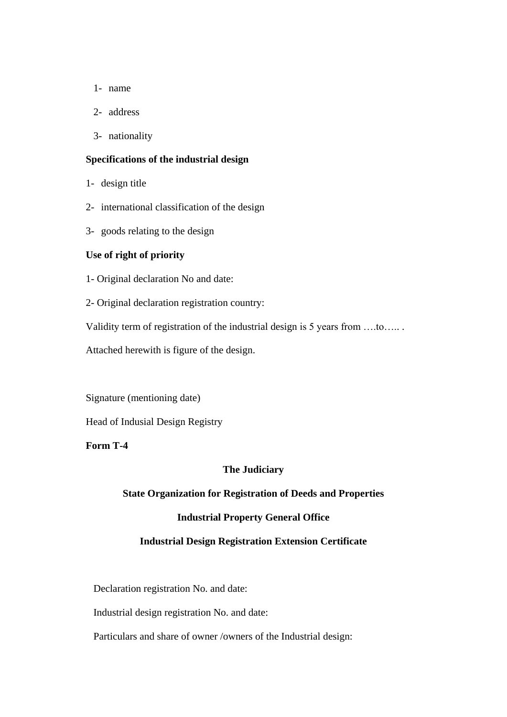- 1- name
- 2- address
- 3- nationality

#### **Specifications of the industrial design**

- 1- design title
- 2- international classification of the design
- 3- goods relating to the design

### **Use of right of priority**

- 1- Original declaration No and date:
- 2- Original declaration registration country:

Validity term of registration of the industrial design is 5 years from ….to….. .

Attached herewith is figure of the design.

Signature (mentioning date)

Head of Indusial Design Registry

### **Form T-4**

#### **The Judiciary**

#### **State Organization for Registration of Deeds and Properties**

### **Industrial Property General Office**

#### **Industrial Design Registration Extension Certificate**

Declaration registration No. and date:

Industrial design registration No. and date:

Particulars and share of owner /owners of the Industrial design: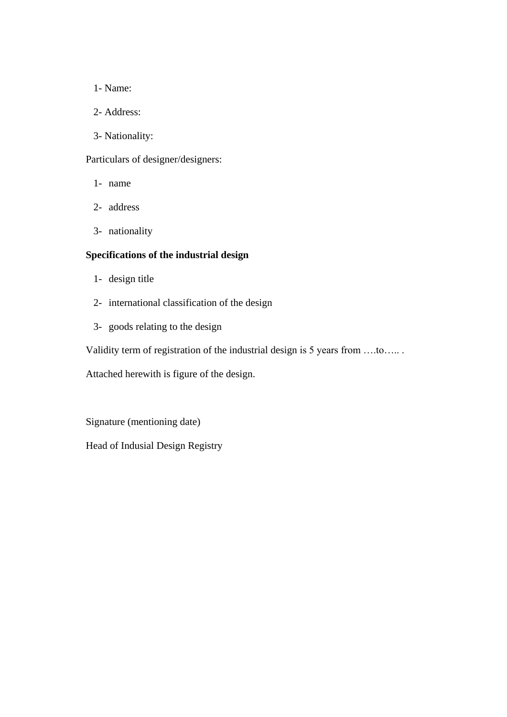- 1- Name:
- 2- Address:
- 3- Nationality:

# Particulars of designer/designers:

- 1- name
- 2- address
- 3- nationality

# **Specifications of the industrial design**

- 1- design title
- 2- international classification of the design
- 3- goods relating to the design

Validity term of registration of the industrial design is 5 years from ….to….. .

Attached herewith is figure of the design.

Signature (mentioning date)

Head of Indusial Design Registry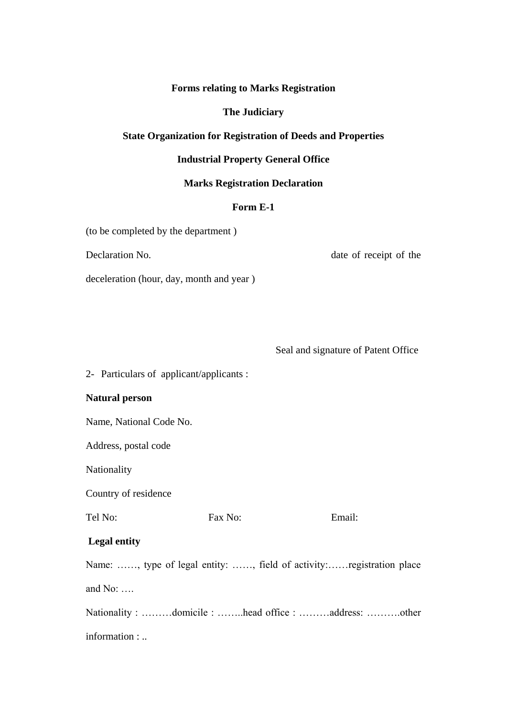**Forms relating to Marks Registration** 

**The Judiciary**

## **State Organization for Registration of Deeds and Properties**

### **Industrial Property General Office**

### **Marks Registration Declaration**

## **Form E-1**

(to be completed by the department )

Declaration No.  $\qquad \qquad$  date of receipt of the

deceleration (hour, day, month and year )

Seal and signature of Patent Office

2- Particulars of applicant/applicants :

#### **Natural person**

Name, National Code No.

Address, postal code

Nationality

Country of residence

Tel No: Fax No: Email:

## **Legal entity**

Name: ……, type of legal entity: ……, field of activity:……registration place and No: ….

Nationality : ………domicile : ……..head office : ………address: ……….other information : ..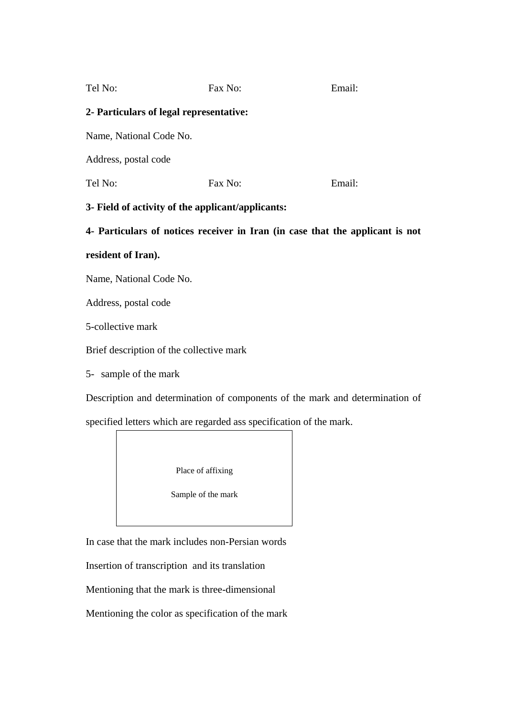| Fax No:                                 | Email: |
|-----------------------------------------|--------|
| 2- Particulars of legal representative: |        |
|                                         |        |
|                                         |        |
| Fax No:                                 | Email: |
|                                         |        |

## **3- Field of activity of the applicant/applicants:**

**4- Particulars of notices receiver in Iran (in case that the applicant is not** 

## **resident of Iran).**

Name, National Code No.

Address, postal code

5-collective mark

Brief description of the collective mark

5- sample of the mark

Description and determination of components of the mark and determination of

specified letters which are regarded ass specification of the mark.

Place of affixing

Sample of the mark

In case that the mark includes non-Persian words

Insertion of transcription and its translation

Mentioning that the mark is three-dimensional

Mentioning the color as specification of the mark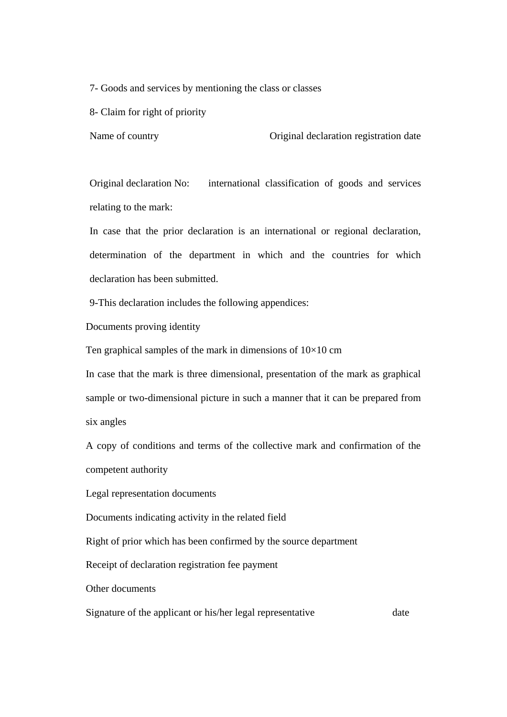7- Goods and services by mentioning the class or classes

8- Claim for right of priority

Name of country **Original declaration registration date** 

Original declaration No: international classification of goods and services relating to the mark:

In case that the prior declaration is an international or regional declaration, determination of the department in which and the countries for which declaration has been submitted.

9-This declaration includes the following appendices:

Documents proving identity

Ten graphical samples of the mark in dimensions of  $10\times10$  cm

In case that the mark is three dimensional, presentation of the mark as graphical sample or two-dimensional picture in such a manner that it can be prepared from six angles

A copy of conditions and terms of the collective mark and confirmation of the competent authority

Legal representation documents

Documents indicating activity in the related field

Right of prior which has been confirmed by the source department

Receipt of declaration registration fee payment

Other documents

Signature of the applicant or his/her legal representative date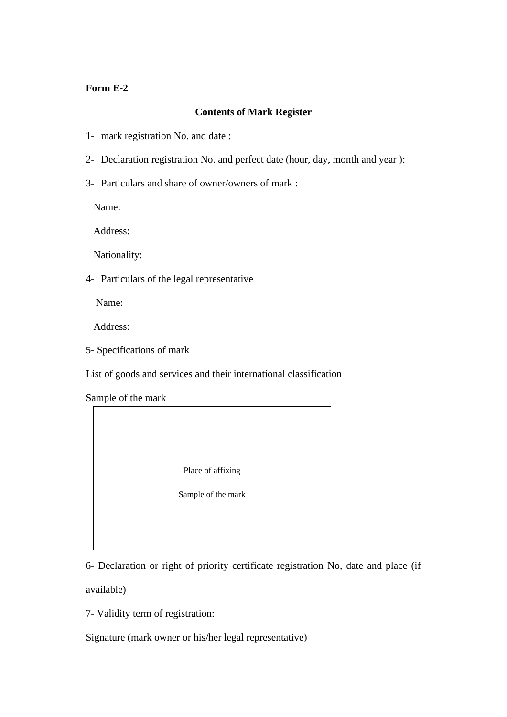## **Form E-2**

## **Contents of Mark Register**

- 1- mark registration No. and date :
- 2- Declaration registration No. and perfect date (hour, day, month and year ):
- 3- Particulars and share of owner/owners of mark :

Name:

Address:

Nationality:

4- Particulars of the legal representative

Name:

Address:

5- Specifications of mark

List of goods and services and their international classification

Sample of the mark



6- Declaration or right of priority certificate registration No, date and place (if

available)

7- Validity term of registration:

Signature (mark owner or his/her legal representative)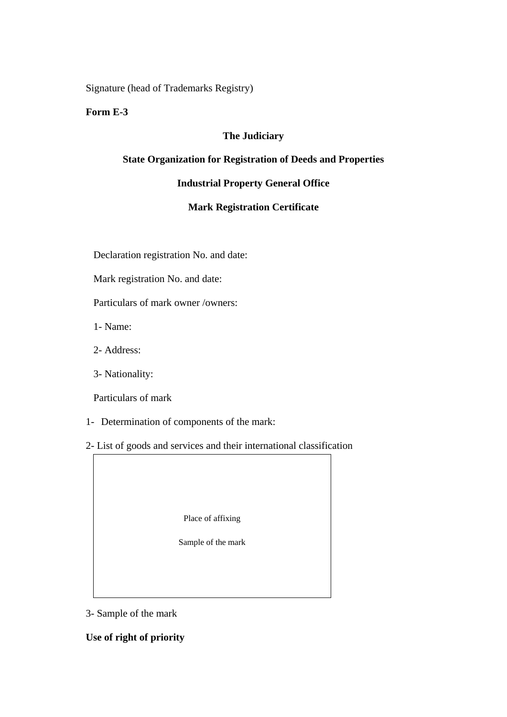Signature (head of Trademarks Registry)

## **Form E-3**

## **The Judiciary**

## **State Organization for Registration of Deeds and Properties**

# **Industrial Property General Office**

## **Mark Registration Certificate**

Declaration registration No. and date:

Mark registration No. and date:

Particulars of mark owner /owners:

1- Name:

2- Address:

3- Nationality:

Particulars of mark

1- Determination of components of the mark:

2- List of goods and services and their international classification

Place of affixing

Sample of the mark

3- Sample of the mark

**Use of right of priority**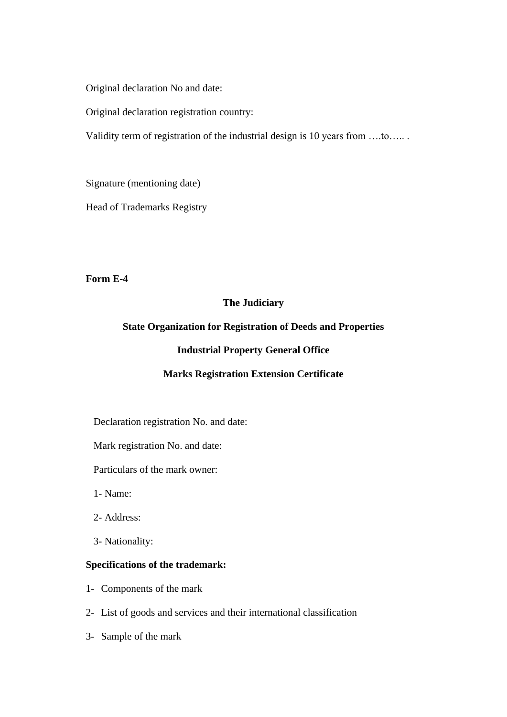Original declaration No and date:

Original declaration registration country:

Validity term of registration of the industrial design is 10 years from ….to….. .

Signature (mentioning date)

Head of Trademarks Registry

**Form E-4**

# **The Judiciary**

## **State Organization for Registration of Deeds and Properties**

## **Industrial Property General Office**

## **Marks Registration Extension Certificate**

Declaration registration No. and date:

Mark registration No. and date:

Particulars of the mark owner:

1- Name:

- 2- Address:
- 3- Nationality:

## **Specifications of the trademark:**

- 1- Components of the mark
- 2- List of goods and services and their international classification
- 3- Sample of the mark